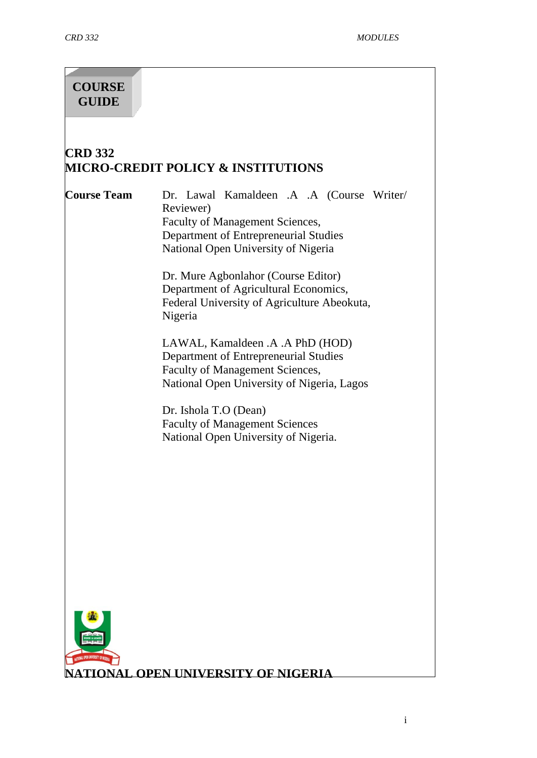# **COURSE GUIDE**

# **CRD 332 MICRO-CREDIT POLICY & INSTITUTIONS**

**Course Team** Dr. Lawal Kamaldeen .A .A (Course Writer/ Reviewer) Faculty of Management Sciences, Department of Entrepreneurial Studies National Open University of Nigeria

> Dr. Mure Agbonlahor (Course Editor) Department of Agricultural Economics, Federal University of Agriculture Abeokuta, Nigeria

LAWAL, Kamaldeen .A .A PhD (HOD) Department of Entrepreneurial Studies Faculty of Management Sciences, National Open University of Nigeria, Lagos

Dr. Ishola T.O (Dean) Faculty of Management Sciences National Open University of Nigeria.



**TIONAL OPEN UNIVERSITY OF NIGERIA**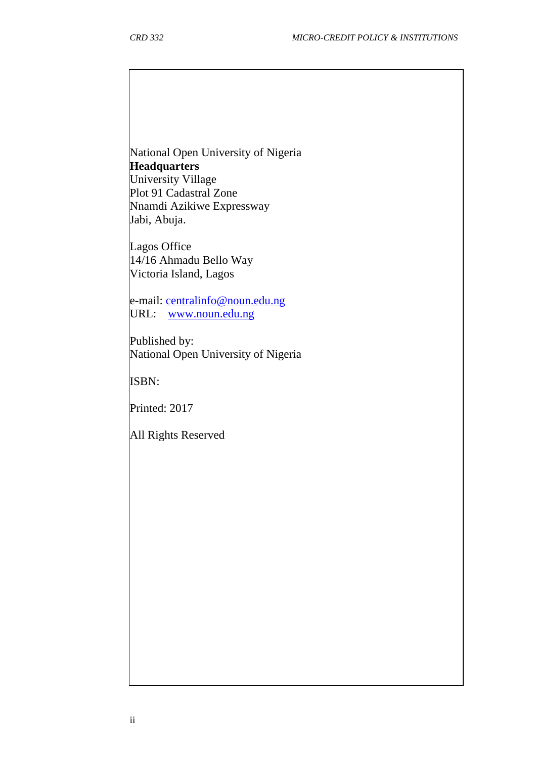National Open University of Nigeria **Headquarters** University Village Plot 91 Cadastral Zone Nnamdi Azikiwe Expressway

Jabi, Abuja. Lagos Office

14/16 Ahmadu Bello Way Victoria Island, Lagos

e-mail: [centralinfo@noun.edu.ng](mailto:centralinfo@noun.edu.ng) URL: [www.noun.edu.ng](http://www.noun.edu.ng/)

Published by: National Open University of Nigeria

ISBN:

Printed: 2017

All Rights Reserved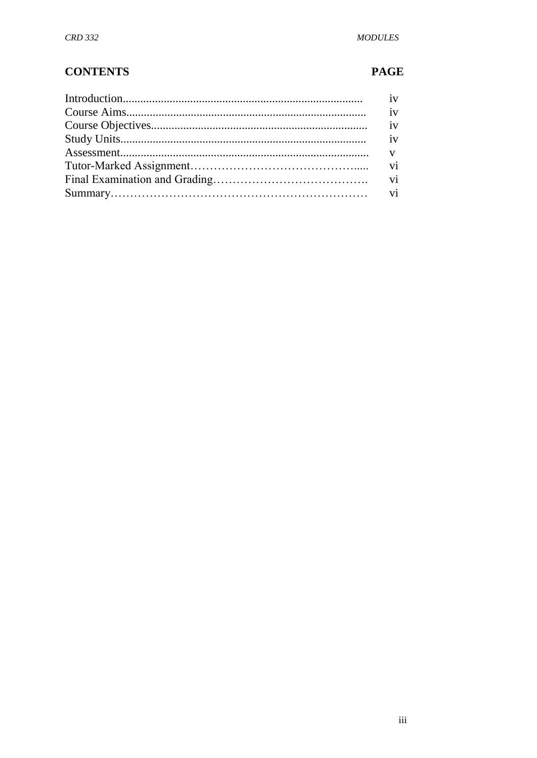# **CONTENTS**

### **PAGE**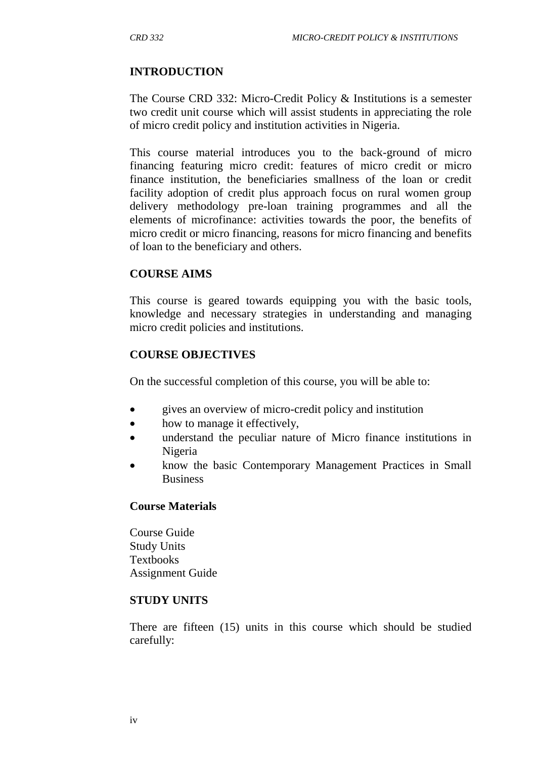### **INTRODUCTION**

The Course CRD 332: Micro-Credit Policy & Institutions is a semester two credit unit course which will assist students in appreciating the role of micro credit policy and institution activities in Nigeria.

This course material introduces you to the back-ground of micro financing featuring micro credit: features of micro credit or micro finance institution, the beneficiaries smallness of the loan or credit facility adoption of credit plus approach focus on rural women group delivery methodology pre-loan training programmes and all the elements of microfinance: activities towards the poor, the benefits of micro credit or micro financing, reasons for micro financing and benefits of loan to the beneficiary and others.

#### **COURSE AIMS**

This course is geared towards equipping you with the basic tools, knowledge and necessary strategies in understanding and managing micro credit policies and institutions.

#### **COURSE OBJECTIVES**

On the successful completion of this course, you will be able to:

- gives an overview of micro-credit policy and institution
- how to manage it effectively,
- understand the peculiar nature of Micro finance institutions in Nigeria
- know the basic Contemporary Management Practices in Small Business

#### **Course Materials**

Course Guide Study Units Textbooks Assignment Guide

#### **STUDY UNITS**

There are fifteen (15) units in this course which should be studied carefully: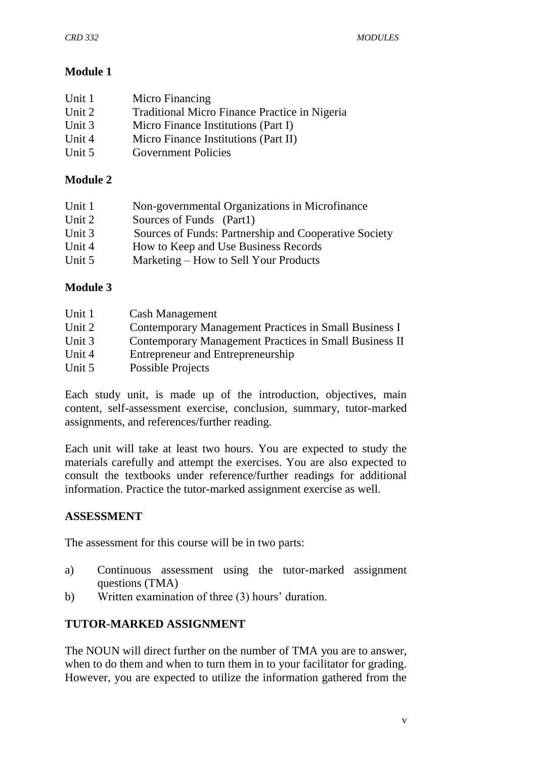# **Module 1**

| Unit 1 | Micro Financing                               |
|--------|-----------------------------------------------|
| Unit 2 | Traditional Micro Finance Practice in Nigeria |
| Unit 3 | Micro Finance Institutions (Part I)           |
| Unit 4 | Micro Finance Institutions (Part II)          |
| Unit 5 | <b>Government Policies</b>                    |

### **Module 2**

| Unit 1 | Non-governmental Organizations in Microfinance        |
|--------|-------------------------------------------------------|
| Unit 2 | Sources of Funds (Part1)                              |
| Unit 3 | Sources of Funds: Partnership and Cooperative Society |
| Unit 4 | How to Keep and Use Business Records                  |
| Unit 5 | Marketing – How to Sell Your Products                 |

### **Module 3**

| Unit 1 | <b>Cash Management</b>                                 |
|--------|--------------------------------------------------------|
| Unit 2 | Contemporary Management Practices in Small Business I  |
| Unit 3 | Contemporary Management Practices in Small Business II |
| Unit 4 | Entrepreneur and Entrepreneurship                      |
| Unit 5 | Possible Projects                                      |
|        |                                                        |

Each study unit, is made up of the introduction, objectives, main content, self-assessment exercise, conclusion, summary, tutor-marked assignments, and references/further reading.

Each unit will take at least two hours. You are expected to study the materials carefully and attempt the exercises. You are also expected to consult the textbooks under reference/further readings for additional information. Practice the tutor-marked assignment exercise as well.

### **ASSESSMENT**

The assessment for this course will be in two parts:

- a) Continuous assessment using the tutor-marked assignment questions (TMA)
- b) Written examination of three (3) hours' duration.

### **TUTOR-MARKED ASSIGNMENT**

The NOUN will direct further on the number of TMA you are to answer, when to do them and when to turn them in to your facilitator for grading. However, you are expected to utilize the information gathered from the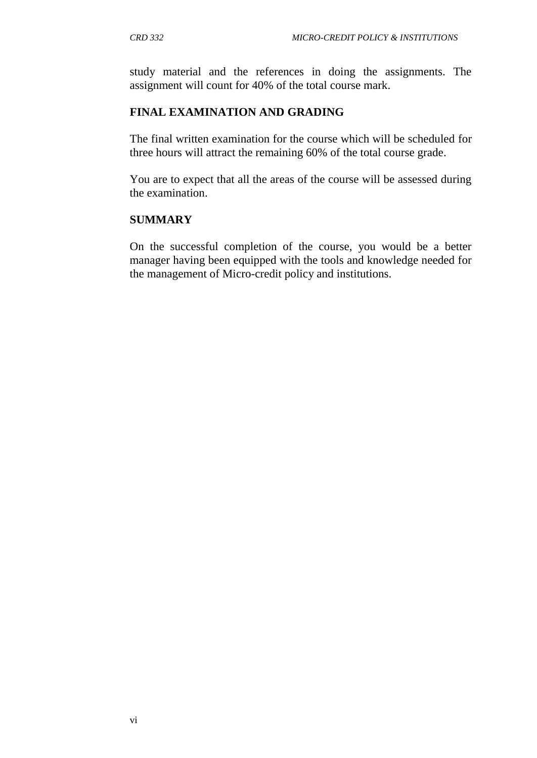study material and the references in doing the assignments. The assignment will count for 40% of the total course mark.

## **FINAL EXAMINATION AND GRADING**

The final written examination for the course which will be scheduled for three hours will attract the remaining 60% of the total course grade.

You are to expect that all the areas of the course will be assessed during the examination.

### **SUMMARY**

On the successful completion of the course, you would be a better manager having been equipped with the tools and knowledge needed for the management of Micro-credit policy and institutions.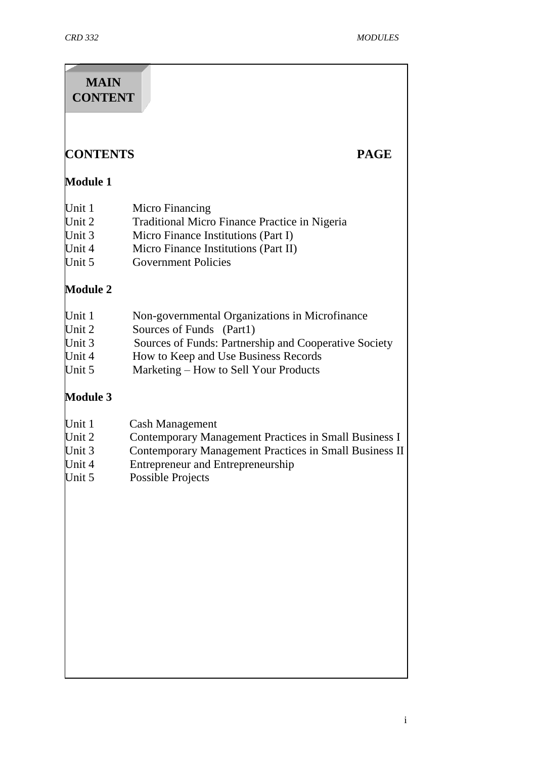| <b>MAIN</b><br><b>CONTENT</b>                  |                                                                                                                                                                                                                      |             |
|------------------------------------------------|----------------------------------------------------------------------------------------------------------------------------------------------------------------------------------------------------------------------|-------------|
| <b>CONTENTS</b>                                |                                                                                                                                                                                                                      | <b>PAGE</b> |
| <b>Module 1</b>                                |                                                                                                                                                                                                                      |             |
| Unit 1<br>Unit 2<br>Unit 3<br>Unit 4<br>Unit 5 | Micro Financing<br>Traditional Micro Finance Practice in Nigeria<br>Micro Finance Institutions (Part I)<br>Micro Finance Institutions (Part II)<br><b>Government Policies</b>                                        |             |
| <b>Module 2</b>                                |                                                                                                                                                                                                                      |             |
| Unit 1<br>Unit 2<br>Unit 3<br>Unit 4<br>Unit 5 | Non-governmental Organizations in Microfinance<br>Sources of Funds (Part1)<br>Sources of Funds: Partnership and Cooperative Society<br>How to Keep and Use Business Records<br>Marketing – How to Sell Your Products |             |
| <b>Module 3</b>                                |                                                                                                                                                                                                                      |             |
| Unit 1<br>Unit 2<br>Unit 3<br>Unit 4<br>Unit 5 | <b>Cash Management</b><br>Contemporary Management Practices in Small Business I<br>Contemporary Management Practices in Small Business II<br><b>Entrepreneur and Entrepreneurship</b><br>Possible Projects           |             |
|                                                |                                                                                                                                                                                                                      |             |
|                                                |                                                                                                                                                                                                                      |             |
|                                                |                                                                                                                                                                                                                      |             |
|                                                |                                                                                                                                                                                                                      |             |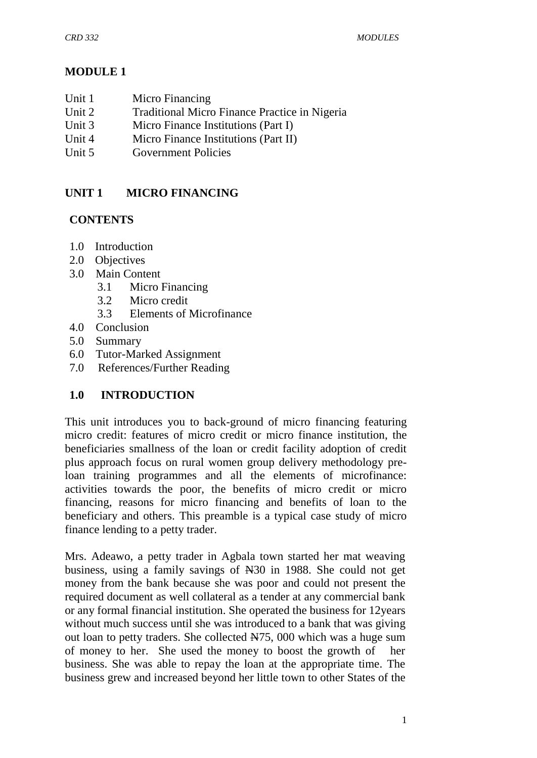## **MODULE 1**

- Unit 1 Micro Financing
- Unit 2 Traditional Micro Finance Practice in Nigeria
- Unit 3 Micro Finance Institutions (Part I)
- Unit 4 Micro Finance Institutions (Part II)
- Unit 5 Government Policies

# **UNIT 1 MICRO FINANCING**

### **CONTENTS**

- 1.0 Introduction
- 2.0 Objectives
- 3.0 Main Content
	- 3.1 Micro Financing
	- 3.2 Micro credit
	- 3.3 Elements of Microfinance
- 4.0 Conclusion
- 5.0 Summary
- 6.0 Tutor-Marked Assignment
- 7.0 References/Further Reading

### **1.0 INTRODUCTION**

This unit introduces you to back-ground of micro financing featuring micro credit: features of micro credit or micro finance institution, the beneficiaries smallness of the loan or credit facility adoption of credit plus approach focus on rural women group delivery methodology preloan training programmes and all the elements of microfinance: activities towards the poor, the benefits of micro credit or micro financing, reasons for micro financing and benefits of loan to the beneficiary and others. This preamble is a typical case study of micro finance lending to a petty trader.

Mrs. Adeawo, a petty trader in Agbala town started her mat weaving business, using a family savings of N30 in 1988. She could not get money from the bank because she was poor and could not present the required document as well collateral as a tender at any commercial bank or any formal financial institution. She operated the business for 12years without much success until she was introduced to a bank that was giving out loan to petty traders. She collected N75, 000 which was a huge sum of money to her. She used the money to boost the growth of her business. She was able to repay the loan at the appropriate time. The business grew and increased beyond her little town to other States of the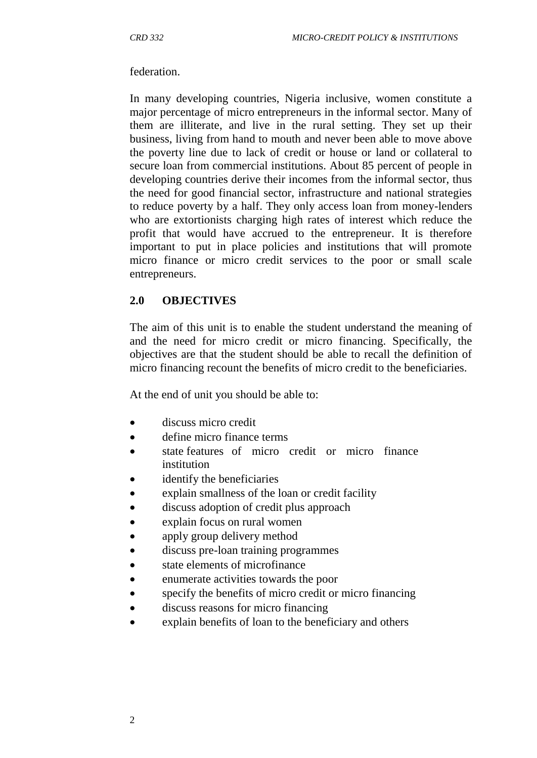#### federation.

In many developing countries, Nigeria inclusive, women constitute a major percentage of micro entrepreneurs in the informal sector. Many of them are illiterate, and live in the rural setting. They set up their business, living from hand to mouth and never been able to move above the poverty line due to lack of credit or house or land or collateral to secure loan from commercial institutions. About 85 percent of people in developing countries derive their incomes from the informal sector, thus the need for good financial sector, infrastructure and national strategies to reduce poverty by a half. They only access loan from money-lenders who are extortionists charging high rates of interest which reduce the profit that would have accrued to the entrepreneur. It is therefore important to put in place policies and institutions that will promote micro finance or micro credit services to the poor or small scale entrepreneurs.

### **2.0 OBJECTIVES**

The aim of this unit is to enable the student understand the meaning of and the need for micro credit or micro financing. Specifically, the objectives are that the student should be able to recall the definition of micro financing recount the benefits of micro credit to the beneficiaries.

At the end of unit you should be able to:

- $\bullet$  discuss micro credit
- define micro finance terms
- state features of micro credit or micro finance institution
- identify the beneficiaries
- explain smallness of the loan or credit facility
- discuss adoption of credit plus approach
- explain focus on rural women
- apply group delivery method
- discuss pre-loan training programmes
- state elements of microfinance
- enumerate activities towards the poor
- specify the benefits of micro credit or micro financing
- discuss reasons for micro financing
- explain benefits of loan to the beneficiary and others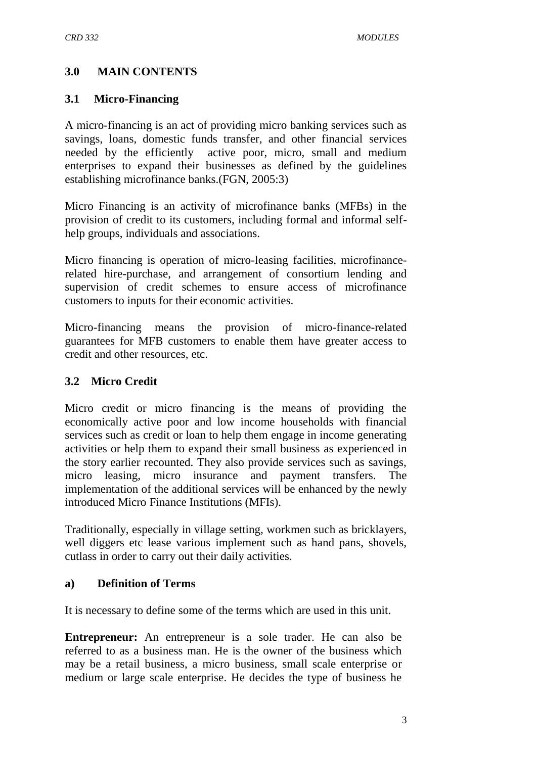### **3.0 MAIN CONTENTS**

#### **3.1 Micro-Financing**

A micro-financing is an act of providing micro banking services such as savings, loans, domestic funds transfer, and other financial services needed by the efficiently active poor, micro, small and medium enterprises to expand their businesses as defined by the guidelines establishing microfinance banks.(FGN, 2005:3)

Micro Financing is an activity of microfinance banks (MFBs) in the provision of credit to its customers, including formal and informal selfhelp groups, individuals and associations.

Micro financing is operation of micro-leasing facilities, microfinancerelated hire-purchase, and arrangement of consortium lending and supervision of credit schemes to ensure access of microfinance customers to inputs for their economic activities.

Micro-financing means the provision of micro-finance-related guarantees for MFB customers to enable them have greater access to credit and other resources, etc.

#### **3.2 Micro Credit**

Micro credit or micro financing is the means of providing the economically active poor and low income households with financial services such as credit or loan to help them engage in income generating activities or help them to expand their small business as experienced in the story earlier recounted. They also provide services such as savings, micro leasing, micro insurance and payment transfers. The implementation of the additional services will be enhanced by the newly introduced Micro Finance Institutions (MFIs).

Traditionally, especially in village setting, workmen such as bricklayers, well diggers etc lease various implement such as hand pans, shovels, cutlass in order to carry out their daily activities.

#### **a) Definition of Terms**

It is necessary to define some of the terms which are used in this unit.

**Entrepreneur:** An entrepreneur is a sole trader. He can also be referred to as a business man. He is the owner of the business which may be a retail business, a micro business, small scale enterprise or medium or large scale enterprise. He decides the type of business he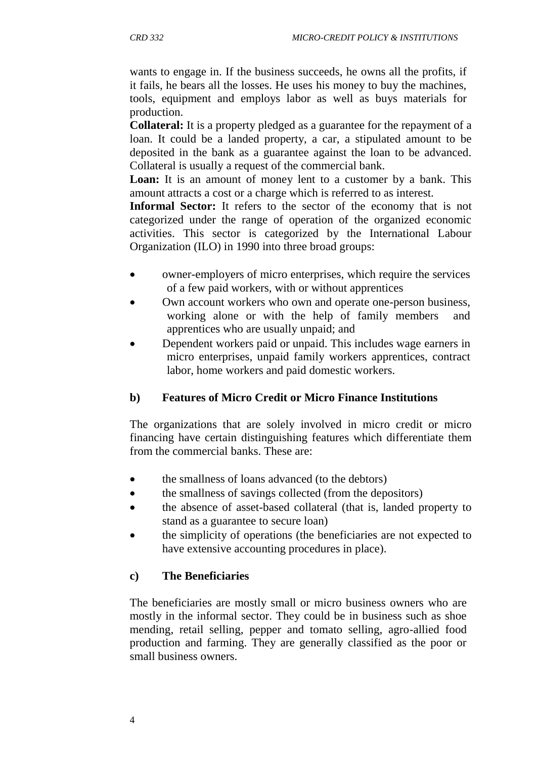wants to engage in. If the business succeeds, he owns all the profits, if it fails, he bears all the losses. He uses his money to buy the machines, tools, equipment and employs labor as well as buys materials for production.

**Collateral:** It is a property pledged as a guarantee for the repayment of a loan. It could be a landed property, a car, a stipulated amount to be deposited in the bank as a guarantee against the loan to be advanced. Collateral is usually a request of the commercial bank.

Loan: It is an amount of money lent to a customer by a bank. This amount attracts a cost or a charge which is referred to as interest.

**Informal Sector:** It refers to the sector of the economy that is not categorized under the range of operation of the organized economic activities. This sector is categorized by the International Labour Organization (ILO) in 1990 into three broad groups:

- owner-employers of micro enterprises, which require the services of a few paid workers, with or without apprentices
- Own account workers who own and operate one-person business, working alone or with the help of family members and apprentices who are usually unpaid; and
- Dependent workers paid or unpaid. This includes wage earners in micro enterprises, unpaid family workers apprentices, contract labor, home workers and paid domestic workers.

#### **b) Features of Micro Credit or Micro Finance Institutions**

The organizations that are solely involved in micro credit or micro financing have certain distinguishing features which differentiate them from the commercial banks. These are:

- the smallness of loans advanced (to the debtors)
- the smallness of savings collected (from the depositors)
- the absence of asset-based collateral (that is, landed property to stand as a guarantee to secure loan)
- the simplicity of operations (the beneficiaries are not expected to have extensive accounting procedures in place).

### **c) The Beneficiaries**

The beneficiaries are mostly small or micro business owners who are mostly in the informal sector. They could be in business such as shoe mending, retail selling, pepper and tomato selling, agro-allied food production and farming. They are generally classified as the poor or small business owners.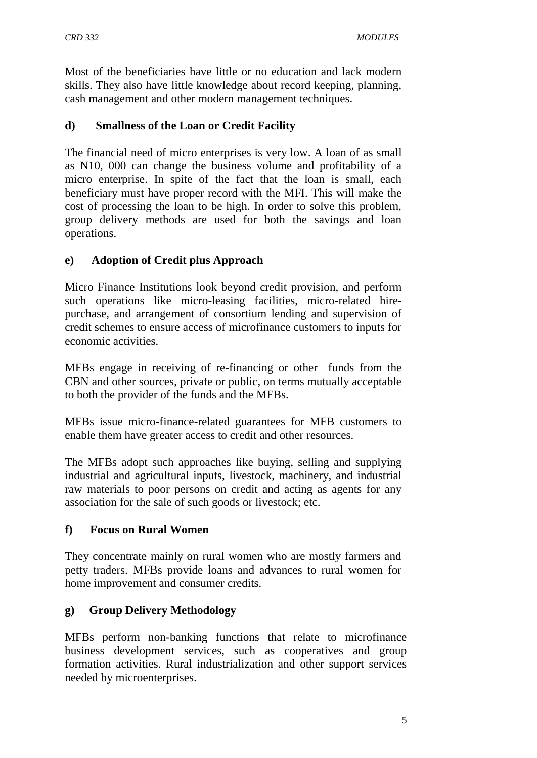Most of the beneficiaries have little or no education and lack modern skills. They also have little knowledge about record keeping, planning, cash management and other modern management techniques.

### **d) Smallness of the Loan or Credit Facility**

The financial need of micro enterprises is very low. A loan of as small as N10, 000 can change the business volume and profitability of a micro enterprise. In spite of the fact that the loan is small, each beneficiary must have proper record with the MFI. This will make the cost of processing the loan to be high. In order to solve this problem, group delivery methods are used for both the savings and loan operations.

### **e) Adoption of Credit plus Approach**

Micro Finance Institutions look beyond credit provision, and perform such operations like micro-leasing facilities, micro-related hirepurchase, and arrangement of consortium lending and supervision of credit schemes to ensure access of microfinance customers to inputs for economic activities.

MFBs engage in receiving of re-financing or other funds from the CBN and other sources, private or public, on terms mutually acceptable to both the provider of the funds and the MFBs.

MFBs issue micro-finance-related guarantees for MFB customers to enable them have greater access to credit and other resources.

The MFBs adopt such approaches like buying, selling and supplying industrial and agricultural inputs, livestock, machinery, and industrial raw materials to poor persons on credit and acting as agents for any association for the sale of such goods or livestock; etc.

#### **f) Focus on Rural Women**

They concentrate mainly on rural women who are mostly farmers and petty traders. MFBs provide loans and advances to rural women for home improvement and consumer credits.

### **g) Group Delivery Methodology**

MFBs perform non-banking functions that relate to microfinance business development services, such as cooperatives and group formation activities. Rural industrialization and other support services needed by microenterprises.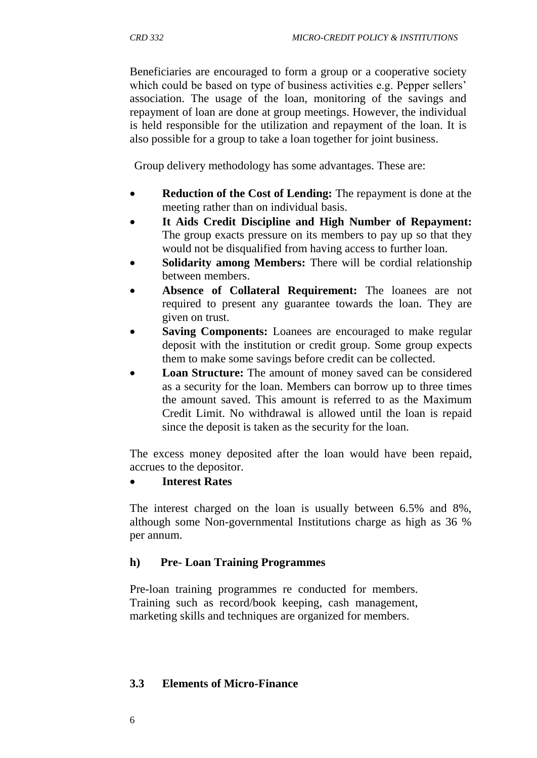Beneficiaries are encouraged to form a group or a cooperative society which could be based on type of business activities e.g. Pepper sellers' association. The usage of the loan, monitoring of the savings and repayment of loan are done at group meetings. However, the individual is held responsible for the utilization and repayment of the loan. It is also possible for a group to take a loan together for joint business.

Group delivery methodology has some advantages. These are:

- **Reduction of the Cost of Lending:** The repayment is done at the meeting rather than on individual basis.
- **It Aids Credit Discipline and High Number of Repayment:**  The group exacts pressure on its members to pay up so that they would not be disqualified from having access to further loan.
- **Solidarity among Members:** There will be cordial relationship between members.
- **Absence of Collateral Requirement:** The loanees are not required to present any guarantee towards the loan. They are given on trust.
- **Saving Components:** Loanees are encouraged to make regular deposit with the institution or credit group. Some group expects them to make some savings before credit can be collected.
- **Loan Structure:** The amount of money saved can be considered as a security for the loan. Members can borrow up to three times the amount saved. This amount is referred to as the Maximum Credit Limit. No withdrawal is allowed until the loan is repaid since the deposit is taken as the security for the loan.

The excess money deposited after the loan would have been repaid, accrues to the depositor.

#### **Interest Rates**

The interest charged on the loan is usually between 6.5% and 8%, although some Non-governmental Institutions charge as high as 36 % per annum.

### **h) Pre- Loan Training Programmes**

Pre-loan training programmes re conducted for members. Training such as record/book keeping, cash management, marketing skills and techniques are organized for members.

#### **3.3 Elements of Micro-Finance**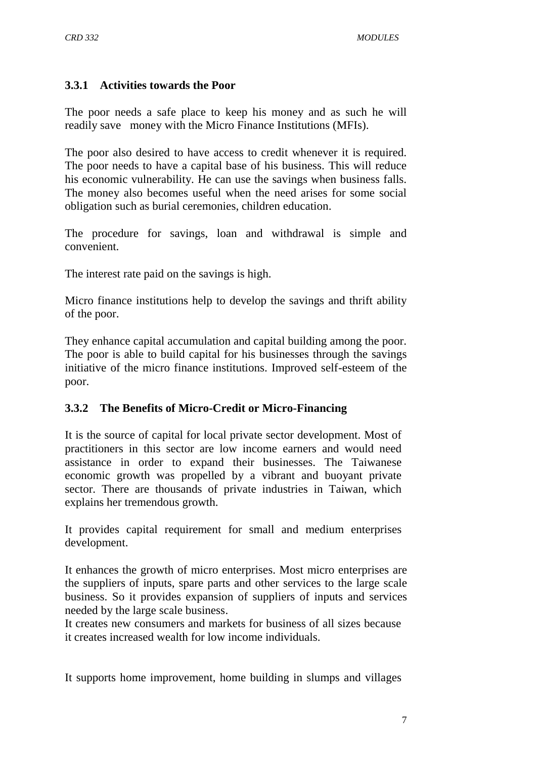#### **3.3.1 Activities towards the Poor**

The poor needs a safe place to keep his money and as such he will readily save money with the Micro Finance Institutions (MFIs).

The poor also desired to have access to credit whenever it is required. The poor needs to have a capital base of his business. This will reduce his economic vulnerability. He can use the savings when business falls. The money also becomes useful when the need arises for some social obligation such as burial ceremonies, children education.

The procedure for savings, loan and withdrawal is simple and convenient.

The interest rate paid on the savings is high.

Micro finance institutions help to develop the savings and thrift ability of the poor.

They enhance capital accumulation and capital building among the poor. The poor is able to build capital for his businesses through the savings initiative of the micro finance institutions. Improved self-esteem of the poor.

#### **3.3.2 The Benefits of Micro-Credit or Micro-Financing**

It is the source of capital for local private sector development. Most of practitioners in this sector are low income earners and would need assistance in order to expand their businesses. The Taiwanese economic growth was propelled by a vibrant and buoyant private sector. There are thousands of private industries in Taiwan, which explains her tremendous growth.

It provides capital requirement for small and medium enterprises development.

It enhances the growth of micro enterprises. Most micro enterprises are the suppliers of inputs, spare parts and other services to the large scale business. So it provides expansion of suppliers of inputs and services needed by the large scale business.

It creates new consumers and markets for business of all sizes because it creates increased wealth for low income individuals.

It supports home improvement, home building in slumps and villages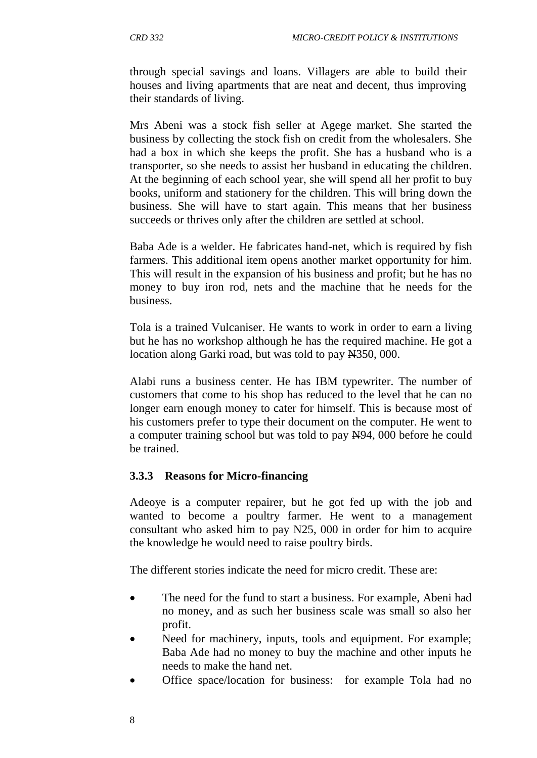through special savings and loans. Villagers are able to build their houses and living apartments that are neat and decent, thus improving their standards of living.

Mrs Abeni was a stock fish seller at Agege market. She started the business by collecting the stock fish on credit from the wholesalers. She had a box in which she keeps the profit. She has a husband who is a transporter, so she needs to assist her husband in educating the children. At the beginning of each school year, she will spend all her profit to buy books, uniform and stationery for the children. This will bring down the business. She will have to start again. This means that her business succeeds or thrives only after the children are settled at school.

Baba Ade is a welder. He fabricates hand-net, which is required by fish farmers. This additional item opens another market opportunity for him. This will result in the expansion of his business and profit; but he has no money to buy iron rod, nets and the machine that he needs for the business.

Tola is a trained Vulcaniser. He wants to work in order to earn a living but he has no workshop although he has the required machine. He got a location along Garki road, but was told to pay N350, 000.

Alabi runs a business center. He has IBM typewriter. The number of customers that come to his shop has reduced to the level that he can no longer earn enough money to cater for himself. This is because most of his customers prefer to type their document on the computer. He went to a computer training school but was told to pay N94, 000 before he could be trained.

#### **3.3.3 Reasons for Micro-financing**

Adeoye is a computer repairer, but he got fed up with the job and wanted to become a poultry farmer. He went to a management consultant who asked him to pay N25, 000 in order for him to acquire the knowledge he would need to raise poultry birds.

The different stories indicate the need for micro credit. These are:

- The need for the fund to start a business. For example, Abeni had no money, and as such her business scale was small so also her profit.
- Need for machinery, inputs, tools and equipment. For example; Baba Ade had no money to buy the machine and other inputs he needs to make the hand net.
- Office space/location for business: for example Tola had no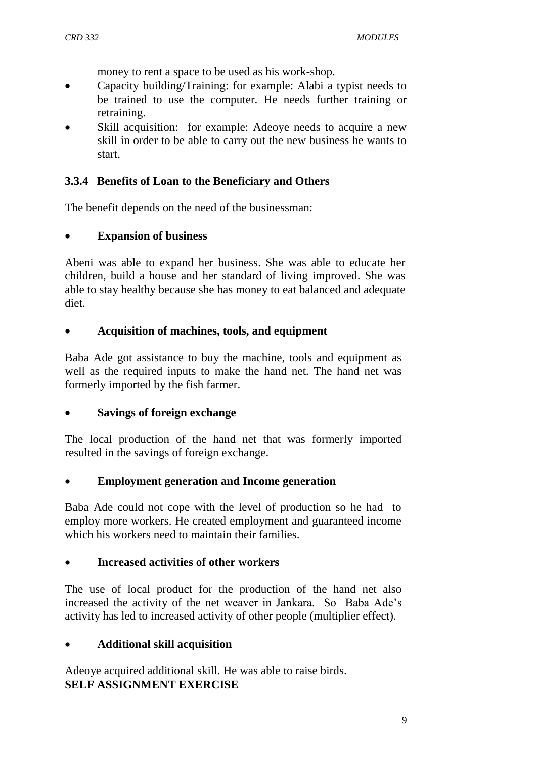money to rent a space to be used as his work-shop.

- Capacity building/Training: for example: Alabi a typist needs to be trained to use the computer. He needs further training or retraining.
- Skill acquisition: for example: Adeoye needs to acquire a new skill in order to be able to carry out the new business he wants to start.

### **3.3.4 Benefits of Loan to the Beneficiary and Others**

The benefit depends on the need of the businessman:

#### **Expansion of business**

Abeni was able to expand her business. She was able to educate her children, build a house and her standard of living improved. She was able to stay healthy because she has money to eat balanced and adequate diet.

#### **Acquisition of machines, tools, and equipment**

Baba Ade got assistance to buy the machine, tools and equipment as well as the required inputs to make the hand net. The hand net was formerly imported by the fish farmer.

#### **Savings of foreign exchange**

The local production of the hand net that was formerly imported resulted in the savings of foreign exchange.

#### **Employment generation and Income generation**

Baba Ade could not cope with the level of production so he had to employ more workers. He created employment and guaranteed income which his workers need to maintain their families.

#### **Increased activities of other workers**

The use of local product for the production of the hand net also increased the activity of the net weaver in Jankara. So Baba Ade"s activity has led to increased activity of other people (multiplier effect).

### **Additional skill acquisition**

Adeoye acquired additional skill. He was able to raise birds. **SELF ASSIGNMENT EXERCISE**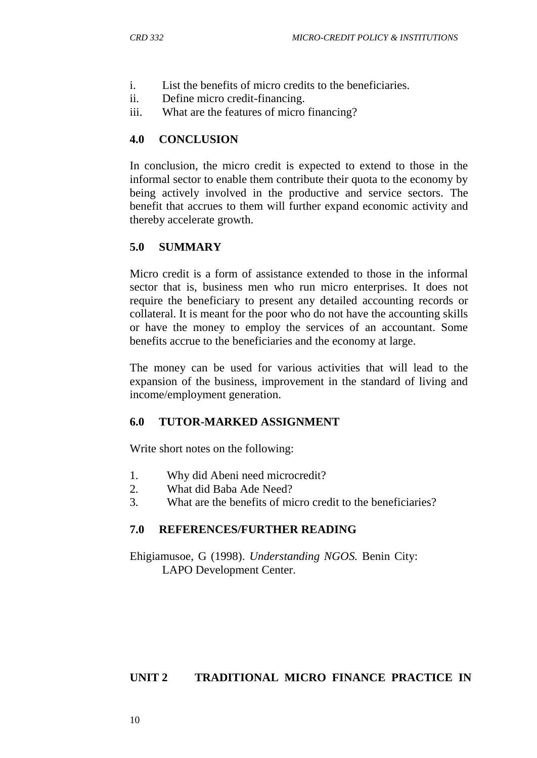- i. List the benefits of micro credits to the beneficiaries.
- ii. Define micro credit-financing.
- iii. What are the features of micro financing?

### **4.0 CONCLUSION**

In conclusion, the micro credit is expected to extend to those in the informal sector to enable them contribute their quota to the economy by being actively involved in the productive and service sectors. The benefit that accrues to them will further expand economic activity and thereby accelerate growth.

### **5.0 SUMMARY**

Micro credit is a form of assistance extended to those in the informal sector that is, business men who run micro enterprises. It does not require the beneficiary to present any detailed accounting records or collateral. It is meant for the poor who do not have the accounting skills or have the money to employ the services of an accountant. Some benefits accrue to the beneficiaries and the economy at large.

The money can be used for various activities that will lead to the expansion of the business, improvement in the standard of living and income/employment generation.

### **6.0 TUTOR-MARKED ASSIGNMENT**

Write short notes on the following:

- 1. Why did Abeni need microcredit?
- 2. What did Baba Ade Need?
- 3. What are the benefits of micro credit to the beneficiaries?

### **7.0 REFERENCES/FURTHER READING**

Ehigiamusoe, G (1998). *Understanding NGOS.* Benin City: LAPO Development Center.

### **UNIT 2 TRADITIONAL MICRO FINANCE PRACTICE IN**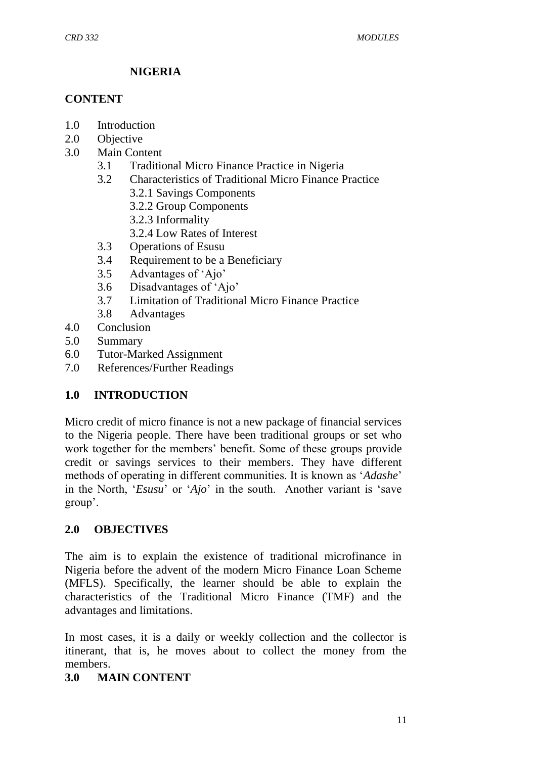### **NIGERIA**

#### **CONTENT**

- 1.0 Introduction
- 2.0 Objective
- 3.0 Main Content
	- 3.1 Traditional Micro Finance Practice in Nigeria
	- 3.2 Characteristics of Traditional Micro Finance Practice
		- 3.2.1 Savings Components
		- 3.2.2 Group Components
		- 3.2.3 Informality
		- 3.2.4 Low Rates of Interest
	- 3.3 Operations of Esusu
	- 3.4 Requirement to be a Beneficiary
	- 3.5 Advantages of "Ajo"
	- 3.6 Disadvantages of "Ajo"
	- 3.7 Limitation of Traditional Micro Finance Practice
	- 3.8 Advantages
- 4.0 Conclusion
- 5.0 Summary
- 6.0 Tutor-Marked Assignment
- 7.0 References/Further Readings

#### **1.0 INTRODUCTION**

Micro credit of micro finance is not a new package of financial services to the Nigeria people. There have been traditional groups or set who work together for the members" benefit. Some of these groups provide credit or savings services to their members. They have different methods of operating in different communities. It is known as "*Adashe*" in the North, "*Esusu*" or "*Ajo*" in the south. Another variant is "save group".

#### **2.0 OBJECTIVES**

The aim is to explain the existence of traditional microfinance in Nigeria before the advent of the modern Micro Finance Loan Scheme (MFLS). Specifically, the learner should be able to explain the characteristics of the Traditional Micro Finance (TMF) and the advantages and limitations.

In most cases, it is a daily or weekly collection and the collector is itinerant, that is, he moves about to collect the money from the members.

#### **3.0 MAIN CONTENT**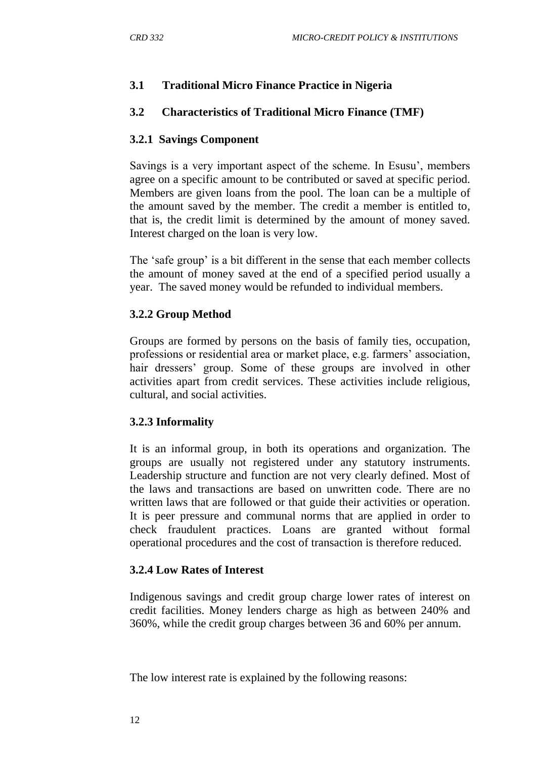## **3.1 Traditional Micro Finance Practice in Nigeria**

## **3.2 Characteristics of Traditional Micro Finance (TMF)**

### **3.2.1 Savings Component**

Savings is a very important aspect of the scheme. In Esusu", members agree on a specific amount to be contributed or saved at specific period. Members are given loans from the pool. The loan can be a multiple of the amount saved by the member. The credit a member is entitled to, that is, the credit limit is determined by the amount of money saved. Interest charged on the loan is very low.

The 'safe group' is a bit different in the sense that each member collects the amount of money saved at the end of a specified period usually a year. The saved money would be refunded to individual members.

### **3.2.2 Group Method**

Groups are formed by persons on the basis of family ties, occupation, professions or residential area or market place, e.g. farmers' association, hair dressers' group. Some of these groups are involved in other activities apart from credit services. These activities include religious, cultural, and social activities.

### **3.2.3 Informality**

It is an informal group, in both its operations and organization. The groups are usually not registered under any statutory instruments. Leadership structure and function are not very clearly defined. Most of the laws and transactions are based on unwritten code. There are no written laws that are followed or that guide their activities or operation. It is peer pressure and communal norms that are applied in order to check fraudulent practices. Loans are granted without formal operational procedures and the cost of transaction is therefore reduced.

#### **3.2.4 Low Rates of Interest**

Indigenous savings and credit group charge lower rates of interest on credit facilities. Money lenders charge as high as between 240% and 360%, while the credit group charges between 36 and 60% per annum.

The low interest rate is explained by the following reasons: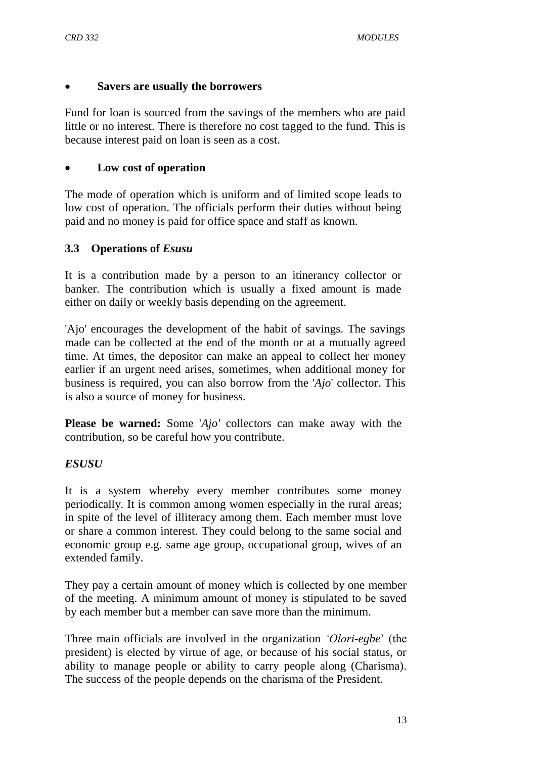### **Savers are usually the borrowers**

Fund for loan is sourced from the savings of the members who are paid little or no interest. There is therefore no cost tagged to the fund. This is because interest paid on loan is seen as a cost.

### **Low cost of operation**

The mode of operation which is uniform and of limited scope leads to low cost of operation. The officials perform their duties without being paid and no money is paid for office space and staff as known.

### **3.3 Operations of** *Esusu*

It is a contribution made by a person to an itinerancy collector or banker. The contribution which is usually a fixed amount is made either on daily or weekly basis depending on the agreement.

'Ajo' encourages the development of the habit of savings. The savings made can be collected at the end of the month or at a mutually agreed time. At times, the depositor can make an appeal to collect her money earlier if an urgent need arises, sometimes, when additional money for business is required, you can also borrow from the '*Ajo*' collector. This is also a source of money for business.

**Please be warned:** Some '*Ajo'* collectors can make away with the contribution, so be careful how you contribute.

#### *ESUSU*

It is a system whereby every member contributes some money periodically. It is common among women especially in the rural areas; in spite of the level of illiteracy among them. Each member must love or share a common interest. They could belong to the same social and economic group e.g. same age group, occupational group, wives of an extended family.

They pay a certain amount of money which is collected by one member of the meeting. A minimum amount of money is stipulated to be saved by each member but a member can save more than the minimum.

Three main officials are involved in the organization *"Olori-egbe*" (the president) is elected by virtue of age, or because of his social status, or ability to manage people or ability to carry people along (Charisma). The success of the people depends on the charisma of the President.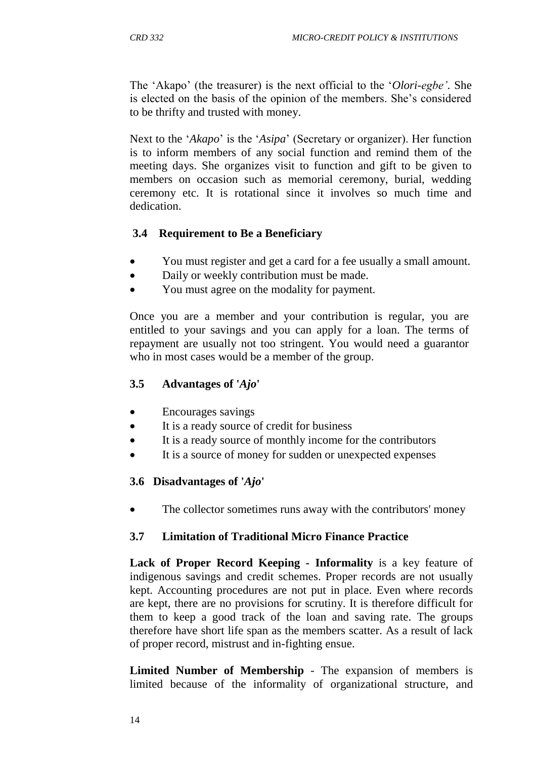The "Akapo" (the treasurer) is the next official to the "*Olori-egbe"*. She is elected on the basis of the opinion of the members. She"s considered to be thrifty and trusted with money.

Next to the '*Akapo*' is the '*Asipa*' (Secretary or organizer). Her function is to inform members of any social function and remind them of the meeting days. She organizes visit to function and gift to be given to members on occasion such as memorial ceremony, burial, wedding ceremony etc. It is rotational since it involves so much time and dedication.

#### **3.4 Requirement to Be a Beneficiary**

- You must register and get a card for a fee usually a small amount.
- Daily or weekly contribution must be made.
- You must agree on the modality for payment.

Once you are a member and your contribution is regular, you are entitled to your savings and you can apply for a loan. The terms of repayment are usually not too stringent. You would need a guarantor who in most cases would be a member of the group.

#### **3.5 Advantages of '***Ajo***'**

- Encourages savings
- It is a ready source of credit for business
- It is a ready source of monthly income for the contributors
- It is a source of money for sudden or unexpected expenses

#### **3.6 Disadvantages of '***Ajo***'**

The collector sometimes runs away with the contributors' money

#### **3.7 Limitation of Traditional Micro Finance Practice**

**Lack of Proper Record Keeping - Informality** is a key feature of indigenous savings and credit schemes. Proper records are not usually kept. Accounting procedures are not put in place. Even where records are kept, there are no provisions for scrutiny. It is therefore difficult for them to keep a good track of the loan and saving rate. The groups therefore have short life span as the members scatter. As a result of lack of proper record, mistrust and in-fighting ensue.

**Limited Number of Membership** - The expansion of members is limited because of the informality of organizational structure, and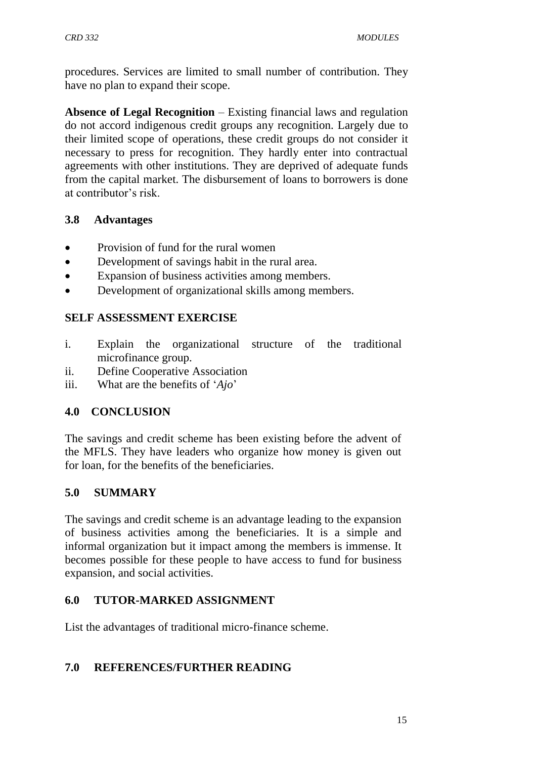procedures. Services are limited to small number of contribution. They have no plan to expand their scope.

**Absence of Legal Recognition** – Existing financial laws and regulation do not accord indigenous credit groups any recognition. Largely due to their limited scope of operations, these credit groups do not consider it necessary to press for recognition. They hardly enter into contractual agreements with other institutions. They are deprived of adequate funds from the capital market. The disbursement of loans to borrowers is done at contributor"s risk.

### **3.8 Advantages**

- Provision of fund for the rural women
- Development of savings habit in the rural area.
- Expansion of business activities among members.
- Development of organizational skills among members.

### **SELF ASSESSMENT EXERCISE**

- i. Explain the organizational structure of the traditional microfinance group.
- ii. Define Cooperative Association
- iii. What are the benefits of '*Ajo*'

#### **4.0 CONCLUSION**

The savings and credit scheme has been existing before the advent of the MFLS. They have leaders who organize how money is given out for loan, for the benefits of the beneficiaries.

#### **5.0 SUMMARY**

The savings and credit scheme is an advantage leading to the expansion of business activities among the beneficiaries. It is a simple and informal organization but it impact among the members is immense. It becomes possible for these people to have access to fund for business expansion, and social activities.

#### **6.0 TUTOR-MARKED ASSIGNMENT**

List the advantages of traditional micro-finance scheme.

#### **7.0 REFERENCES/FURTHER READING**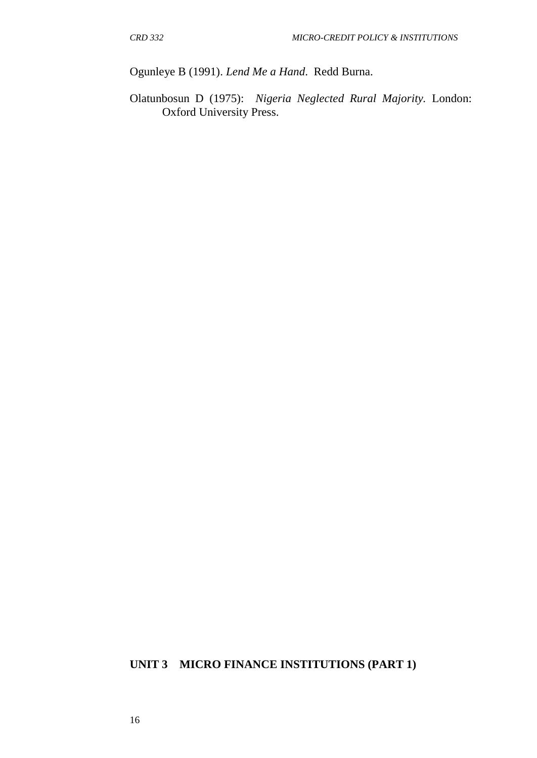Ogunleye B (1991). *Lend Me a Hand*. Redd Burna.

Olatunbosun D (1975): *Nigeria Neglected Rural Majority.* London: Oxford University Press.

#### **UNIT 3 MICRO FINANCE INSTITUTIONS (PART 1)**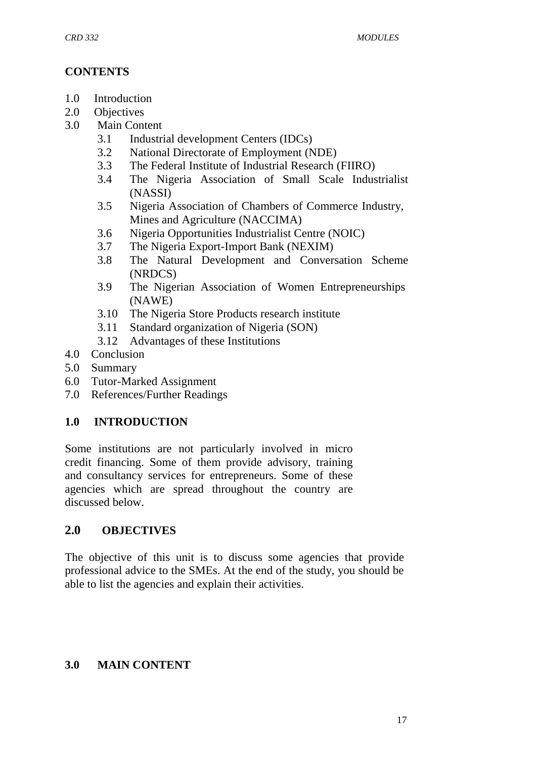# **CONTENTS**

- 1.0 Introduction
- 2.0 Objectives
- 3.0 Main Content
	- 3.1 Industrial development Centers (IDCs)
	- 3.2 National Directorate of Employment (NDE)
	- 3.3 The Federal Institute of Industrial Research (FIIRO)
	- 3.4 The Nigeria Association of Small Scale Industrialist (NASSI)
	- 3.5 Nigeria Association of Chambers of Commerce Industry, Mines and Agriculture (NACCIMA)
	- 3.6 Nigeria Opportunities Industrialist Centre (NOIC)
	- 3.7 The Nigeria Export-Import Bank (NEXIM)
	- 3.8 The Natural Development and Conversation Scheme (NRDCS)
	- 3.9 The Nigerian Association of Women Entrepreneurships (NAWE)
	- 3.10 The Nigeria Store Products research institute
	- 3.11 Standard organization of Nigeria (SON)
	- 3.12 Advantages of these Institutions
- 4.0 Conclusion
- 5.0 Summary
- 6.0 Tutor-Marked Assignment
- 7.0 References/Further Readings

# **1.0 INTRODUCTION**

Some institutions are not particularly involved in micro credit financing. Some of them provide advisory, training and consultancy services for entrepreneurs. Some of these agencies which are spread throughout the country are discussed below.

# **2.0 OBJECTIVES**

The objective of this unit is to discuss some agencies that provide professional advice to the SMEs. At the end of the study, you should be able to list the agencies and explain their activities.

# **3.0 MAIN CONTENT**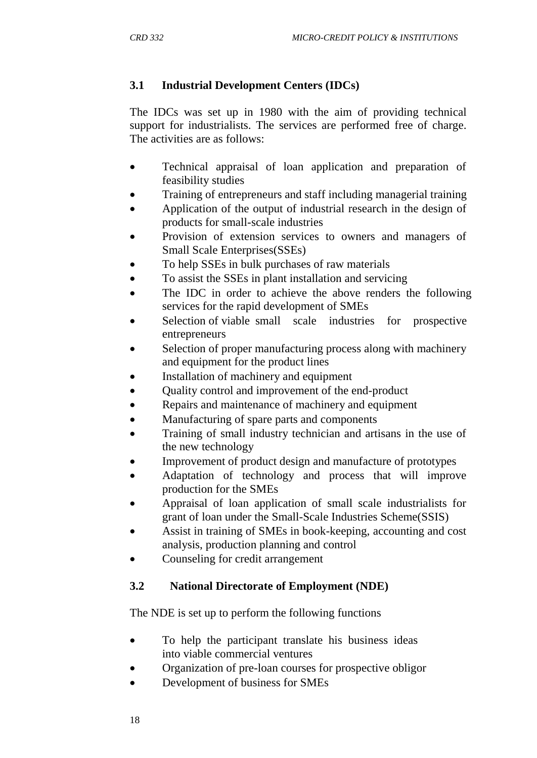# **3.1 Industrial Development Centers (IDCs)**

The IDCs was set up in 1980 with the aim of providing technical support for industrialists. The services are performed free of charge. The activities are as follows:

- Technical appraisal of loan application and preparation of feasibility studies
- Training of entrepreneurs and staff including managerial training
- Application of the output of industrial research in the design of products for small-scale industries
- Provision of extension services to owners and managers of Small Scale Enterprises(SSEs)
- To help SSEs in bulk purchases of raw materials
- To assist the SSEs in plant installation and servicing
- The IDC in order to achieve the above renders the following services for the rapid development of SMEs
- Selection of viable small scale industries for prospective entrepreneurs
- Selection of proper manufacturing process along with machinery and equipment for the product lines
- Installation of machinery and equipment
- Ouality control and improvement of the end-product
- Repairs and maintenance of machinery and equipment
- Manufacturing of spare parts and components
- Training of small industry technician and artisans in the use of the new technology
- Improvement of product design and manufacture of prototypes
- Adaptation of technology and process that will improve production for the SMEs
- Appraisal of loan application of small scale industrialists for grant of loan under the Small-Scale Industries Scheme(SSIS)
- Assist in training of SMEs in book-keeping, accounting and cost analysis, production planning and control
- Counseling for credit arrangement

# **3.2 National Directorate of Employment (NDE)**

The NDE is set up to perform the following functions

- To help the participant translate his business ideas into viable commercial ventures
- Organization of pre-loan courses for prospective obligor
- Development of business for SMEs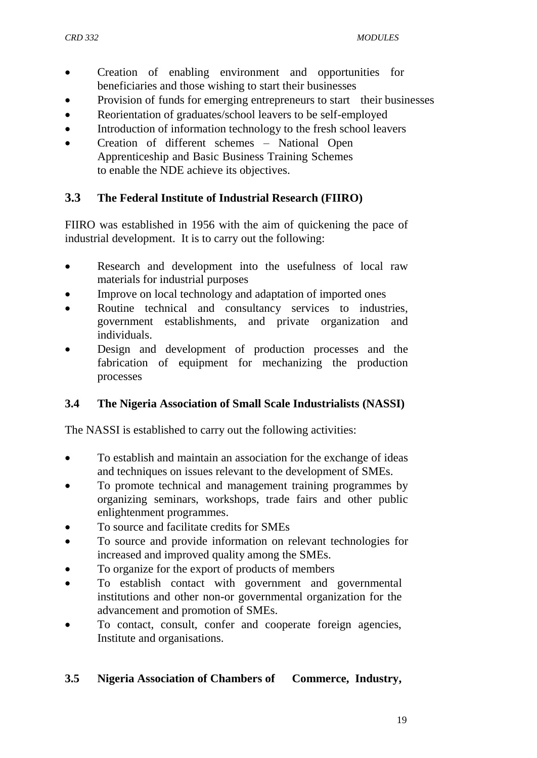- Creation of enabling environment and opportunities for beneficiaries and those wishing to start their businesses
- Provision of funds for emerging entrepreneurs to start their businesses
- Reorientation of graduates/school leavers to be self-employed
- Introduction of information technology to the fresh school leavers
- Creation of different schemes National Open Apprenticeship and Basic Business Training Schemes to enable the NDE achieve its objectives.

### **3.3 The Federal Institute of Industrial Research (FIIRO)**

FIIRO was established in 1956 with the aim of quickening the pace of industrial development. It is to carry out the following:

- Research and development into the usefulness of local raw materials for industrial purposes
- Improve on local technology and adaptation of imported ones
- Routine technical and consultancy services to industries, government establishments, and private organization and individuals.
- Design and development of production processes and the fabrication of equipment for mechanizing the production processes

### **3.4 The Nigeria Association of Small Scale Industrialists (NASSI)**

The NASSI is established to carry out the following activities:

- To establish and maintain an association for the exchange of ideas and techniques on issues relevant to the development of SMEs.
- To promote technical and management training programmes by organizing seminars, workshops, trade fairs and other public enlightenment programmes.
- To source and facilitate credits for SMEs
- To source and provide information on relevant technologies for increased and improved quality among the SMEs.
- To organize for the export of products of members
- To establish contact with government and governmental institutions and other non-or governmental organization for the advancement and promotion of SMEs.
- To contact, consult, confer and cooperate foreign agencies, Institute and organisations.

### **3.5 Nigeria Association of Chambers of Commerce, Industry,**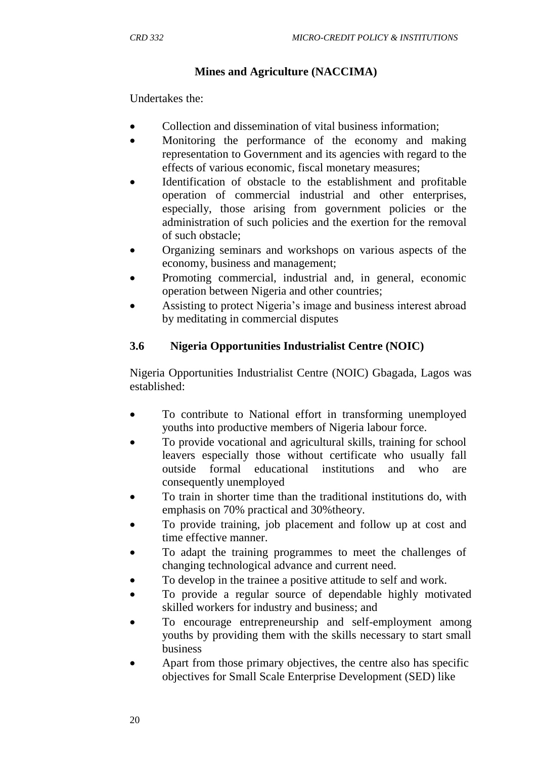## **Mines and Agriculture (NACCIMA)**

Undertakes the:

- Collection and dissemination of vital business information:
- Monitoring the performance of the economy and making representation to Government and its agencies with regard to the effects of various economic, fiscal monetary measures;
- Identification of obstacle to the establishment and profitable operation of commercial industrial and other enterprises, especially, those arising from government policies or the administration of such policies and the exertion for the removal of such obstacle;
- Organizing seminars and workshops on various aspects of the economy, business and management;
- Promoting commercial, industrial and, in general, economic operation between Nigeria and other countries;
- Assisting to protect Nigeria"s image and business interest abroad by meditating in commercial disputes

### **3.6 Nigeria Opportunities Industrialist Centre (NOIC)**

Nigeria Opportunities Industrialist Centre (NOIC) Gbagada, Lagos was established:

- To contribute to National effort in transforming unemployed youths into productive members of Nigeria labour force.
- To provide vocational and agricultural skills, training for school leavers especially those without certificate who usually fall outside formal educational institutions and who are consequently unemployed
- To train in shorter time than the traditional institutions do, with emphasis on 70% practical and 30%theory.
- To provide training, job placement and follow up at cost and time effective manner.
- To adapt the training programmes to meet the challenges of changing technological advance and current need.
- To develop in the trainee a positive attitude to self and work.
- To provide a regular source of dependable highly motivated skilled workers for industry and business; and
- To encourage entrepreneurship and self-employment among youths by providing them with the skills necessary to start small business
- Apart from those primary objectives, the centre also has specific objectives for Small Scale Enterprise Development (SED) like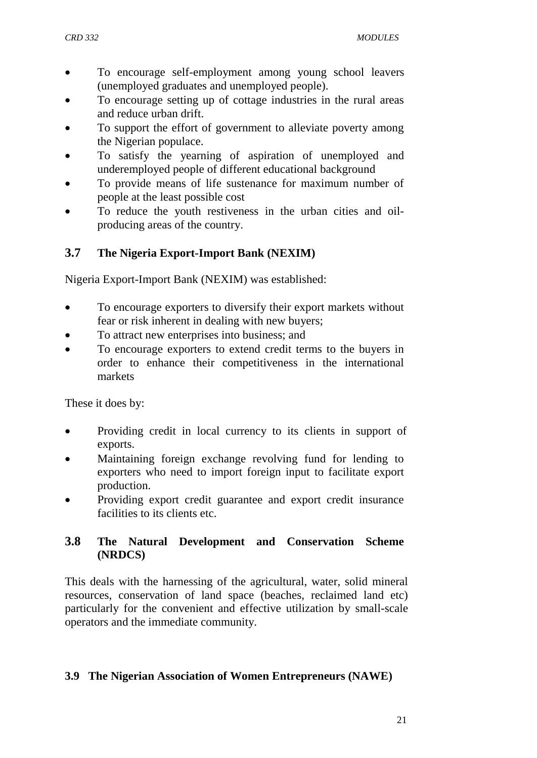- To encourage self-employment among young school leavers (unemployed graduates and unemployed people).
- To encourage setting up of cottage industries in the rural areas and reduce urban drift.
- To support the effort of government to alleviate poverty among the Nigerian populace.
- To satisfy the yearning of aspiration of unemployed and underemployed people of different educational background
- To provide means of life sustenance for maximum number of people at the least possible cost
- To reduce the youth restiveness in the urban cities and oilproducing areas of the country.

# **3.7 The Nigeria Export-Import Bank (NEXIM)**

Nigeria Export-Import Bank (NEXIM) was established:

- To encourage exporters to diversify their export markets without fear or risk inherent in dealing with new buyers;
- To attract new enterprises into business; and
- To encourage exporters to extend credit terms to the buyers in order to enhance their competitiveness in the international markets

These it does by:

- Providing credit in local currency to its clients in support of exports.
- Maintaining foreign exchange revolving fund for lending to exporters who need to import foreign input to facilitate export production.
- Providing export credit guarantee and export credit insurance facilities to its clients etc.

### **3.8 The Natural Development and Conservation Scheme (NRDCS)**

This deals with the harnessing of the agricultural, water, solid mineral resources, conservation of land space (beaches, reclaimed land etc) particularly for the convenient and effective utilization by small-scale operators and the immediate community.

### **3.9 The Nigerian Association of Women Entrepreneurs (NAWE)**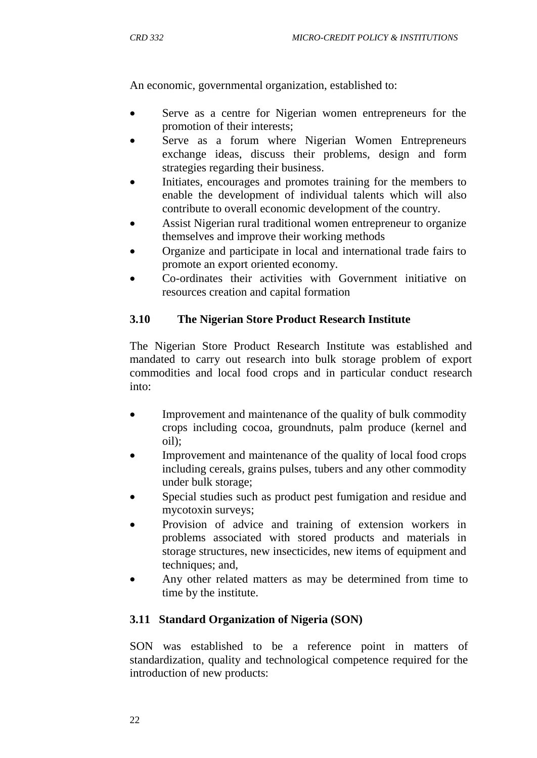An economic, governmental organization, established to:

- Serve as a centre for Nigerian women entrepreneurs for the promotion of their interests;
- Serve as a forum where Nigerian Women Entrepreneurs exchange ideas, discuss their problems, design and form strategies regarding their business.
- Initiates, encourages and promotes training for the members to enable the development of individual talents which will also contribute to overall economic development of the country.
- Assist Nigerian rural traditional women entrepreneur to organize themselves and improve their working methods
- Organize and participate in local and international trade fairs to promote an export oriented economy.
- Co-ordinates their activities with Government initiative on resources creation and capital formation

### **3.10 The Nigerian Store Product Research Institute**

The Nigerian Store Product Research Institute was established and mandated to carry out research into bulk storage problem of export commodities and local food crops and in particular conduct research into:

- Improvement and maintenance of the quality of bulk commodity crops including cocoa, groundnuts, palm produce (kernel and oil);
- Improvement and maintenance of the quality of local food crops including cereals, grains pulses, tubers and any other commodity under bulk storage;
- Special studies such as product pest fumigation and residue and mycotoxin surveys;
- Provision of advice and training of extension workers in problems associated with stored products and materials in storage structures, new insecticides, new items of equipment and techniques; and,
- Any other related matters as may be determined from time to time by the institute.

### **3.11 Standard Organization of Nigeria (SON)**

SON was established to be a reference point in matters of standardization, quality and technological competence required for the introduction of new products: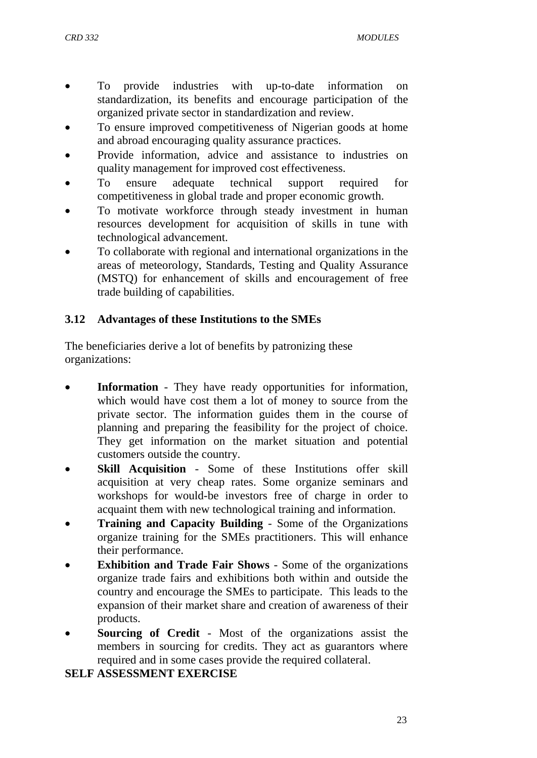- To provide industries with up-to-date information on standardization, its benefits and encourage participation of the organized private sector in standardization and review.
- To ensure improved competitiveness of Nigerian goods at home and abroad encouraging quality assurance practices.
- Provide information, advice and assistance to industries on quality management for improved cost effectiveness.
- To ensure adequate technical support required for competitiveness in global trade and proper economic growth.
- To motivate workforce through steady investment in human resources development for acquisition of skills in tune with technological advancement.
- To collaborate with regional and international organizations in the areas of meteorology, Standards, Testing and Quality Assurance (MSTQ) for enhancement of skills and encouragement of free trade building of capabilities.

# **3.12 Advantages of these Institutions to the SMEs**

The beneficiaries derive a lot of benefits by patronizing these organizations:

- **Information** They have ready opportunities for information, which would have cost them a lot of money to source from the private sector. The information guides them in the course of planning and preparing the feasibility for the project of choice. They get information on the market situation and potential customers outside the country.
- **Skill Acquisition** Some of these Institutions offer skill acquisition at very cheap rates. Some organize seminars and workshops for would-be investors free of charge in order to acquaint them with new technological training and information.
- **Training and Capacity Building** Some of the Organizations organize training for the SMEs practitioners. This will enhance their performance.
- **Exhibition and Trade Fair Shows** Some of the organizations organize trade fairs and exhibitions both within and outside the country and encourage the SMEs to participate. This leads to the expansion of their market share and creation of awareness of their products.
- **Sourcing of Credit** Most of the organizations assist the members in sourcing for credits. They act as guarantors where required and in some cases provide the required collateral.

### **SELF ASSESSMENT EXERCISE**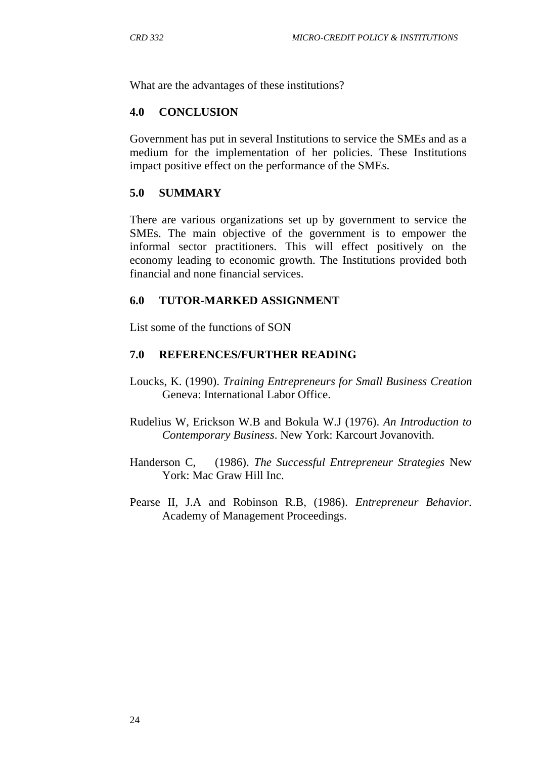What are the advantages of these institutions?

#### **4.0 CONCLUSION**

Government has put in several Institutions to service the SMEs and as a medium for the implementation of her policies. These Institutions impact positive effect on the performance of the SMEs.

#### **5.0 SUMMARY**

There are various organizations set up by government to service the SMEs. The main objective of the government is to empower the informal sector practitioners. This will effect positively on the economy leading to economic growth. The Institutions provided both financial and none financial services.

#### **6.0 TUTOR-MARKED ASSIGNMENT**

List some of the functions of SON

#### **7.0 REFERENCES/FURTHER READING**

- Loucks, K. (1990). *Training Entrepreneurs for Small Business Creation*  Geneva: International Labor Office.
- Rudelius W, Erickson W.B and Bokula W.J (1976). *An Introduction to Contemporary Business*. New York: Karcourt Jovanovith.
- Handerson C, (1986). *The Successful Entrepreneur Strategies* New York: Mac Graw Hill Inc.
- Pearse II, J.A and Robinson R.B, (1986). *Entrepreneur Behavior*. Academy of Management Proceedings.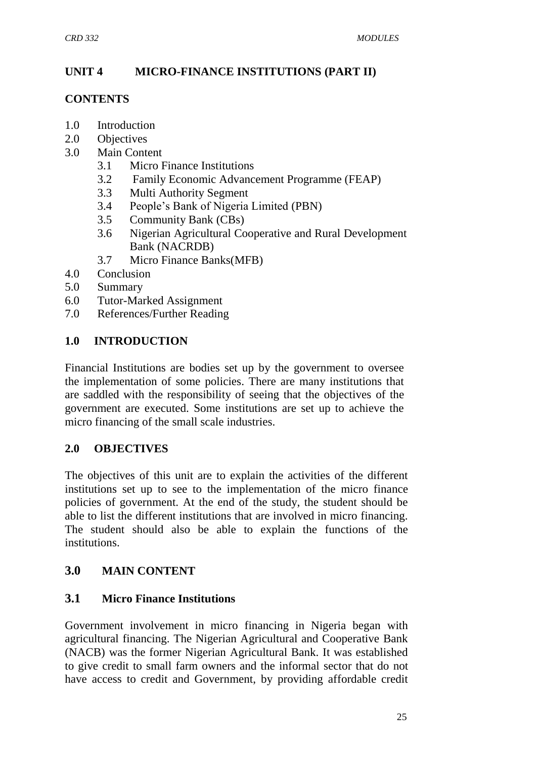### **UNIT 4 MICRO-FINANCE INSTITUTIONS (PART II)**

#### **CONTENTS**

- 1.0 Introduction
- 2.0 Objectives
- 3.0 Main Content
	- 3.1 Micro Finance Institutions
	- 3.2 Family Economic Advancement Programme (FEAP)
	- 3.3 Multi Authority Segment
	- 3.4 People"s Bank of Nigeria Limited (PBN)
	- 3.5 Community Bank (CBs)
	- 3.6 Nigerian Agricultural Cooperative and Rural Development Bank (NACRDB)
	- 3.7 Micro Finance Banks(MFB)
- 4.0 Conclusion
- 5.0 Summary
- 6.0 Tutor-Marked Assignment
- 7.0 References/Further Reading

### **1.0 INTRODUCTION**

Financial Institutions are bodies set up by the government to oversee the implementation of some policies. There are many institutions that are saddled with the responsibility of seeing that the objectives of the government are executed. Some institutions are set up to achieve the micro financing of the small scale industries.

#### **2.0 OBJECTIVES**

The objectives of this unit are to explain the activities of the different institutions set up to see to the implementation of the micro finance policies of government. At the end of the study, the student should be able to list the different institutions that are involved in micro financing. The student should also be able to explain the functions of the institutions.

### **3.0 MAIN CONTENT**

#### **3.1 Micro Finance Institutions**

Government involvement in micro financing in Nigeria began with agricultural financing. The Nigerian Agricultural and Cooperative Bank (NACB) was the former Nigerian Agricultural Bank. It was established to give credit to small farm owners and the informal sector that do not have access to credit and Government, by providing affordable credit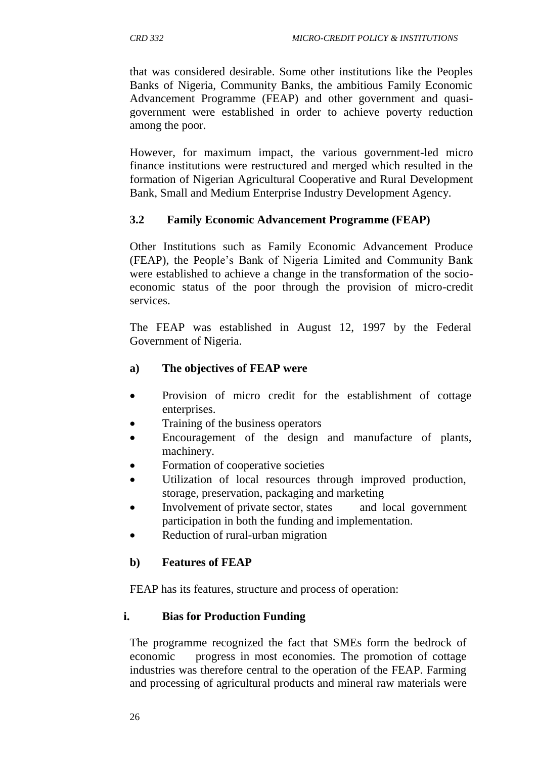that was considered desirable. Some other institutions like the Peoples Banks of Nigeria, Community Banks, the ambitious Family Economic Advancement Programme (FEAP) and other government and quasigovernment were established in order to achieve poverty reduction among the poor.

However, for maximum impact, the various government-led micro finance institutions were restructured and merged which resulted in the formation of Nigerian Agricultural Cooperative and Rural Development Bank, Small and Medium Enterprise Industry Development Agency.

### **3.2 Family Economic Advancement Programme (FEAP)**

Other Institutions such as Family Economic Advancement Produce (FEAP), the People"s Bank of Nigeria Limited and Community Bank were established to achieve a change in the transformation of the socioeconomic status of the poor through the provision of micro-credit services.

The FEAP was established in August 12, 1997 by the Federal Government of Nigeria.

### **a) The objectives of FEAP were**

- Provision of micro credit for the establishment of cottage enterprises.
- Training of the business operators
- Encouragement of the design and manufacture of plants, machinery.
- Formation of cooperative societies
- Utilization of local resources through improved production, storage, preservation, packaging and marketing
- Involvement of private sector, states and local government participation in both the funding and implementation.
- Reduction of rural-urban migration

#### **b) Features of FEAP**

FEAP has its features, structure and process of operation:

#### **i. Bias for Production Funding**

The programme recognized the fact that SMEs form the bedrock of economic progress in most economies. The promotion of cottage industries was therefore central to the operation of the FEAP. Farming and processing of agricultural products and mineral raw materials were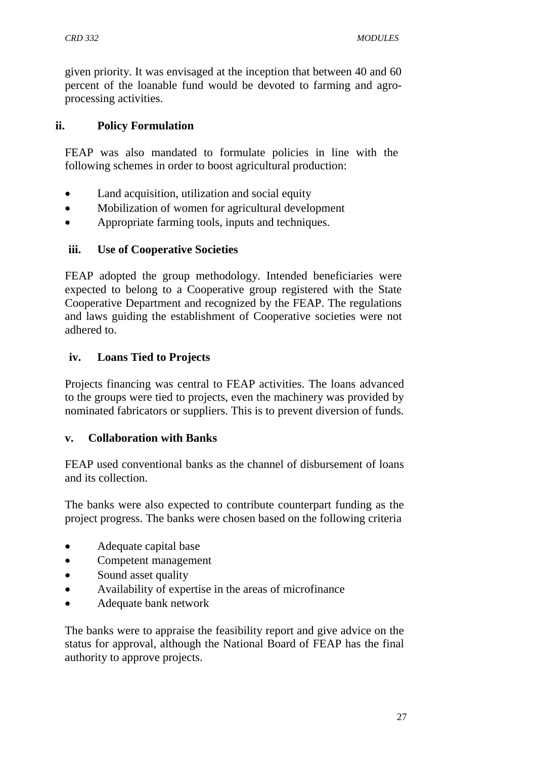given priority. It was envisaged at the inception that between 40 and 60 percent of the loanable fund would be devoted to farming and agroprocessing activities.

#### **ii. Policy Formulation**

FEAP was also mandated to formulate policies in line with the following schemes in order to boost agricultural production:

- Land acquisition, utilization and social equity
- Mobilization of women for agricultural development
- Appropriate farming tools, inputs and techniques.

#### **iii. Use of Cooperative Societies**

FEAP adopted the group methodology. Intended beneficiaries were expected to belong to a Cooperative group registered with the State Cooperative Department and recognized by the FEAP. The regulations and laws guiding the establishment of Cooperative societies were not adhered to.

### **iv. Loans Tied to Projects**

Projects financing was central to FEAP activities. The loans advanced to the groups were tied to projects, even the machinery was provided by nominated fabricators or suppliers. This is to prevent diversion of funds.

#### **v. Collaboration with Banks**

FEAP used conventional banks as the channel of disbursement of loans and its collection.

The banks were also expected to contribute counterpart funding as the project progress. The banks were chosen based on the following criteria

- Adequate capital base
- Competent management
- Sound asset quality
- Availability of expertise in the areas of microfinance
- Adequate bank network

The banks were to appraise the feasibility report and give advice on the status for approval, although the National Board of FEAP has the final authority to approve projects.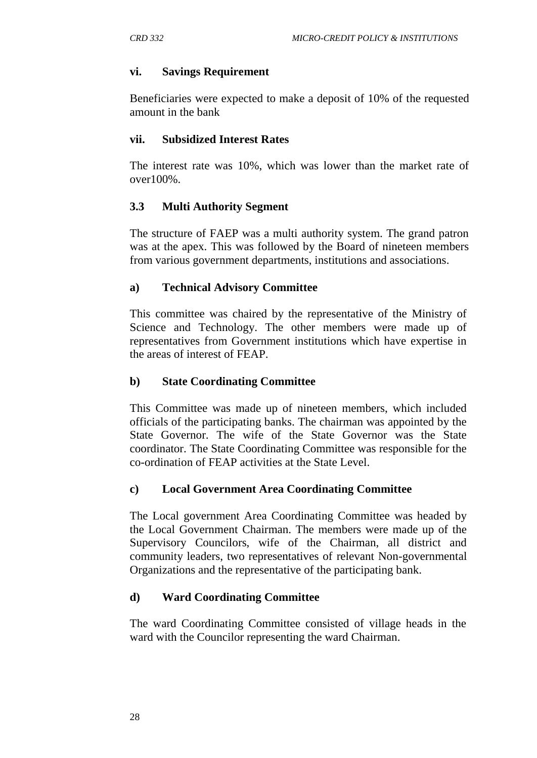### **vi. Savings Requirement**

Beneficiaries were expected to make a deposit of 10% of the requested amount in the bank

### **vii. Subsidized Interest Rates**

The interest rate was 10%, which was lower than the market rate of over100%.

### **3.3 Multi Authority Segment**

The structure of FAEP was a multi authority system. The grand patron was at the apex. This was followed by the Board of nineteen members from various government departments, institutions and associations.

### **a) Technical Advisory Committee**

This committee was chaired by the representative of the Ministry of Science and Technology. The other members were made up of representatives from Government institutions which have expertise in the areas of interest of FEAP.

### **b) State Coordinating Committee**

This Committee was made up of nineteen members, which included officials of the participating banks. The chairman was appointed by the State Governor. The wife of the State Governor was the State coordinator. The State Coordinating Committee was responsible for the co-ordination of FEAP activities at the State Level.

### **c) Local Government Area Coordinating Committee**

The Local government Area Coordinating Committee was headed by the Local Government Chairman. The members were made up of the Supervisory Councilors, wife of the Chairman, all district and community leaders, two representatives of relevant Non-governmental Organizations and the representative of the participating bank.

### **d) Ward Coordinating Committee**

The ward Coordinating Committee consisted of village heads in the ward with the Councilor representing the ward Chairman.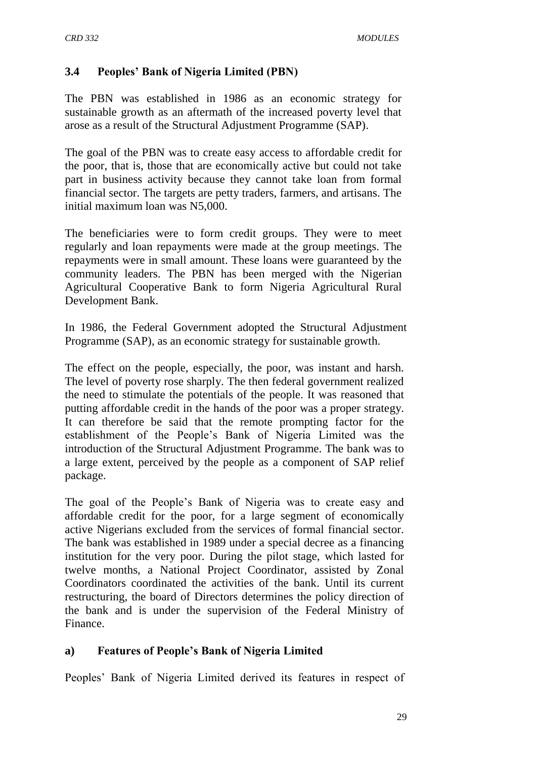## **3.4 Peoples' Bank of Nigeria Limited (PBN)**

The PBN was established in 1986 as an economic strategy for sustainable growth as an aftermath of the increased poverty level that arose as a result of the Structural Adjustment Programme (SAP).

The goal of the PBN was to create easy access to affordable credit for the poor, that is, those that are economically active but could not take part in business activity because they cannot take loan from formal financial sector. The targets are petty traders, farmers, and artisans. The initial maximum loan was N5,000.

The beneficiaries were to form credit groups. They were to meet regularly and loan repayments were made at the group meetings. The repayments were in small amount. These loans were guaranteed by the community leaders. The PBN has been merged with the Nigerian Agricultural Cooperative Bank to form Nigeria Agricultural Rural Development Bank.

In 1986, the Federal Government adopted the Structural Adjustment Programme (SAP), as an economic strategy for sustainable growth.

The effect on the people, especially, the poor, was instant and harsh. The level of poverty rose sharply. The then federal government realized the need to stimulate the potentials of the people. It was reasoned that putting affordable credit in the hands of the poor was a proper strategy. It can therefore be said that the remote prompting factor for the establishment of the People"s Bank of Nigeria Limited was the introduction of the Structural Adjustment Programme. The bank was to a large extent, perceived by the people as a component of SAP relief package.

The goal of the People"s Bank of Nigeria was to create easy and affordable credit for the poor, for a large segment of economically active Nigerians excluded from the services of formal financial sector. The bank was established in 1989 under a special decree as a financing institution for the very poor. During the pilot stage, which lasted for twelve months, a National Project Coordinator, assisted by Zonal Coordinators coordinated the activities of the bank. Until its current restructuring, the board of Directors determines the policy direction of the bank and is under the supervision of the Federal Ministry of Finance.

### **a) Features of People's Bank of Nigeria Limited**

Peoples" Bank of Nigeria Limited derived its features in respect of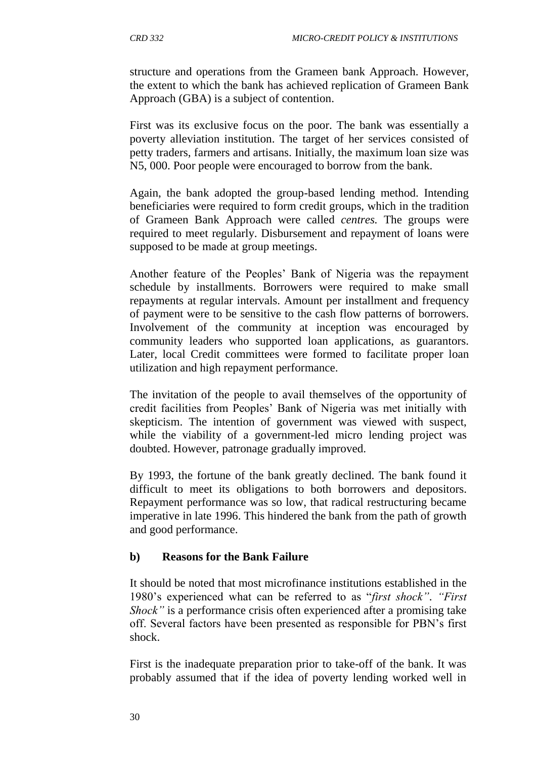structure and operations from the Grameen bank Approach. However, the extent to which the bank has achieved replication of Grameen Bank Approach (GBA) is a subject of contention.

First was its exclusive focus on the poor. The bank was essentially a poverty alleviation institution. The target of her services consisted of petty traders, farmers and artisans. Initially, the maximum loan size was N5, 000. Poor people were encouraged to borrow from the bank.

Again, the bank adopted the group-based lending method. Intending beneficiaries were required to form credit groups, which in the tradition of Grameen Bank Approach were called *centres.* The groups were required to meet regularly. Disbursement and repayment of loans were supposed to be made at group meetings.

Another feature of the Peoples" Bank of Nigeria was the repayment schedule by installments. Borrowers were required to make small repayments at regular intervals. Amount per installment and frequency of payment were to be sensitive to the cash flow patterns of borrowers. Involvement of the community at inception was encouraged by community leaders who supported loan applications, as guarantors. Later, local Credit committees were formed to facilitate proper loan utilization and high repayment performance.

The invitation of the people to avail themselves of the opportunity of credit facilities from Peoples" Bank of Nigeria was met initially with skepticism. The intention of government was viewed with suspect, while the viability of a government-led micro lending project was doubted. However, patronage gradually improved.

By 1993, the fortune of the bank greatly declined. The bank found it difficult to meet its obligations to both borrowers and depositors. Repayment performance was so low, that radical restructuring became imperative in late 1996. This hindered the bank from the path of growth and good performance.

## **b) Reasons for the Bank Failure**

It should be noted that most microfinance institutions established in the 1980"s experienced what can be referred to as "*first shock"*. *"First Shock"* is a performance crisis often experienced after a promising take off. Several factors have been presented as responsible for PBN"s first shock.

First is the inadequate preparation prior to take-off of the bank. It was probably assumed that if the idea of poverty lending worked well in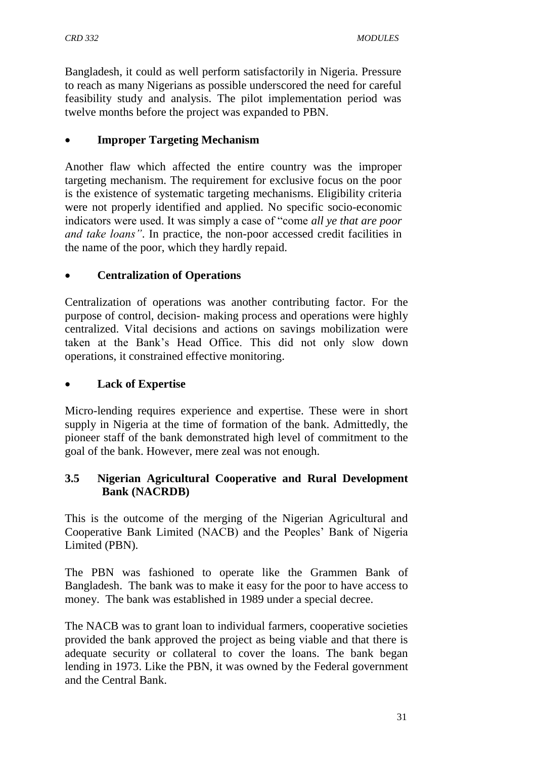Bangladesh, it could as well perform satisfactorily in Nigeria. Pressure to reach as many Nigerians as possible underscored the need for careful feasibility study and analysis. The pilot implementation period was twelve months before the project was expanded to PBN.

## **Improper Targeting Mechanism**

Another flaw which affected the entire country was the improper targeting mechanism. The requirement for exclusive focus on the poor is the existence of systematic targeting mechanisms. Eligibility criteria were not properly identified and applied. No specific socio-economic indicators were used. It was simply a case of "come *all ye that are poor and take loans"*. In practice, the non-poor accessed credit facilities in the name of the poor, which they hardly repaid.

### **Centralization of Operations**

Centralization of operations was another contributing factor. For the purpose of control, decision- making process and operations were highly centralized. Vital decisions and actions on savings mobilization were taken at the Bank"s Head Office. This did not only slow down operations, it constrained effective monitoring.

### **Lack of Expertise**

Micro-lending requires experience and expertise. These were in short supply in Nigeria at the time of formation of the bank. Admittedly, the pioneer staff of the bank demonstrated high level of commitment to the goal of the bank. However, mere zeal was not enough.

### **3.5 Nigerian Agricultural Cooperative and Rural Development Bank (NACRDB)**

This is the outcome of the merging of the Nigerian Agricultural and Cooperative Bank Limited (NACB) and the Peoples" Bank of Nigeria Limited (PBN).

The PBN was fashioned to operate like the Grammen Bank of Bangladesh. The bank was to make it easy for the poor to have access to money. The bank was established in 1989 under a special decree.

The NACB was to grant loan to individual farmers, cooperative societies provided the bank approved the project as being viable and that there is adequate security or collateral to cover the loans. The bank began lending in 1973. Like the PBN, it was owned by the Federal government and the Central Bank.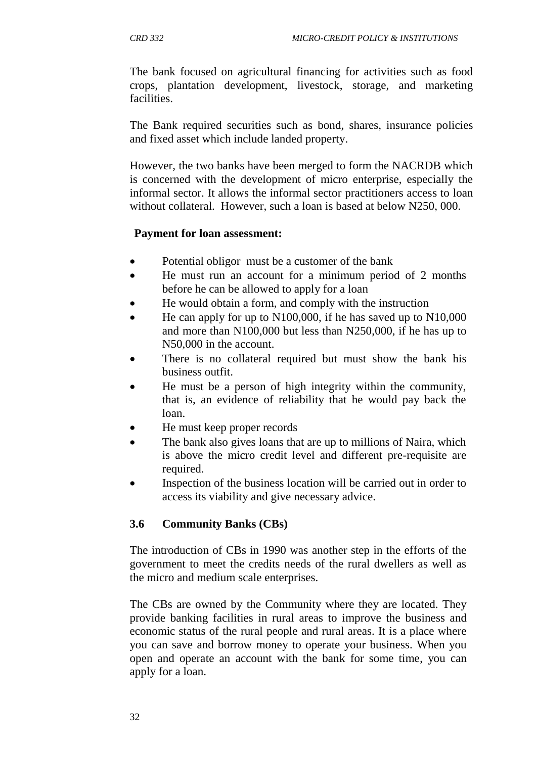The bank focused on agricultural financing for activities such as food crops, plantation development, livestock, storage, and marketing facilities.

The Bank required securities such as bond, shares, insurance policies and fixed asset which include landed property.

However, the two banks have been merged to form the NACRDB which is concerned with the development of micro enterprise, especially the informal sector. It allows the informal sector practitioners access to loan without collateral. However, such a loan is based at below N250, 000.

#### **Payment for loan assessment:**

- Potential obligor must be a customer of the bank
- He must run an account for a minimum period of 2 months before he can be allowed to apply for a loan
- He would obtain a form, and comply with the instruction
- He can apply for up to N100,000, if he has saved up to N10,000 and more than N100,000 but less than N250,000, if he has up to N50,000 in the account.
- There is no collateral required but must show the bank his business outfit.
- He must be a person of high integrity within the community, that is, an evidence of reliability that he would pay back the loan.
- He must keep proper records
- The bank also gives loans that are up to millions of Naira, which is above the micro credit level and different pre-requisite are required.
- Inspection of the business location will be carried out in order to access its viability and give necessary advice.

### **3.6 Community Banks (CBs)**

The introduction of CBs in 1990 was another step in the efforts of the government to meet the credits needs of the rural dwellers as well as the micro and medium scale enterprises.

The CBs are owned by the Community where they are located. They provide banking facilities in rural areas to improve the business and economic status of the rural people and rural areas. It is a place where you can save and borrow money to operate your business. When you open and operate an account with the bank for some time, you can apply for a loan.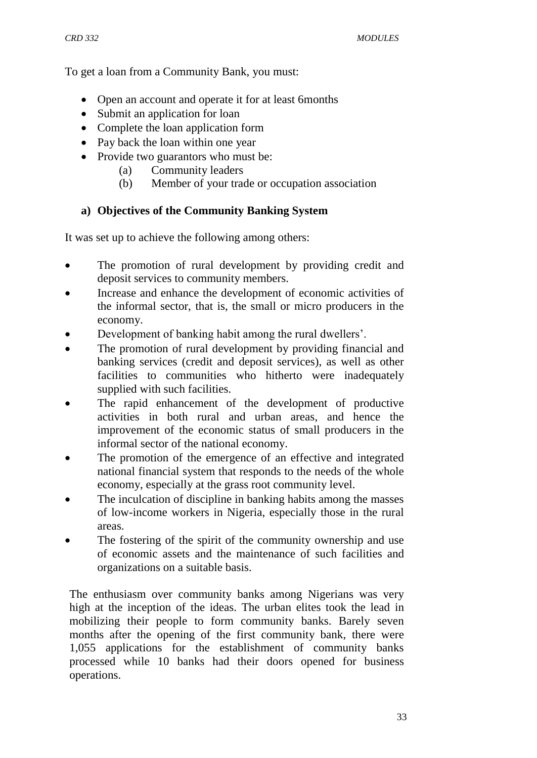To get a loan from a Community Bank, you must:

- Open an account and operate it for at least 6months
- Submit an application for loan
- Complete the loan application form
- Pay back the loan within one year
- Provide two guarantors who must be:
	- (a) Community leaders
	- (b) Member of your trade or occupation association

### **a) Objectives of the Community Banking System**

It was set up to achieve the following among others:

- The promotion of rural development by providing credit and deposit services to community members.
- Increase and enhance the development of economic activities of the informal sector, that is, the small or micro producers in the economy.
- Development of banking habit among the rural dwellers'.
- The promotion of rural development by providing financial and banking services (credit and deposit services), as well as other facilities to communities who hitherto were inadequately supplied with such facilities.
- The rapid enhancement of the development of productive activities in both rural and urban areas, and hence the improvement of the economic status of small producers in the informal sector of the national economy.
- The promotion of the emergence of an effective and integrated national financial system that responds to the needs of the whole economy, especially at the grass root community level.
- The inculcation of discipline in banking habits among the masses of low-income workers in Nigeria, especially those in the rural areas.
- The fostering of the spirit of the community ownership and use of economic assets and the maintenance of such facilities and organizations on a suitable basis.

The enthusiasm over community banks among Nigerians was very high at the inception of the ideas. The urban elites took the lead in mobilizing their people to form community banks. Barely seven months after the opening of the first community bank, there were 1,055 applications for the establishment of community banks processed while 10 banks had their doors opened for business operations.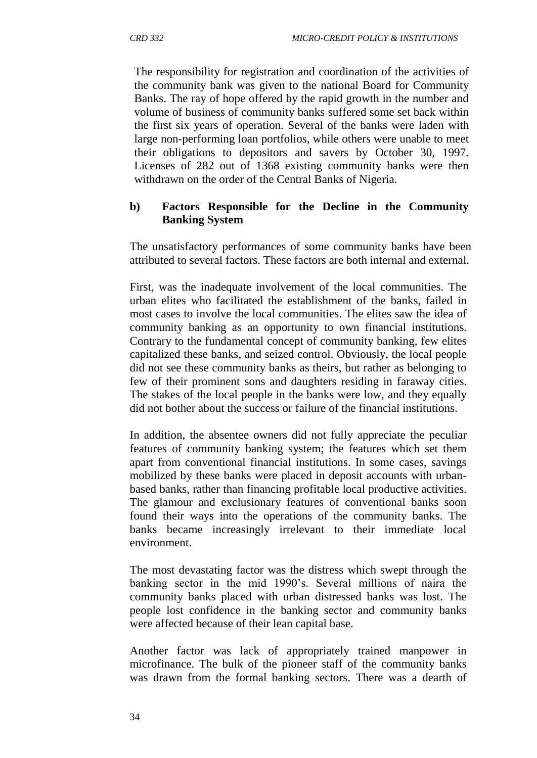The responsibility for registration and coordination of the activities of the community bank was given to the national Board for Community Banks. The ray of hope offered by the rapid growth in the number and volume of business of community banks suffered some set back within the first six years of operation. Several of the banks were laden with large non-performing loan portfolios, while others were unable to meet their obligations to depositors and savers by October 30, 1997. Licenses of 282 out of 1368 existing community banks were then withdrawn on the order of the Central Banks of Nigeria.

### **b) Factors Responsible for the Decline in the Community Banking System**

The unsatisfactory performances of some community banks have been attributed to several factors. These factors are both internal and external.

First, was the inadequate involvement of the local communities. The urban elites who facilitated the establishment of the banks, failed in most cases to involve the local communities. The elites saw the idea of community banking as an opportunity to own financial institutions. Contrary to the fundamental concept of community banking, few elites capitalized these banks, and seized control. Obviously, the local people did not see these community banks as theirs, but rather as belonging to few of their prominent sons and daughters residing in faraway cities. The stakes of the local people in the banks were low, and they equally did not bother about the success or failure of the financial institutions.

In addition, the absentee owners did not fully appreciate the peculiar features of community banking system; the features which set them apart from conventional financial institutions. In some cases, savings mobilized by these banks were placed in deposit accounts with urbanbased banks, rather than financing profitable local productive activities. The glamour and exclusionary features of conventional banks soon found their ways into the operations of the community banks. The banks became increasingly irrelevant to their immediate local environment.

The most devastating factor was the distress which swept through the banking sector in the mid 1990's. Several millions of naira the community banks placed with urban distressed banks was lost. The people lost confidence in the banking sector and community banks were affected because of their lean capital base.

Another factor was lack of appropriately trained manpower in microfinance. The bulk of the pioneer staff of the community banks was drawn from the formal banking sectors. There was a dearth of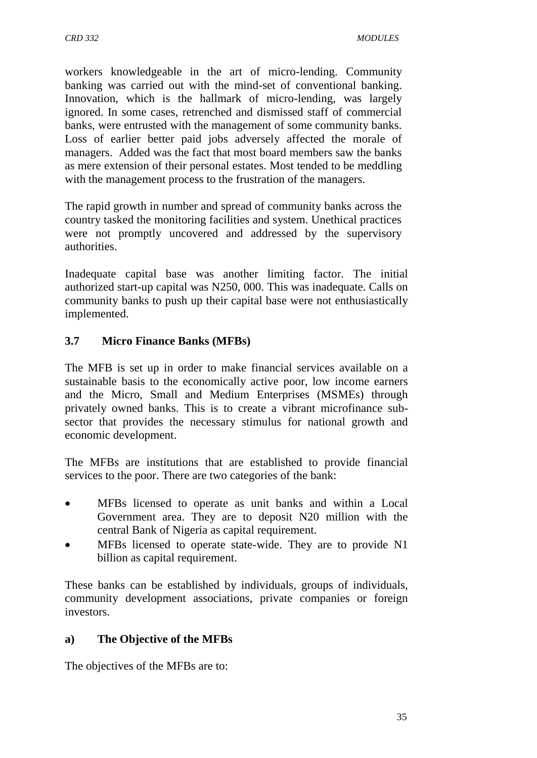workers knowledgeable in the art of micro-lending. Community banking was carried out with the mind-set of conventional banking. Innovation, which is the hallmark of micro-lending, was largely ignored. In some cases, retrenched and dismissed staff of commercial banks, were entrusted with the management of some community banks. Loss of earlier better paid jobs adversely affected the morale of managers. Added was the fact that most board members saw the banks as mere extension of their personal estates. Most tended to be meddling with the management process to the frustration of the managers.

The rapid growth in number and spread of community banks across the country tasked the monitoring facilities and system. Unethical practices were not promptly uncovered and addressed by the supervisory authorities.

Inadequate capital base was another limiting factor. The initial authorized start-up capital was N250, 000. This was inadequate. Calls on community banks to push up their capital base were not enthusiastically implemented.

## **3.7 Micro Finance Banks (MFBs)**

The MFB is set up in order to make financial services available on a sustainable basis to the economically active poor, low income earners and the Micro, Small and Medium Enterprises (MSMEs) through privately owned banks. This is to create a vibrant microfinance subsector that provides the necessary stimulus for national growth and economic development.

The MFBs are institutions that are established to provide financial services to the poor. There are two categories of the bank:

- MFBs licensed to operate as unit banks and within a Local Government area. They are to deposit N20 million with the central Bank of Nigeria as capital requirement.
- MFBs licensed to operate state-wide. They are to provide N1 billion as capital requirement.

These banks can be established by individuals, groups of individuals, community development associations, private companies or foreign investors.

### **a) The Objective of the MFBs**

The objectives of the MFBs are to: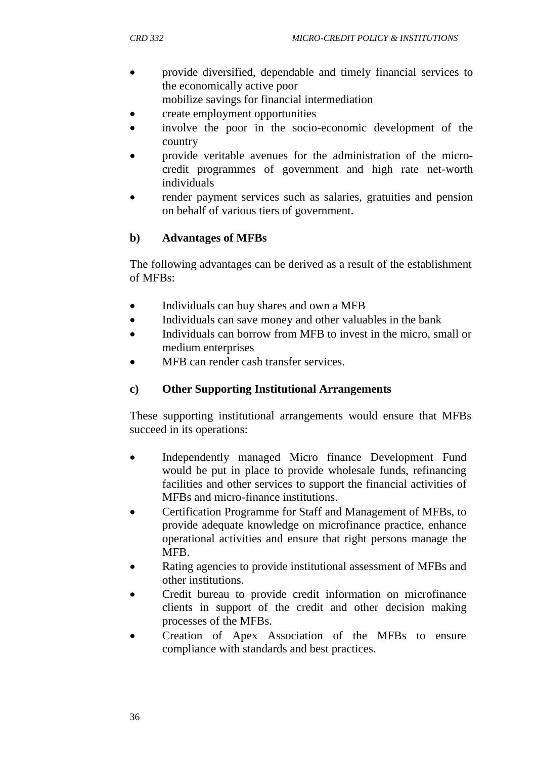- provide diversified, dependable and timely financial services to the economically active poor mobilize savings for financial intermediation
- create employment opportunities
- involve the poor in the socio-economic development of the country
- provide veritable avenues for the administration of the microcredit programmes of government and high rate net-worth individuals
- render payment services such as salaries, gratuities and pension on behalf of various tiers of government.

## **b) Advantages of MFBs**

The following advantages can be derived as a result of the establishment of MFBs:

- Individuals can buy shares and own a MFB
- Individuals can save money and other valuables in the bank
- Individuals can borrow from MFB to invest in the micro, small or medium enterprises
- MFB can render cash transfer services.

## **c) Other Supporting Institutional Arrangements**

These supporting institutional arrangements would ensure that MFBs succeed in its operations:

- Independently managed Micro finance Development Fund would be put in place to provide wholesale funds, refinancing facilities and other services to support the financial activities of MFBs and micro-finance institutions.
- Certification Programme for Staff and Management of MFBs, to provide adequate knowledge on microfinance practice, enhance operational activities and ensure that right persons manage the MFB.
- Rating agencies to provide institutional assessment of MFBs and other institutions.
- Credit bureau to provide credit information on microfinance clients in support of the credit and other decision making processes of the MFBs.
- Creation of Apex Association of the MFBs to ensure compliance with standards and best practices.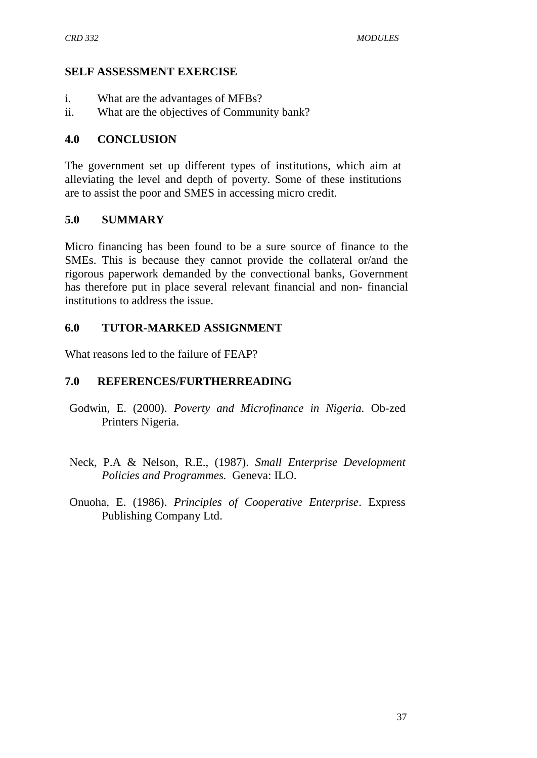### **SELF ASSESSMENT EXERCISE**

- i. What are the advantages of MFBs?
- ii. What are the objectives of Community bank?

### **4.0 CONCLUSION**

The government set up different types of institutions, which aim at alleviating the level and depth of poverty. Some of these institutions are to assist the poor and SMES in accessing micro credit.

### **5.0 SUMMARY**

Micro financing has been found to be a sure source of finance to the SMEs. This is because they cannot provide the collateral or/and the rigorous paperwork demanded by the convectional banks, Government has therefore put in place several relevant financial and non- financial institutions to address the issue.

### **6.0 TUTOR-MARKED ASSIGNMENT**

What reasons led to the failure of FEAP?

## **7.0 REFERENCES/FURTHERREADING**

- Godwin, E. (2000). *Poverty and Microfinance in Nigeria.* Ob-zed Printers Nigeria.
- Neck, P.A & Nelson, R.E., (1987). *Small Enterprise Development Policies and Programmes.* Geneva: ILO.
- Onuoha, E. (1986). *Principles of Cooperative Enterprise*. Express Publishing Company Ltd.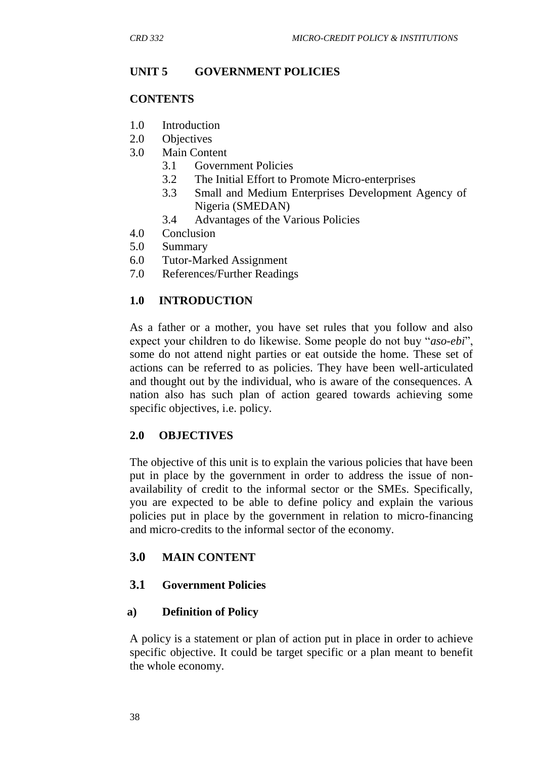## **UNIT 5 GOVERNMENT POLICIES**

#### **CONTENTS**

- 1.0 Introduction
- 2.0 Objectives
- 3.0 Main Content
	- 3.1 Government Policies
	- 3.2 The Initial Effort to Promote Micro-enterprises
	- 3.3 Small and Medium Enterprises Development Agency of Nigeria (SMEDAN)
	- 3.4 Advantages of the Various Policies
- 4.0 Conclusion
- 5.0 Summary
- 6.0 Tutor-Marked Assignment
- 7.0 References/Further Readings

## **1.0 INTRODUCTION**

As a father or a mother, you have set rules that you follow and also expect your children to do likewise. Some people do not buy "*aso-ebi*", some do not attend night parties or eat outside the home. These set of actions can be referred to as policies. They have been well-articulated and thought out by the individual, who is aware of the consequences. A nation also has such plan of action geared towards achieving some specific objectives, i.e. policy.

### **2.0 OBJECTIVES**

The objective of this unit is to explain the various policies that have been put in place by the government in order to address the issue of nonavailability of credit to the informal sector or the SMEs. Specifically, you are expected to be able to define policy and explain the various policies put in place by the government in relation to micro-financing and micro-credits to the informal sector of the economy.

## **3.0 MAIN CONTENT**

## **3.1 Government Policies**

### **a) Definition of Policy**

A policy is a statement or plan of action put in place in order to achieve specific objective. It could be target specific or a plan meant to benefit the whole economy.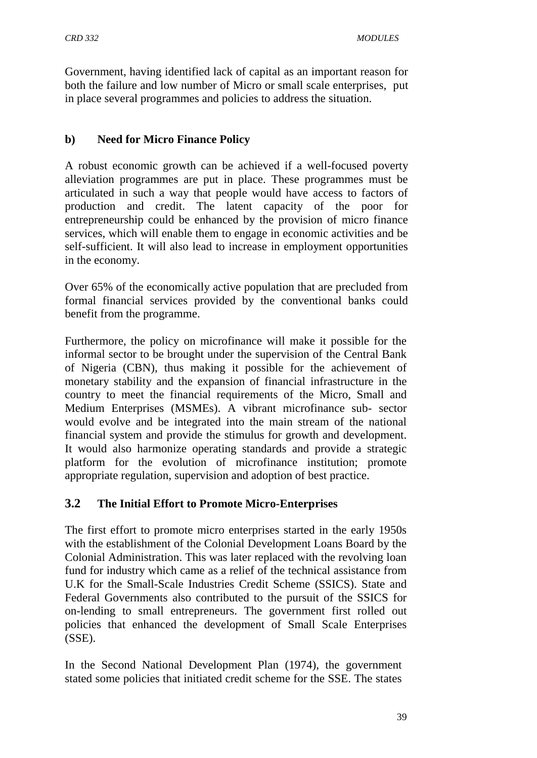Government, having identified lack of capital as an important reason for both the failure and low number of Micro or small scale enterprises, put in place several programmes and policies to address the situation.

### **b) Need for Micro Finance Policy**

A robust economic growth can be achieved if a well-focused poverty alleviation programmes are put in place. These programmes must be articulated in such a way that people would have access to factors of production and credit. The latent capacity of the poor for entrepreneurship could be enhanced by the provision of micro finance services, which will enable them to engage in economic activities and be self-sufficient. It will also lead to increase in employment opportunities in the economy.

Over 65% of the economically active population that are precluded from formal financial services provided by the conventional banks could benefit from the programme.

Furthermore, the policy on microfinance will make it possible for the informal sector to be brought under the supervision of the Central Bank of Nigeria (CBN), thus making it possible for the achievement of monetary stability and the expansion of financial infrastructure in the country to meet the financial requirements of the Micro, Small and Medium Enterprises (MSMEs). A vibrant microfinance sub- sector would evolve and be integrated into the main stream of the national financial system and provide the stimulus for growth and development. It would also harmonize operating standards and provide a strategic platform for the evolution of microfinance institution; promote appropriate regulation, supervision and adoption of best practice.

## **3.2 The Initial Effort to Promote Micro-Enterprises**

The first effort to promote micro enterprises started in the early 1950s with the establishment of the Colonial Development Loans Board by the Colonial Administration. This was later replaced with the revolving loan fund for industry which came as a relief of the technical assistance from U.K for the Small-Scale Industries Credit Scheme (SSICS). State and Federal Governments also contributed to the pursuit of the SSICS for on-lending to small entrepreneurs. The government first rolled out policies that enhanced the development of Small Scale Enterprises (SSE).

In the Second National Development Plan (1974), the government stated some policies that initiated credit scheme for the SSE. The states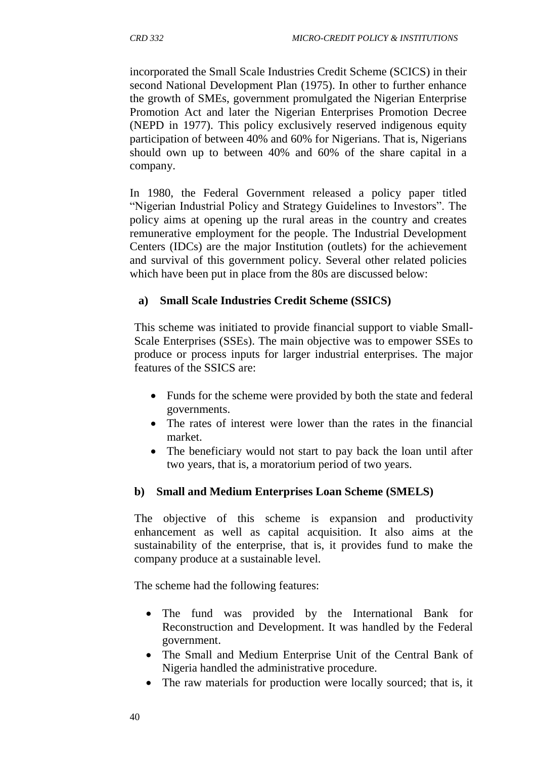incorporated the Small Scale Industries Credit Scheme (SCICS) in their second National Development Plan (1975). In other to further enhance the growth of SMEs, government promulgated the Nigerian Enterprise Promotion Act and later the Nigerian Enterprises Promotion Decree (NEPD in 1977). This policy exclusively reserved indigenous equity participation of between 40% and 60% for Nigerians. That is, Nigerians should own up to between 40% and 60% of the share capital in a company.

In 1980, the Federal Government released a policy paper titled "Nigerian Industrial Policy and Strategy Guidelines to Investors". The policy aims at opening up the rural areas in the country and creates remunerative employment for the people. The Industrial Development Centers (IDCs) are the major Institution (outlets) for the achievement and survival of this government policy. Several other related policies which have been put in place from the 80s are discussed below:

## **a) Small Scale Industries Credit Scheme (SSICS)**

This scheme was initiated to provide financial support to viable Small-Scale Enterprises (SSEs). The main objective was to empower SSEs to produce or process inputs for larger industrial enterprises. The major features of the SSICS are:

- Funds for the scheme were provided by both the state and federal governments.
- The rates of interest were lower than the rates in the financial market.
- The beneficiary would not start to pay back the loan until after two years, that is, a moratorium period of two years.

## **b) Small and Medium Enterprises Loan Scheme (SMELS)**

The objective of this scheme is expansion and productivity enhancement as well as capital acquisition. It also aims at the sustainability of the enterprise, that is, it provides fund to make the company produce at a sustainable level.

The scheme had the following features:

- The fund was provided by the International Bank for Reconstruction and Development. It was handled by the Federal government.
- The Small and Medium Enterprise Unit of the Central Bank of Nigeria handled the administrative procedure.
- The raw materials for production were locally sourced; that is, it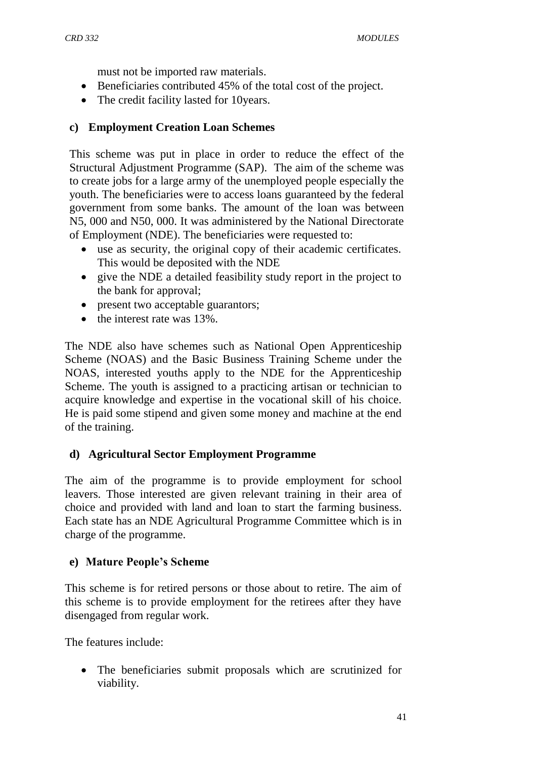must not be imported raw materials.

- Beneficiaries contributed 45% of the total cost of the project.
- The credit facility lasted for 10 years.

### **c) Employment Creation Loan Schemes**

This scheme was put in place in order to reduce the effect of the Structural Adjustment Programme (SAP). The aim of the scheme was to create jobs for a large army of the unemployed people especially the youth. The beneficiaries were to access loans guaranteed by the federal government from some banks. The amount of the loan was between N5, 000 and N50, 000. It was administered by the National Directorate of Employment (NDE). The beneficiaries were requested to:

- use as security, the original copy of their academic certificates. This would be deposited with the NDE
- give the NDE a detailed feasibility study report in the project to the bank for approval;
- present two acceptable guarantors;
- the interest rate was 13%.

The NDE also have schemes such as National Open Apprenticeship Scheme (NOAS) and the Basic Business Training Scheme under the NOAS, interested youths apply to the NDE for the Apprenticeship Scheme. The youth is assigned to a practicing artisan or technician to acquire knowledge and expertise in the vocational skill of his choice. He is paid some stipend and given some money and machine at the end of the training.

## **d) Agricultural Sector Employment Programme**

The aim of the programme is to provide employment for school leavers. Those interested are given relevant training in their area of choice and provided with land and loan to start the farming business. Each state has an NDE Agricultural Programme Committee which is in charge of the programme.

## **e) Mature People's Scheme**

This scheme is for retired persons or those about to retire. The aim of this scheme is to provide employment for the retirees after they have disengaged from regular work.

The features include:

 The beneficiaries submit proposals which are scrutinized for viability.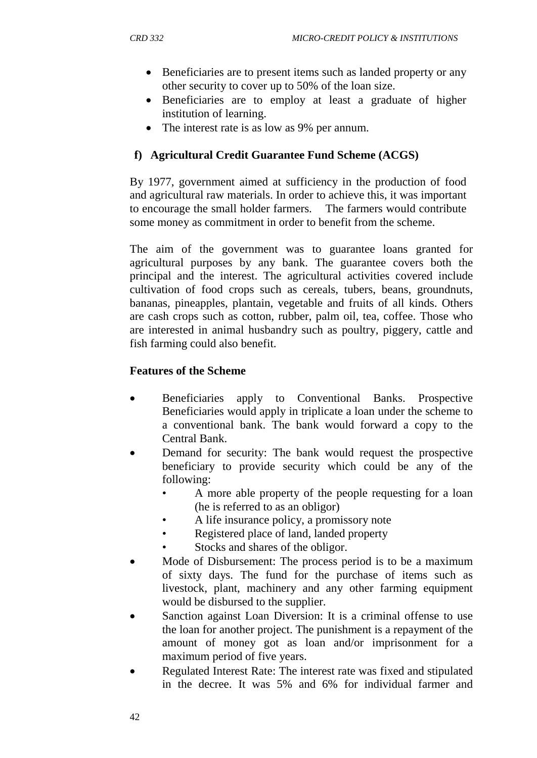- Beneficiaries are to present items such as landed property or any other security to cover up to 50% of the loan size.
- Beneficiaries are to employ at least a graduate of higher institution of learning.
- The interest rate is as low as 9% per annum.

## **f) Agricultural Credit Guarantee Fund Scheme (ACGS)**

By 1977, government aimed at sufficiency in the production of food and agricultural raw materials. In order to achieve this, it was important to encourage the small holder farmers. The farmers would contribute some money as commitment in order to benefit from the scheme.

The aim of the government was to guarantee loans granted for agricultural purposes by any bank. The guarantee covers both the principal and the interest. The agricultural activities covered include cultivation of food crops such as cereals, tubers, beans, groundnuts, bananas, pineapples, plantain, vegetable and fruits of all kinds. Others are cash crops such as cotton, rubber, palm oil, tea, coffee. Those who are interested in animal husbandry such as poultry, piggery, cattle and fish farming could also benefit.

## **Features of the Scheme**

- Beneficiaries apply to Conventional Banks. Prospective Beneficiaries would apply in triplicate a loan under the scheme to a conventional bank. The bank would forward a copy to the Central Bank.
- Demand for security: The bank would request the prospective beneficiary to provide security which could be any of the following:
	- A more able property of the people requesting for a loan (he is referred to as an obligor)
	- A life insurance policy, a promissory note
	- Registered place of land, landed property
	- Stocks and shares of the obligor.
- Mode of Disbursement: The process period is to be a maximum of sixty days. The fund for the purchase of items such as livestock, plant, machinery and any other farming equipment would be disbursed to the supplier.
- Sanction against Loan Diversion: It is a criminal offense to use the loan for another project. The punishment is a repayment of the amount of money got as loan and/or imprisonment for a maximum period of five years.
- Regulated Interest Rate: The interest rate was fixed and stipulated in the decree. It was 5% and 6% for individual farmer and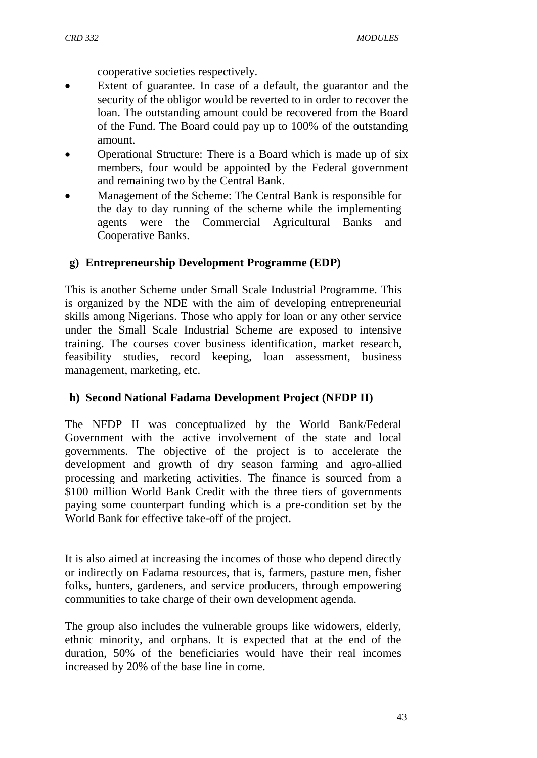cooperative societies respectively.

- Extent of guarantee. In case of a default, the guarantor and the security of the obligor would be reverted to in order to recover the loan. The outstanding amount could be recovered from the Board of the Fund. The Board could pay up to 100% of the outstanding amount.
- Operational Structure: There is a Board which is made up of six members, four would be appointed by the Federal government and remaining two by the Central Bank.
- Management of the Scheme: The Central Bank is responsible for the day to day running of the scheme while the implementing agents were the Commercial Agricultural Banks and Cooperative Banks.

### **g) Entrepreneurship Development Programme (EDP)**

This is another Scheme under Small Scale Industrial Programme. This is organized by the NDE with the aim of developing entrepreneurial skills among Nigerians. Those who apply for loan or any other service under the Small Scale Industrial Scheme are exposed to intensive training. The courses cover business identification, market research, feasibility studies, record keeping, loan assessment, business management, marketing, etc.

### **h) Second National Fadama Development Project (NFDP II)**

The NFDP II was conceptualized by the World Bank/Federal Government with the active involvement of the state and local governments. The objective of the project is to accelerate the development and growth of dry season farming and agro-allied processing and marketing activities. The finance is sourced from a \$100 million World Bank Credit with the three tiers of governments paying some counterpart funding which is a pre-condition set by the World Bank for effective take-off of the project.

It is also aimed at increasing the incomes of those who depend directly or indirectly on Fadama resources, that is, farmers, pasture men, fisher folks, hunters, gardeners, and service producers, through empowering communities to take charge of their own development agenda.

The group also includes the vulnerable groups like widowers, elderly, ethnic minority, and orphans. It is expected that at the end of the duration, 50% of the beneficiaries would have their real incomes increased by 20% of the base line in come.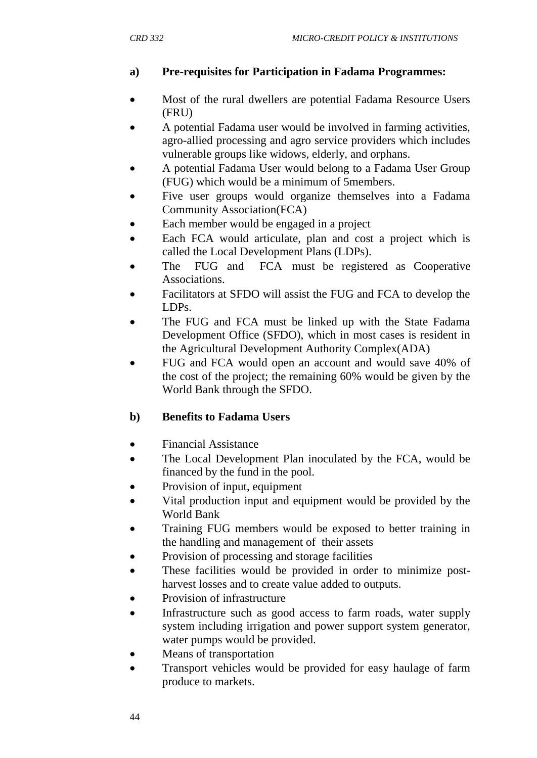## **a) Pre-requisites for Participation in Fadama Programmes:**

- Most of the rural dwellers are potential Fadama Resource Users (FRU)
- A potential Fadama user would be involved in farming activities, agro-allied processing and agro service providers which includes vulnerable groups like widows, elderly, and orphans.
- A potential Fadama User would belong to a Fadama User Group (FUG) which would be a minimum of 5members.
- Five user groups would organize themselves into a Fadama Community Association(FCA)
- Each member would be engaged in a project
- Each FCA would articulate, plan and cost a project which is called the Local Development Plans (LDPs).
- The FUG and FCA must be registered as Cooperative Associations.
- Facilitators at SFDO will assist the FUG and FCA to develop the LDPs.
- The FUG and FCA must be linked up with the State Fadama Development Office (SFDO), which in most cases is resident in the Agricultural Development Authority Complex(ADA)
- FUG and FCA would open an account and would save 40% of the cost of the project; the remaining 60% would be given by the World Bank through the SFDO.

## **b) Benefits to Fadama Users**

- Financial Assistance
- The Local Development Plan inoculated by the FCA, would be financed by the fund in the pool.
- Provision of input, equipment
- Vital production input and equipment would be provided by the World Bank
- Training FUG members would be exposed to better training in the handling and management of their assets
- Provision of processing and storage facilities
- These facilities would be provided in order to minimize postharvest losses and to create value added to outputs.
- Provision of infrastructure
- Infrastructure such as good access to farm roads, water supply system including irrigation and power support system generator, water pumps would be provided.
- Means of transportation
- Transport vehicles would be provided for easy haulage of farm produce to markets.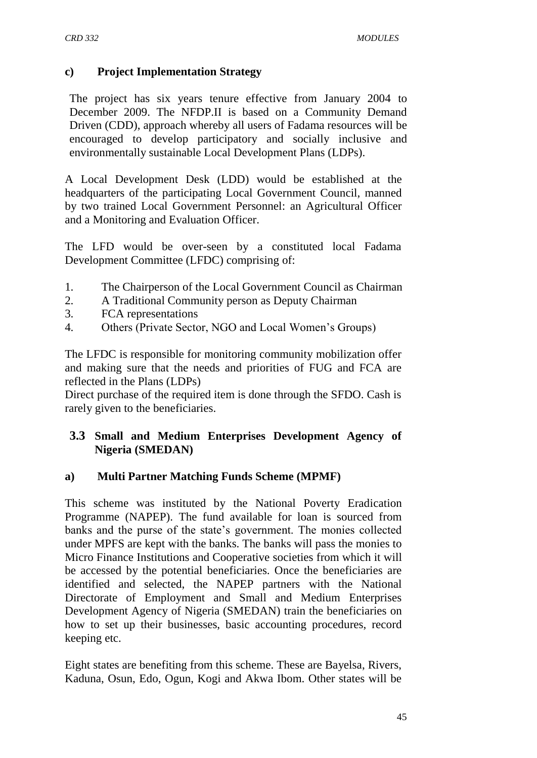### **c) Project Implementation Strategy**

The project has six years tenure effective from January 2004 to December 2009. The NFDP.II is based on a Community Demand Driven (CDD), approach whereby all users of Fadama resources will be encouraged to develop participatory and socially inclusive and environmentally sustainable Local Development Plans (LDPs).

A Local Development Desk (LDD) would be established at the headquarters of the participating Local Government Council, manned by two trained Local Government Personnel: an Agricultural Officer and a Monitoring and Evaluation Officer.

The LFD would be over-seen by a constituted local Fadama Development Committee (LFDC) comprising of:

- 1. The Chairperson of the Local Government Council as Chairman
- 2. A Traditional Community person as Deputy Chairman
- 3. FCA representations
- 4. Others (Private Sector, NGO and Local Women"s Groups)

The LFDC is responsible for monitoring community mobilization offer and making sure that the needs and priorities of FUG and FCA are reflected in the Plans (LDPs)

Direct purchase of the required item is done through the SFDO. Cash is rarely given to the beneficiaries.

### **3.3 Small and Medium Enterprises Development Agency of Nigeria (SMEDAN)**

### **a) Multi Partner Matching Funds Scheme (MPMF)**

This scheme was instituted by the National Poverty Eradication Programme (NAPEP). The fund available for loan is sourced from banks and the purse of the state's government. The monies collected under MPFS are kept with the banks. The banks will pass the monies to Micro Finance Institutions and Cooperative societies from which it will be accessed by the potential beneficiaries. Once the beneficiaries are identified and selected, the NAPEP partners with the National Directorate of Employment and Small and Medium Enterprises Development Agency of Nigeria (SMEDAN) train the beneficiaries on how to set up their businesses, basic accounting procedures, record keeping etc.

Eight states are benefiting from this scheme. These are Bayelsa, Rivers, Kaduna, Osun, Edo, Ogun, Kogi and Akwa Ibom. Other states will be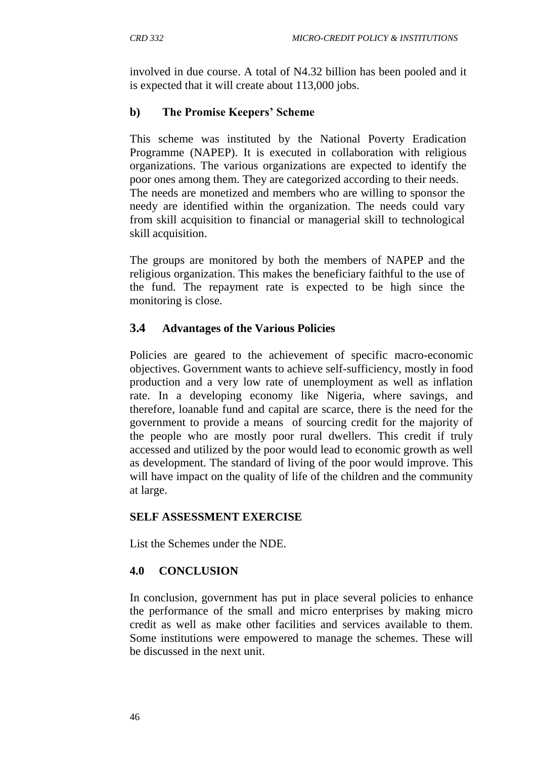involved in due course. A total of N4.32 billion has been pooled and it is expected that it will create about 113,000 jobs.

## **b) The Promise Keepers' Scheme**

This scheme was instituted by the National Poverty Eradication Programme (NAPEP). It is executed in collaboration with religious organizations. The various organizations are expected to identify the poor ones among them. They are categorized according to their needs. The needs are monetized and members who are willing to sponsor the needy are identified within the organization. The needs could vary from skill acquisition to financial or managerial skill to technological skill acquisition.

The groups are monitored by both the members of NAPEP and the religious organization. This makes the beneficiary faithful to the use of the fund. The repayment rate is expected to be high since the monitoring is close.

## **3.4 Advantages of the Various Policies**

Policies are geared to the achievement of specific macro-economic objectives. Government wants to achieve self-sufficiency, mostly in food production and a very low rate of unemployment as well as inflation rate. In a developing economy like Nigeria, where savings, and therefore, loanable fund and capital are scarce, there is the need for the government to provide a means of sourcing credit for the majority of the people who are mostly poor rural dwellers. This credit if truly accessed and utilized by the poor would lead to economic growth as well as development. The standard of living of the poor would improve. This will have impact on the quality of life of the children and the community at large.

### **SELF ASSESSMENT EXERCISE**

List the Schemes under the NDE.

### **4.0 CONCLUSION**

In conclusion, government has put in place several policies to enhance the performance of the small and micro enterprises by making micro credit as well as make other facilities and services available to them. Some institutions were empowered to manage the schemes. These will be discussed in the next unit.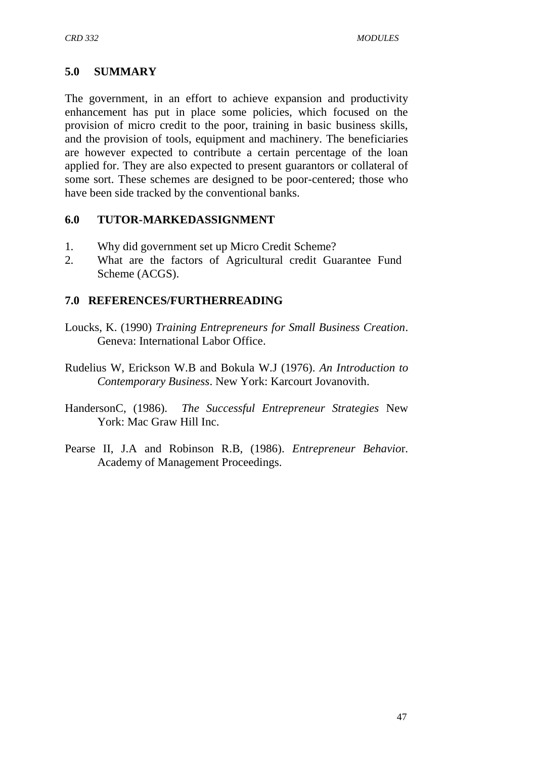## **5.0 SUMMARY**

The government, in an effort to achieve expansion and productivity enhancement has put in place some policies, which focused on the provision of micro credit to the poor, training in basic business skills, and the provision of tools, equipment and machinery. The beneficiaries are however expected to contribute a certain percentage of the loan applied for. They are also expected to present guarantors or collateral of some sort. These schemes are designed to be poor-centered; those who have been side tracked by the conventional banks.

### **6.0 TUTOR-MARKEDASSIGNMENT**

- 1. Why did government set up Micro Credit Scheme?
- 2. What are the factors of Agricultural credit Guarantee Fund Scheme (ACGS).

### **7.0 REFERENCES/FURTHERREADING**

- Loucks, K. (1990) *Training Entrepreneurs for Small Business Creation*. Geneva: International Labor Office.
- Rudelius W, Erickson W.B and Bokula W.J (1976). *An Introduction to Contemporary Business*. New York: Karcourt Jovanovith.
- HandersonC, (1986). *The Successful Entrepreneur Strategies* New York: Mac Graw Hill Inc.
- Pearse II, J.A and Robinson R.B, (1986). *Entrepreneur Behavio*r. Academy of Management Proceedings.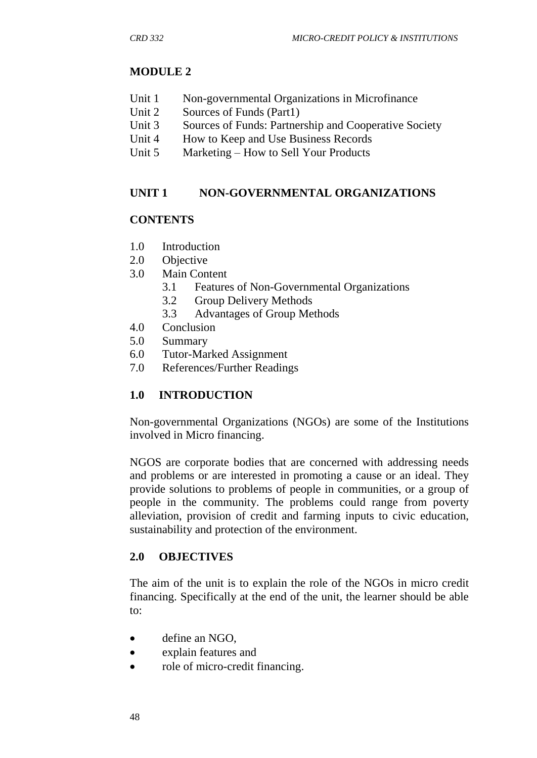## **MODULE 2**

- Unit 1 Non-governmental Organizations in Microfinance
- Unit 2 Sources of Funds (Part1)
- Unit 3 Sources of Funds: Partnership and Cooperative Society
- Unit 4 How to Keep and Use Business Records
- Unit 5 Marketing How to Sell Your Products

## **UNIT 1 NON-GOVERNMENTAL ORGANIZATIONS**

## **CONTENTS**

- 1.0 Introduction
- 2.0 Objective
- 3.0 Main Content
	- 3.1 Features of Non-Governmental Organizations
	- 3.2 Group Delivery Methods
	- 3.3 Advantages of Group Methods
- 4.0 Conclusion
- 5.0 Summary
- 6.0 Tutor-Marked Assignment
- 7.0 References/Further Readings

## **1.0 INTRODUCTION**

Non-governmental Organizations (NGOs) are some of the Institutions involved in Micro financing.

NGOS are corporate bodies that are concerned with addressing needs and problems or are interested in promoting a cause or an ideal. They provide solutions to problems of people in communities, or a group of people in the community. The problems could range from poverty alleviation, provision of credit and farming inputs to civic education, sustainability and protection of the environment.

## **2.0 OBJECTIVES**

The aim of the unit is to explain the role of the NGOs in micro credit financing. Specifically at the end of the unit, the learner should be able to:

- define an NGO,
- explain features and
- role of micro-credit financing.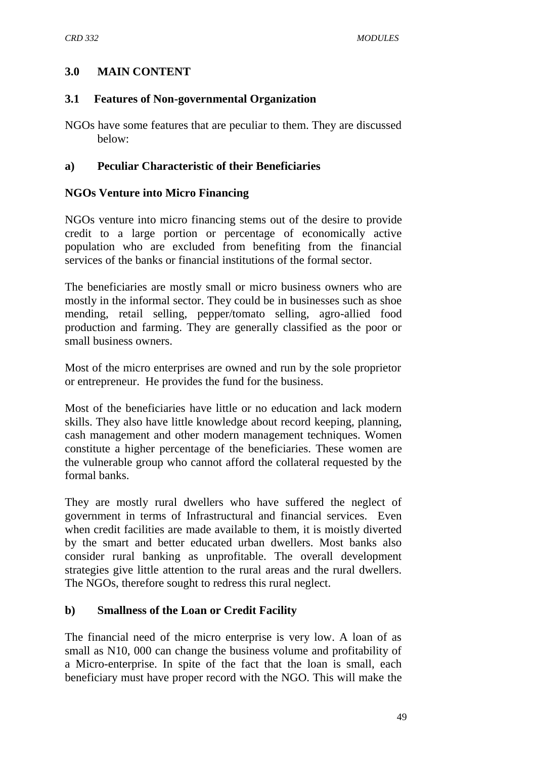### **3.0 MAIN CONTENT**

#### **3.1 Features of Non-governmental Organization**

NGOs have some features that are peculiar to them. They are discussed below:

### **a) Peculiar Characteristic of their Beneficiaries**

#### **NGOs Venture into Micro Financing**

NGOs venture into micro financing stems out of the desire to provide credit to a large portion or percentage of economically active population who are excluded from benefiting from the financial services of the banks or financial institutions of the formal sector.

The beneficiaries are mostly small or micro business owners who are mostly in the informal sector. They could be in businesses such as shoe mending, retail selling, pepper/tomato selling, agro-allied food production and farming. They are generally classified as the poor or small business owners.

Most of the micro enterprises are owned and run by the sole proprietor or entrepreneur. He provides the fund for the business.

Most of the beneficiaries have little or no education and lack modern skills. They also have little knowledge about record keeping, planning, cash management and other modern management techniques. Women constitute a higher percentage of the beneficiaries. These women are the vulnerable group who cannot afford the collateral requested by the formal banks.

They are mostly rural dwellers who have suffered the neglect of government in terms of Infrastructural and financial services. Even when credit facilities are made available to them, it is moistly diverted by the smart and better educated urban dwellers. Most banks also consider rural banking as unprofitable. The overall development strategies give little attention to the rural areas and the rural dwellers. The NGOs, therefore sought to redress this rural neglect.

#### **b) Smallness of the Loan or Credit Facility**

The financial need of the micro enterprise is very low. A loan of as small as N10, 000 can change the business volume and profitability of a Micro-enterprise. In spite of the fact that the loan is small, each beneficiary must have proper record with the NGO. This will make the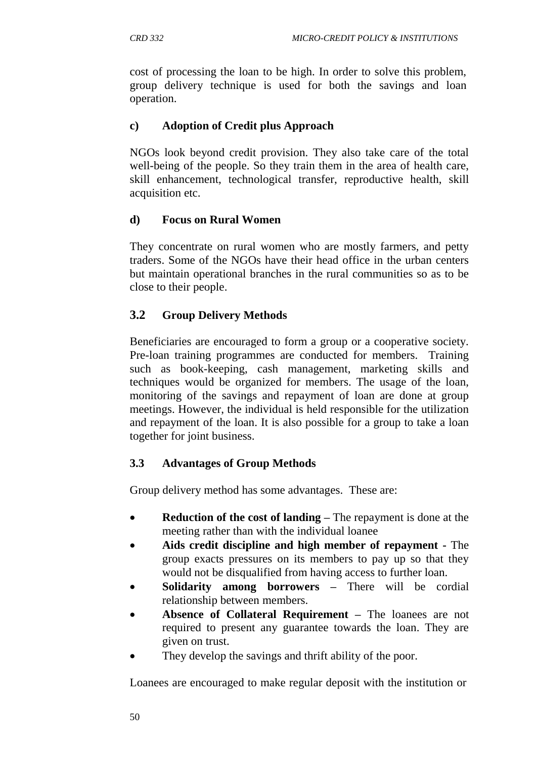cost of processing the loan to be high. In order to solve this problem, group delivery technique is used for both the savings and loan operation.

### **c) Adoption of Credit plus Approach**

NGOs look beyond credit provision. They also take care of the total well-being of the people. So they train them in the area of health care, skill enhancement, technological transfer, reproductive health, skill acquisition etc.

## **d) Focus on Rural Women**

They concentrate on rural women who are mostly farmers, and petty traders. Some of the NGOs have their head office in the urban centers but maintain operational branches in the rural communities so as to be close to their people.

## **3.2 Group Delivery Methods**

Beneficiaries are encouraged to form a group or a cooperative society. Pre-loan training programmes are conducted for members. Training such as book-keeping, cash management, marketing skills and techniques would be organized for members. The usage of the loan, monitoring of the savings and repayment of loan are done at group meetings. However, the individual is held responsible for the utilization and repayment of the loan. It is also possible for a group to take a loan together for joint business.

## **3.3 Advantages of Group Methods**

Group delivery method has some advantages. These are:

- **Reduction of the cost of landing** The repayment is done at the meeting rather than with the individual loanee
- **Aids credit discipline and high member of repayment -** The group exacts pressures on its members to pay up so that they would not be disqualified from having access to further loan.
- **Solidarity among borrowers –** There will be cordial relationship between members.
- **Absence of Collateral Requirement –** The loanees are not required to present any guarantee towards the loan. They are given on trust.
- They develop the savings and thrift ability of the poor.

Loanees are encouraged to make regular deposit with the institution or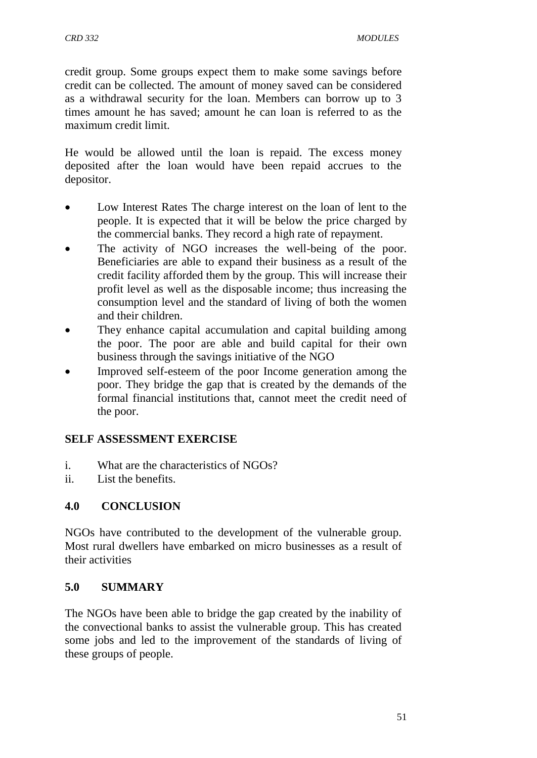credit group. Some groups expect them to make some savings before credit can be collected. The amount of money saved can be considered as a withdrawal security for the loan. Members can borrow up to 3 times amount he has saved; amount he can loan is referred to as the maximum credit limit.

He would be allowed until the loan is repaid. The excess money deposited after the loan would have been repaid accrues to the depositor.

- Low Interest Rates The charge interest on the loan of lent to the people. It is expected that it will be below the price charged by the commercial banks. They record a high rate of repayment.
- The activity of NGO increases the well-being of the poor. Beneficiaries are able to expand their business as a result of the credit facility afforded them by the group. This will increase their profit level as well as the disposable income; thus increasing the consumption level and the standard of living of both the women and their children.
- They enhance capital accumulation and capital building among the poor. The poor are able and build capital for their own business through the savings initiative of the NGO
- Improved self-esteem of the poor Income generation among the poor. They bridge the gap that is created by the demands of the formal financial institutions that, cannot meet the credit need of the poor.

## **SELF ASSESSMENT EXERCISE**

- i. What are the characteristics of NGOs?
- ii. List the benefits.

## **4.0 CONCLUSION**

NGOs have contributed to the development of the vulnerable group. Most rural dwellers have embarked on micro businesses as a result of their activities

## **5.0 SUMMARY**

The NGOs have been able to bridge the gap created by the inability of the convectional banks to assist the vulnerable group. This has created some jobs and led to the improvement of the standards of living of these groups of people.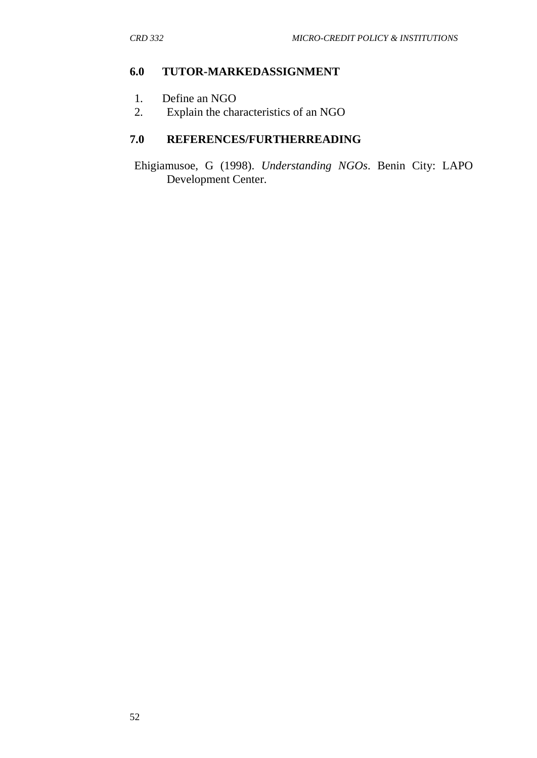### **6.0 TUTOR-MARKEDASSIGNMENT**

- 1. Define an NGO
- 2. Explain the characteristics of an NGO

# **7.0 REFERENCES/FURTHERREADING**

Ehigiamusoe, G (1998). *Understanding NGOs*. Benin City: LAPO Development Center.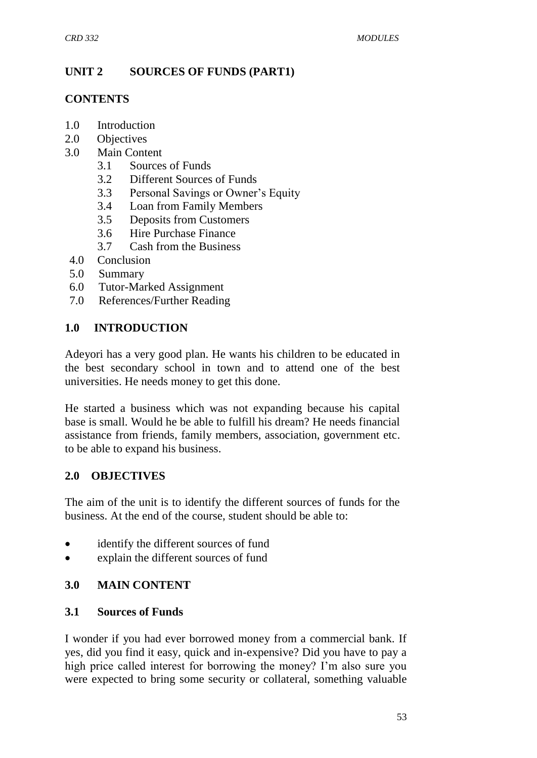## **UNIT 2 SOURCES OF FUNDS (PART1)**

### **CONTENTS**

- 1.0 Introduction
- 2.0 Objectives
- 3.0 Main Content
	- 3.1 Sources of Funds
	- 3.2 Different Sources of Funds
	- 3.3 Personal Savings or Owner"s Equity
	- 3.4 Loan from Family Members
	- 3.5 Deposits from Customers
	- 3.6 Hire Purchase Finance
	- 3.7 Cash from the Business
- 4.0 Conclusion
- 5.0 Summary
- 6.0 Tutor-Marked Assignment
- 7.0 References/Further Reading

### **1.0 INTRODUCTION**

Adeyori has a very good plan. He wants his children to be educated in the best secondary school in town and to attend one of the best universities. He needs money to get this done.

He started a business which was not expanding because his capital base is small. Would he be able to fulfill his dream? He needs financial assistance from friends, family members, association, government etc. to be able to expand his business.

### **2.0 OBJECTIVES**

The aim of the unit is to identify the different sources of funds for the business. At the end of the course, student should be able to:

- identify the different sources of fund
- explain the different sources of fund

## **3.0 MAIN CONTENT**

### **3.1 Sources of Funds**

I wonder if you had ever borrowed money from a commercial bank. If yes, did you find it easy, quick and in-expensive? Did you have to pay a high price called interest for borrowing the money? I'm also sure you were expected to bring some security or collateral, something valuable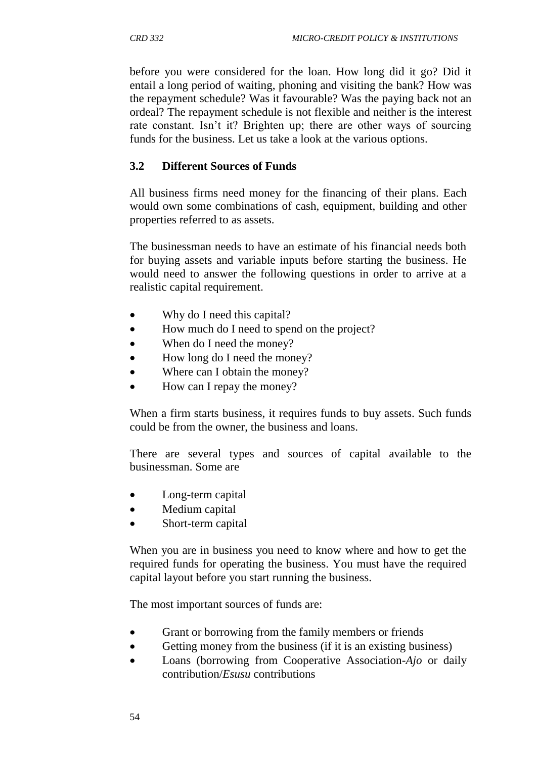before you were considered for the loan. How long did it go? Did it entail a long period of waiting, phoning and visiting the bank? How was the repayment schedule? Was it favourable? Was the paying back not an ordeal? The repayment schedule is not flexible and neither is the interest rate constant. Isn't it? Brighten up; there are other ways of sourcing funds for the business. Let us take a look at the various options.

## **3.2 Different Sources of Funds**

All business firms need money for the financing of their plans. Each would own some combinations of cash, equipment, building and other properties referred to as assets.

The businessman needs to have an estimate of his financial needs both for buying assets and variable inputs before starting the business. He would need to answer the following questions in order to arrive at a realistic capital requirement.

- Why do I need this capital?
- How much do I need to spend on the project?
- When do I need the money?
- How long do I need the money?
- Where can I obtain the money?
- How can I repay the money?

When a firm starts business, it requires funds to buy assets. Such funds could be from the owner, the business and loans.

There are several types and sources of capital available to the businessman. Some are

- Long-term capital
- Medium capital
- Short-term capital

When you are in business you need to know where and how to get the required funds for operating the business. You must have the required capital layout before you start running the business.

The most important sources of funds are:

- Grant or borrowing from the family members or friends
- Getting money from the business (if it is an existing business)
- Loans (borrowing from Cooperative Association-*Ajo* or daily contribution/*Esusu* contributions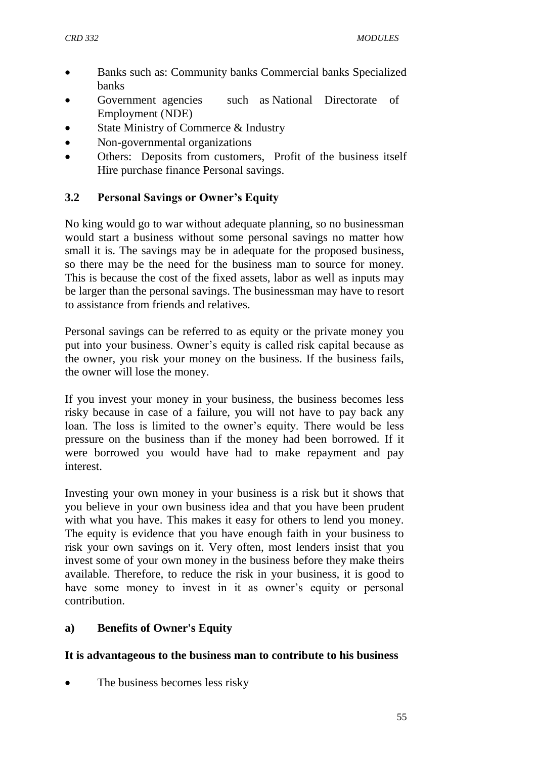- Banks such as: Community banks Commercial banks Specialized banks
- Government agencies such as National Directorate of Employment (NDE)
- State Ministry of Commerce & Industry
- Non-governmental organizations
- Others: Deposits from customers, Profit of the business itself Hire purchase finance Personal savings.

### **3.2 Personal Savings or Owner's Equity**

No king would go to war without adequate planning, so no businessman would start a business without some personal savings no matter how small it is. The savings may be in adequate for the proposed business, so there may be the need for the business man to source for money. This is because the cost of the fixed assets, labor as well as inputs may be larger than the personal savings. The businessman may have to resort to assistance from friends and relatives.

Personal savings can be referred to as equity or the private money you put into your business. Owner"s equity is called risk capital because as the owner, you risk your money on the business. If the business fails, the owner will lose the money.

If you invest your money in your business, the business becomes less risky because in case of a failure, you will not have to pay back any loan. The loss is limited to the owner's equity. There would be less pressure on the business than if the money had been borrowed. If it were borrowed you would have had to make repayment and pay interest.

Investing your own money in your business is a risk but it shows that you believe in your own business idea and that you have been prudent with what you have. This makes it easy for others to lend you money. The equity is evidence that you have enough faith in your business to risk your own savings on it. Very often, most lenders insist that you invest some of your own money in the business before they make theirs available. Therefore, to reduce the risk in your business, it is good to have some money to invest in it as owner's equity or personal contribution.

### **a) Benefits of Owner's Equity**

### **It is advantageous to the business man to contribute to his business**

The business becomes less risky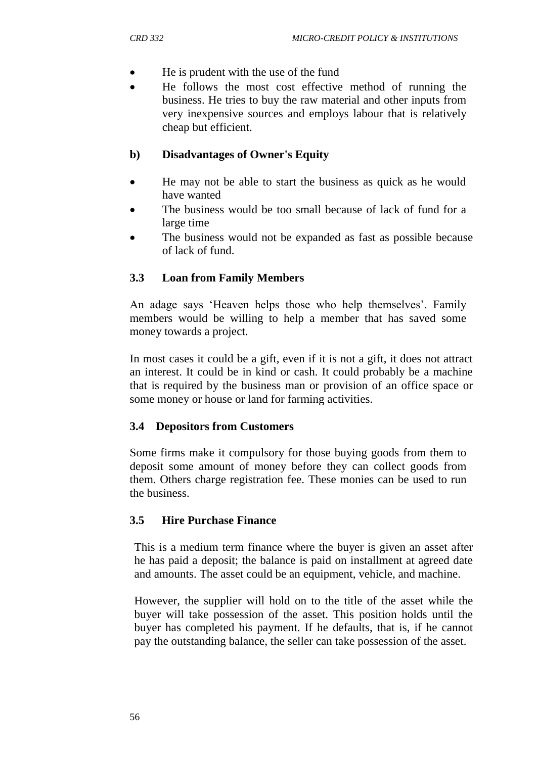- He is prudent with the use of the fund
- He follows the most cost effective method of running the business. He tries to buy the raw material and other inputs from very inexpensive sources and employs labour that is relatively cheap but efficient.

### **b) Disadvantages of Owner's Equity**

- He may not be able to start the business as quick as he would have wanted
- The business would be too small because of lack of fund for a large time
- The business would not be expanded as fast as possible because of lack of fund.

## **3.3 Loan from Family Members**

An adage says 'Heaven helps those who help themselves'. Family members would be willing to help a member that has saved some money towards a project.

In most cases it could be a gift, even if it is not a gift, it does not attract an interest. It could be in kind or cash. It could probably be a machine that is required by the business man or provision of an office space or some money or house or land for farming activities.

### **3.4 Depositors from Customers**

Some firms make it compulsory for those buying goods from them to deposit some amount of money before they can collect goods from them. Others charge registration fee. These monies can be used to run the business.

### **3.5 Hire Purchase Finance**

This is a medium term finance where the buyer is given an asset after he has paid a deposit; the balance is paid on installment at agreed date and amounts. The asset could be an equipment, vehicle, and machine.

However, the supplier will hold on to the title of the asset while the buyer will take possession of the asset. This position holds until the buyer has completed his payment. If he defaults, that is, if he cannot pay the outstanding balance, the seller can take possession of the asset.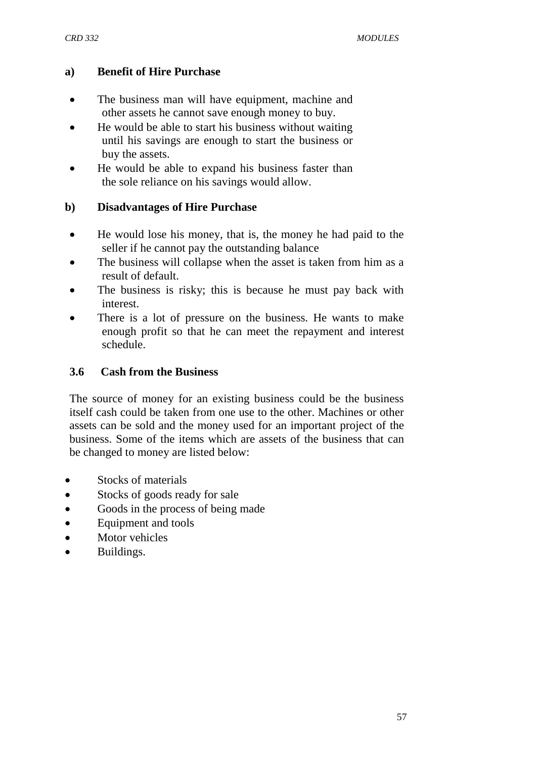### **a) Benefit of Hire Purchase**

- The business man will have equipment, machine and other assets he cannot save enough money to buy.
- He would be able to start his business without waiting until his savings are enough to start the business or buy the assets.
- He would be able to expand his business faster than the sole reliance on his savings would allow.

### **b) Disadvantages of Hire Purchase**

- He would lose his money, that is, the money he had paid to the seller if he cannot pay the outstanding balance
- The business will collapse when the asset is taken from him as a result of default.
- The business is risky; this is because he must pay back with interest.
- There is a lot of pressure on the business. He wants to make enough profit so that he can meet the repayment and interest schedule.

### **3.6 Cash from the Business**

The source of money for an existing business could be the business itself cash could be taken from one use to the other. Machines or other assets can be sold and the money used for an important project of the business. Some of the items which are assets of the business that can be changed to money are listed below:

- Stocks of materials
- Stocks of goods ready for sale
- Goods in the process of being made
- Equipment and tools
- Motor vehicles
- Buildings.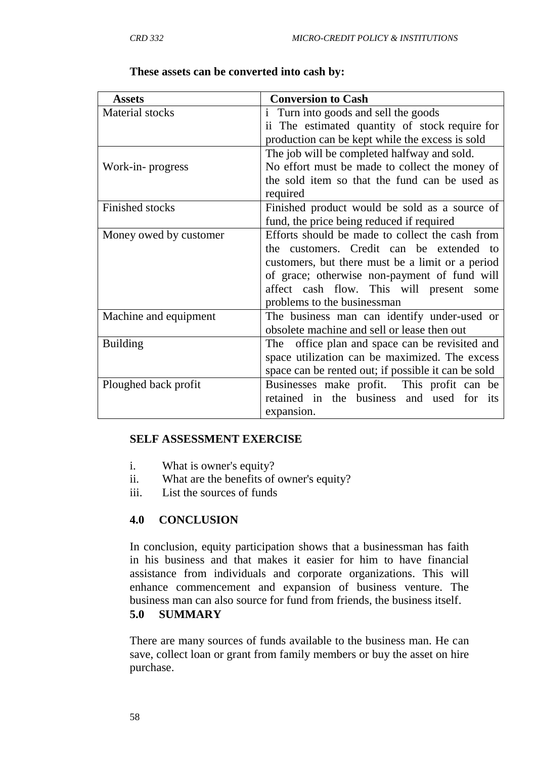$\Gamma$ 

| <b>Assets</b>          | <b>Conversion to Cash</b>                           |
|------------------------|-----------------------------------------------------|
| Material stocks        | i Turn into goods and sell the goods                |
|                        | ii The estimated quantity of stock require for      |
|                        | production can be kept while the excess is sold     |
|                        | The job will be completed halfway and sold.         |
| Work-in-progress       | No effort must be made to collect the money of      |
|                        | the sold item so that the fund can be used as       |
|                        | required                                            |
| Finished stocks        | Finished product would be sold as a source of       |
|                        | fund, the price being reduced if required           |
| Money owed by customer | Efforts should be made to collect the cash from     |
|                        | the customers. Credit can be extended to            |
|                        | customers, but there must be a limit or a period    |
|                        | of grace; otherwise non-payment of fund will        |
|                        | affect cash flow. This will present some            |
|                        | problems to the businessman                         |
| Machine and equipment  | The business man can identify under-used or         |
|                        | obsolete machine and sell or lease then out         |
| <b>Building</b>        | office plan and space can be revisited and<br>The   |
|                        | space utilization can be maximized. The excess      |
|                        | space can be rented out; if possible it can be sold |
| Ploughed back profit   | Businesses make profit. This profit can be          |
|                        | retained in the business and used for its           |
|                        | expansion.                                          |

#### **These assets can be converted into cash by:**

#### **SELF ASSESSMENT EXERCISE**

- i. What is owner's equity?
- ii. What are the benefits of owner's equity?
- iii. List the sources of funds

### **4.0 CONCLUSION**

In conclusion, equity participation shows that a businessman has faith in his business and that makes it easier for him to have financial assistance from individuals and corporate organizations. This will enhance commencement and expansion of business venture. The business man can also source for fund from friends, the business itself.

### **5.0 SUMMARY**

There are many sources of funds available to the business man. He can save, collect loan or grant from family members or buy the asset on hire purchase.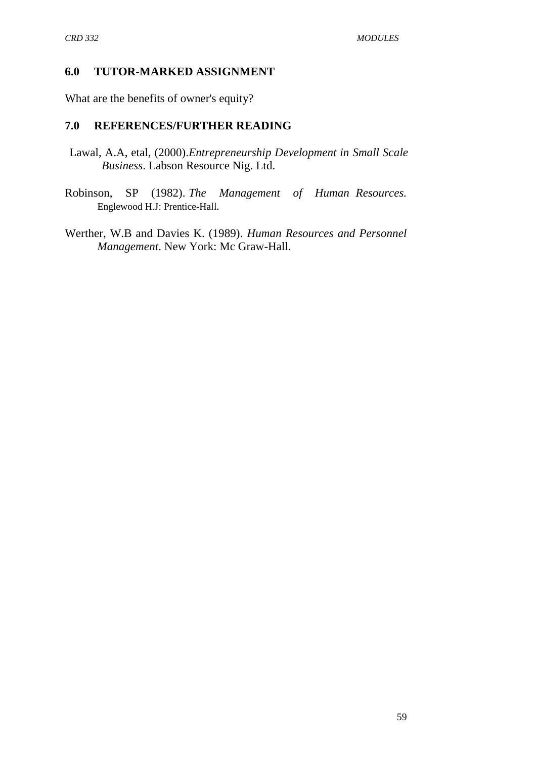#### **6.0 TUTOR-MARKED ASSIGNMENT**

What are the benefits of owner's equity?

### **7.0 REFERENCES/FURTHER READING**

- Lawal, A.A, etal, (2000).*Entrepreneurship Development in Small Scale Business*. Labson Resource Nig. Ltd.
- Robinson, SP (1982). *The Management of Human Resources.* Englewood H.J: Prentice-Hall*.*
- Werther, W.B and Davies K. (1989). *Human Resources and Personnel Management*. New York: Mc Graw-Hall.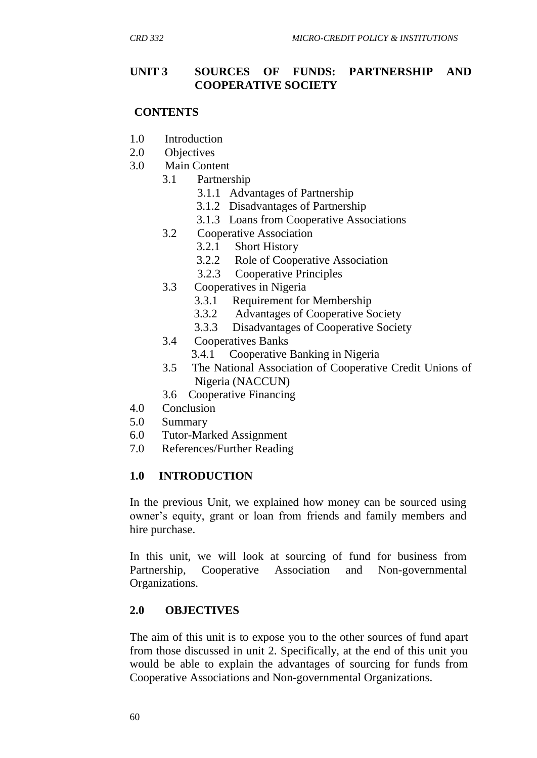### **UNIT 3 SOURCES OF FUNDS: PARTNERSHIP AND COOPERATIVE SOCIETY**

### **CONTENTS**

- 1.0 Introduction
- 2.0 Objectives
- 3.0 Main Content
	- 3.1 Partnership
		- 3.1.1 Advantages of Partnership
		- 3.1.2 Disadvantages of Partnership
		- 3.1.3 Loans from Cooperative Associations
	- 3.2 Cooperative Association
		- 3.2.1 Short History
		- 3.2.2 Role of Cooperative Association
		- 3.2.3 Cooperative Principles
	- 3.3 Cooperatives in Nigeria
		- 3.3.1 Requirement for Membership
		- 3.3.2 Advantages of Cooperative Society
		- 3.3.3 Disadvantages of Cooperative Society
	- 3.4 Cooperatives Banks
		- 3.4.1 Cooperative Banking in Nigeria
	- 3.5 The National Association of Cooperative Credit Unions of Nigeria (NACCUN)
	- 3.6 Cooperative Financing
- 4.0 Conclusion
- 5.0 Summary
- 6.0 Tutor-Marked Assignment
- 7.0 References/Further Reading

### **1.0 INTRODUCTION**

In the previous Unit, we explained how money can be sourced using owner's equity, grant or loan from friends and family members and hire purchase.

In this unit, we will look at sourcing of fund for business from Partnership, Cooperative Association and Non-governmental Organizations.

### **2.0 OBJECTIVES**

The aim of this unit is to expose you to the other sources of fund apart from those discussed in unit 2. Specifically, at the end of this unit you would be able to explain the advantages of sourcing for funds from Cooperative Associations and Non-governmental Organizations.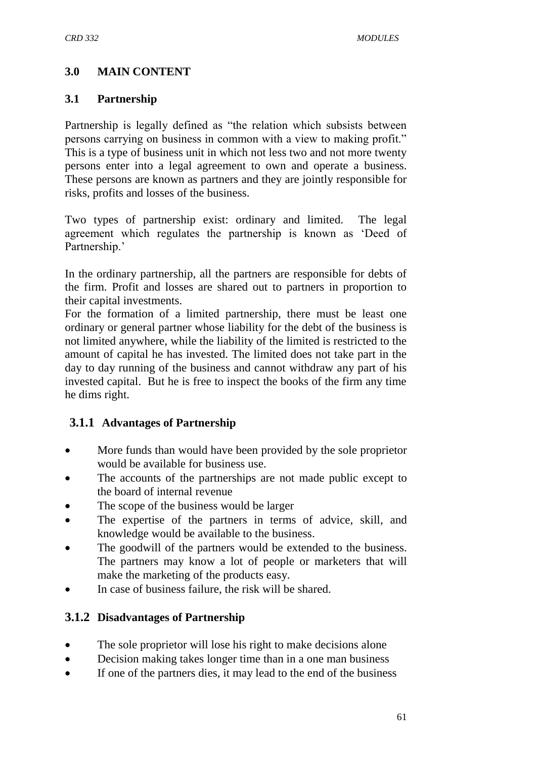## **3.0 MAIN CONTENT**

### **3.1 Partnership**

Partnership is legally defined as "the relation which subsists between persons carrying on business in common with a view to making profit." This is a type of business unit in which not less two and not more twenty persons enter into a legal agreement to own and operate a business. These persons are known as partners and they are jointly responsible for risks, profits and losses of the business.

Two types of partnership exist: ordinary and limited. The legal agreement which regulates the partnership is known as "Deed of Partnership.'

In the ordinary partnership, all the partners are responsible for debts of the firm. Profit and losses are shared out to partners in proportion to their capital investments.

For the formation of a limited partnership, there must be least one ordinary or general partner whose liability for the debt of the business is not limited anywhere, while the liability of the limited is restricted to the amount of capital he has invested. The limited does not take part in the day to day running of the business and cannot withdraw any part of his invested capital. But he is free to inspect the books of the firm any time he dims right.

## **3.1.1 Advantages of Partnership**

- More funds than would have been provided by the sole proprietor would be available for business use.
- The accounts of the partnerships are not made public except to the board of internal revenue
- The scope of the business would be larger
- The expertise of the partners in terms of advice, skill, and knowledge would be available to the business.
- The goodwill of the partners would be extended to the business. The partners may know a lot of people or marketers that will make the marketing of the products easy.
- In case of business failure, the risk will be shared.

## **3.1.2 Disadvantages of Partnership**

- The sole proprietor will lose his right to make decisions alone
- Decision making takes longer time than in a one man business
- If one of the partners dies, it may lead to the end of the business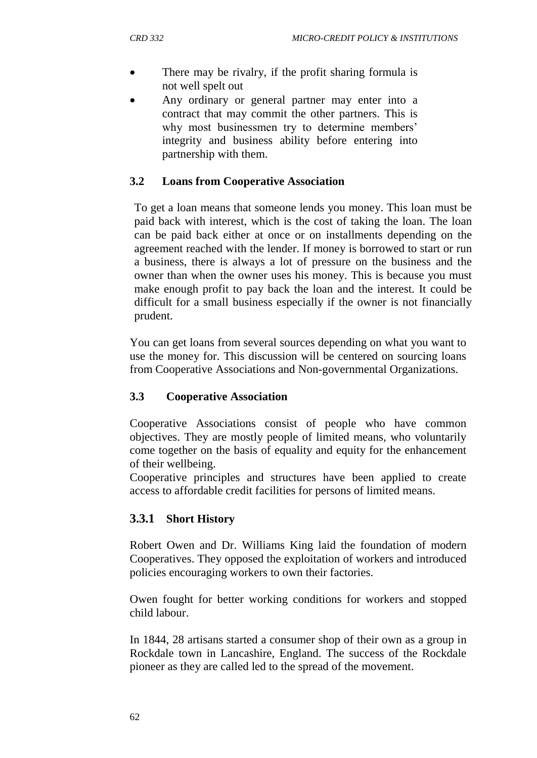- There may be rivalry, if the profit sharing formula is not well spelt out
- Any ordinary or general partner may enter into a contract that may commit the other partners. This is why most businessmen try to determine members' integrity and business ability before entering into partnership with them.

### **3.2 Loans from Cooperative Association**

To get a loan means that someone lends you money. This loan must be paid back with interest, which is the cost of taking the loan. The loan can be paid back either at once or on installments depending on the agreement reached with the lender. If money is borrowed to start or run a business, there is always a lot of pressure on the business and the owner than when the owner uses his money. This is because you must make enough profit to pay back the loan and the interest. It could be difficult for a small business especially if the owner is not financially prudent.

You can get loans from several sources depending on what you want to use the money for. This discussion will be centered on sourcing loans from Cooperative Associations and Non-governmental Organizations.

## **3.3 Cooperative Association**

Cooperative Associations consist of people who have common objectives. They are mostly people of limited means, who voluntarily come together on the basis of equality and equity for the enhancement of their wellbeing.

Cooperative principles and structures have been applied to create access to affordable credit facilities for persons of limited means.

## **3.3.1 Short History**

Robert Owen and Dr. Williams King laid the foundation of modern Cooperatives. They opposed the exploitation of workers and introduced policies encouraging workers to own their factories.

Owen fought for better working conditions for workers and stopped child labour.

In 1844, 28 artisans started a consumer shop of their own as a group in Rockdale town in Lancashire, England. The success of the Rockdale pioneer as they are called led to the spread of the movement.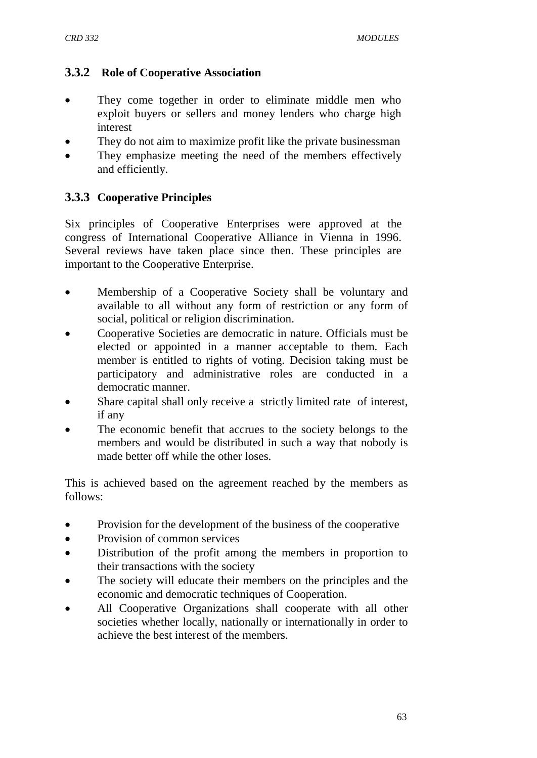### **3.3.2 Role of Cooperative Association**

- They come together in order to eliminate middle men who exploit buyers or sellers and money lenders who charge high interest
- They do not aim to maximize profit like the private businessman
- They emphasize meeting the need of the members effectively and efficiently.

## **3.3.3 Cooperative Principles**

Six principles of Cooperative Enterprises were approved at the congress of International Cooperative Alliance in Vienna in 1996. Several reviews have taken place since then. These principles are important to the Cooperative Enterprise.

- Membership of a Cooperative Society shall be voluntary and available to all without any form of restriction or any form of social, political or religion discrimination.
- Cooperative Societies are democratic in nature. Officials must be elected or appointed in a manner acceptable to them. Each member is entitled to rights of voting. Decision taking must be participatory and administrative roles are conducted in a democratic manner.
- Share capital shall only receive a strictly limited rate of interest, if any
- The economic benefit that accrues to the society belongs to the members and would be distributed in such a way that nobody is made better off while the other loses.

This is achieved based on the agreement reached by the members as follows:

- Provision for the development of the business of the cooperative
- Provision of common services
- Distribution of the profit among the members in proportion to their transactions with the society
- The society will educate their members on the principles and the economic and democratic techniques of Cooperation.
- All Cooperative Organizations shall cooperate with all other societies whether locally, nationally or internationally in order to achieve the best interest of the members.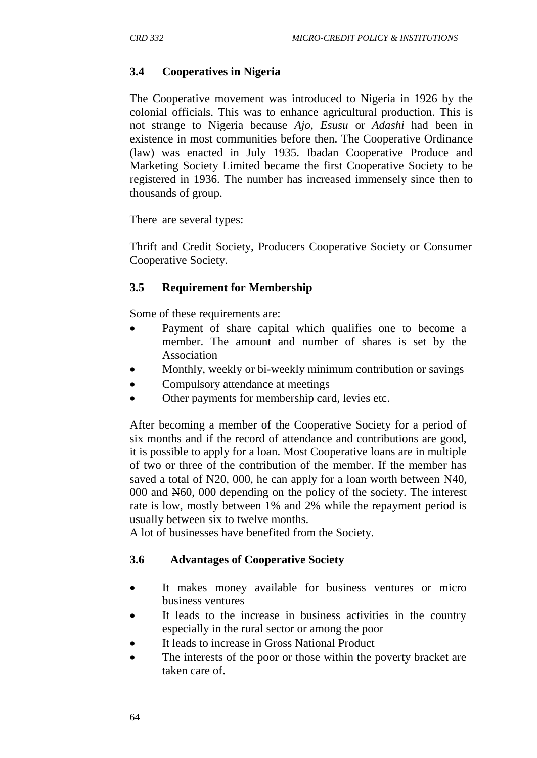## **3.4 Cooperatives in Nigeria**

The Cooperative movement was introduced to Nigeria in 1926 by the colonial officials. This was to enhance agricultural production. This is not strange to Nigeria because *Ajo, Esusu* or *Adashi* had been in existence in most communities before then. The Cooperative Ordinance (law) was enacted in July 1935. Ibadan Cooperative Produce and Marketing Society Limited became the first Cooperative Society to be registered in 1936. The number has increased immensely since then to thousands of group.

There are several types:

Thrift and Credit Society, Producers Cooperative Society or Consumer Cooperative Society.

## **3.5 Requirement for Membership**

Some of these requirements are:

- Payment of share capital which qualifies one to become a member. The amount and number of shares is set by the Association
- Monthly, weekly or bi-weekly minimum contribution or savings
- Compulsory attendance at meetings
- Other payments for membership card, levies etc.

After becoming a member of the Cooperative Society for a period of six months and if the record of attendance and contributions are good, it is possible to apply for a loan. Most Cooperative loans are in multiple of two or three of the contribution of the member. If the member has saved a total of N20, 000, he can apply for a loan worth between N40, 000 and N60, 000 depending on the policy of the society. The interest rate is low, mostly between 1% and 2% while the repayment period is usually between six to twelve months.

A lot of businesses have benefited from the Society.

### **3.6 Advantages of Cooperative Society**

- It makes money available for business ventures or micro business ventures
- It leads to the increase in business activities in the country especially in the rural sector or among the poor
- It leads to increase in Gross National Product
- The interests of the poor or those within the poverty bracket are taken care of.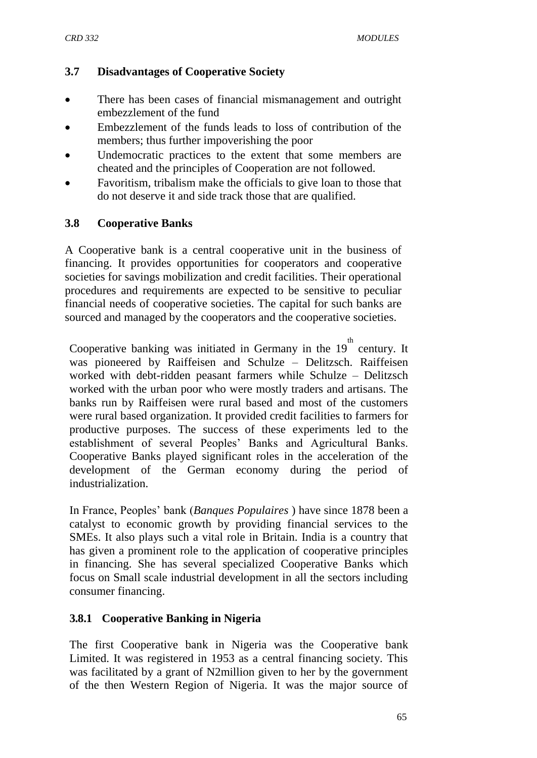### **3.7 Disadvantages of Cooperative Society**

- There has been cases of financial mismanagement and outright embezzlement of the fund
- Embezzlement of the funds leads to loss of contribution of the members; thus further impoverishing the poor
- Undemocratic practices to the extent that some members are cheated and the principles of Cooperation are not followed.
- Favoritism, tribalism make the officials to give loan to those that do not deserve it and side track those that are qualified.

### **3.8 Cooperative Banks**

A Cooperative bank is a central cooperative unit in the business of financing. It provides opportunities for cooperators and cooperative societies for savings mobilization and credit facilities. Their operational procedures and requirements are expected to be sensitive to peculiar financial needs of cooperative societies. The capital for such banks are sourced and managed by the cooperators and the cooperative societies.

Cooperative banking was initiated in Germany in the  $19^{th}$  century. It was pioneered by Raiffeisen and Schulze – Delitzsch. Raiffeisen worked with debt-ridden peasant farmers while Schulze – Delitzsch worked with the urban poor who were mostly traders and artisans. The banks run by Raiffeisen were rural based and most of the customers were rural based organization. It provided credit facilities to farmers for productive purposes. The success of these experiments led to the establishment of several Peoples" Banks and Agricultural Banks. Cooperative Banks played significant roles in the acceleration of the development of the German economy during the period of industrialization.

In France, Peoples" bank (*Banques Populaires* ) have since 1878 been a catalyst to economic growth by providing financial services to the SMEs. It also plays such a vital role in Britain. India is a country that has given a prominent role to the application of cooperative principles in financing. She has several specialized Cooperative Banks which focus on Small scale industrial development in all the sectors including consumer financing.

## **3.8.1 Cooperative Banking in Nigeria**

The first Cooperative bank in Nigeria was the Cooperative bank Limited. It was registered in 1953 as a central financing society. This was facilitated by a grant of N2million given to her by the government of the then Western Region of Nigeria. It was the major source of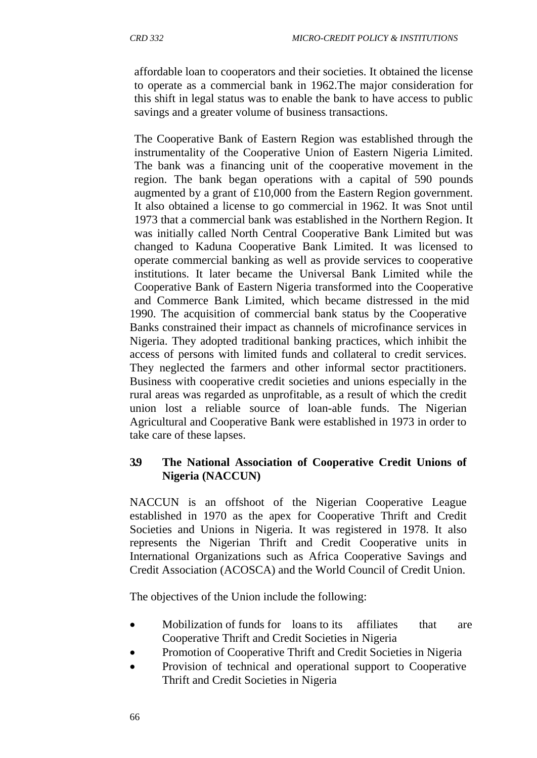affordable loan to cooperators and their societies. It obtained the license to operate as a commercial bank in 1962.The major consideration for this shift in legal status was to enable the bank to have access to public savings and a greater volume of business transactions.

The Cooperative Bank of Eastern Region was established through the instrumentality of the Cooperative Union of Eastern Nigeria Limited. The bank was a financing unit of the cooperative movement in the region. The bank began operations with a capital of 590 pounds augmented by a grant of £10,000 from the Eastern Region government. It also obtained a license to go commercial in 1962. It was Snot until 1973 that a commercial bank was established in the Northern Region. It was initially called North Central Cooperative Bank Limited but was changed to Kaduna Cooperative Bank Limited. It was licensed to operate commercial banking as well as provide services to cooperative institutions. It later became the Universal Bank Limited while the Cooperative Bank of Eastern Nigeria transformed into the Cooperative and Commerce Bank Limited, which became distressed in the mid 1990. The acquisition of commercial bank status by the Cooperative Banks constrained their impact as channels of microfinance services in Nigeria. They adopted traditional banking practices, which inhibit the access of persons with limited funds and collateral to credit services. They neglected the farmers and other informal sector practitioners. Business with cooperative credit societies and unions especially in the rural areas was regarded as unprofitable, as a result of which the credit union lost a reliable source of loan-able funds. The Nigerian Agricultural and Cooperative Bank were established in 1973 in order to take care of these lapses.

#### **3.9 The National Association of Cooperative Credit Unions of Nigeria (NACCUN)**

NACCUN is an offshoot of the Nigerian Cooperative League established in 1970 as the apex for Cooperative Thrift and Credit Societies and Unions in Nigeria. It was registered in 1978. It also represents the Nigerian Thrift and Credit Cooperative units in International Organizations such as Africa Cooperative Savings and Credit Association (ACOSCA) and the World Council of Credit Union.

The objectives of the Union include the following:

- Mobilization of funds for loans to its affiliates that are Cooperative Thrift and Credit Societies in Nigeria
- Promotion of Cooperative Thrift and Credit Societies in Nigeria
- Provision of technical and operational support to Cooperative Thrift and Credit Societies in Nigeria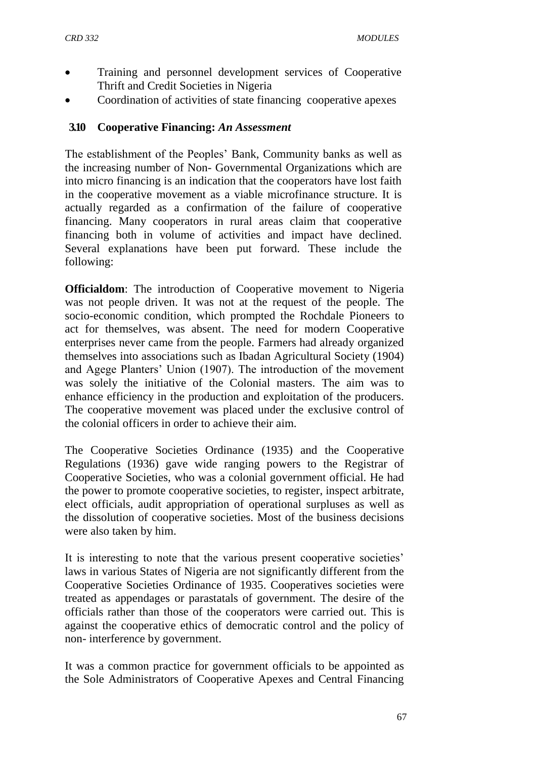- Training and personnel development services of Cooperative Thrift and Credit Societies in Nigeria
- Coordination of activities of state financing cooperative apexes

### **3.10 Cooperative Financing:** *An Assessment*

The establishment of the Peoples" Bank, Community banks as well as the increasing number of Non- Governmental Organizations which are into micro financing is an indication that the cooperators have lost faith in the cooperative movement as a viable microfinance structure. It is actually regarded as a confirmation of the failure of cooperative financing. Many cooperators in rural areas claim that cooperative financing both in volume of activities and impact have declined. Several explanations have been put forward. These include the following:

**Officialdom**: The introduction of Cooperative movement to Nigeria was not people driven. It was not at the request of the people. The socio-economic condition, which prompted the Rochdale Pioneers to act for themselves, was absent. The need for modern Cooperative enterprises never came from the people. Farmers had already organized themselves into associations such as Ibadan Agricultural Society (1904) and Agege Planters" Union (1907). The introduction of the movement was solely the initiative of the Colonial masters. The aim was to enhance efficiency in the production and exploitation of the producers. The cooperative movement was placed under the exclusive control of the colonial officers in order to achieve their aim.

The Cooperative Societies Ordinance (1935) and the Cooperative Regulations (1936) gave wide ranging powers to the Registrar of Cooperative Societies, who was a colonial government official. He had the power to promote cooperative societies, to register, inspect arbitrate, elect officials, audit appropriation of operational surpluses as well as the dissolution of cooperative societies. Most of the business decisions were also taken by him.

It is interesting to note that the various present cooperative societies' laws in various States of Nigeria are not significantly different from the Cooperative Societies Ordinance of 1935. Cooperatives societies were treated as appendages or parastatals of government. The desire of the officials rather than those of the cooperators were carried out. This is against the cooperative ethics of democratic control and the policy of non- interference by government.

It was a common practice for government officials to be appointed as the Sole Administrators of Cooperative Apexes and Central Financing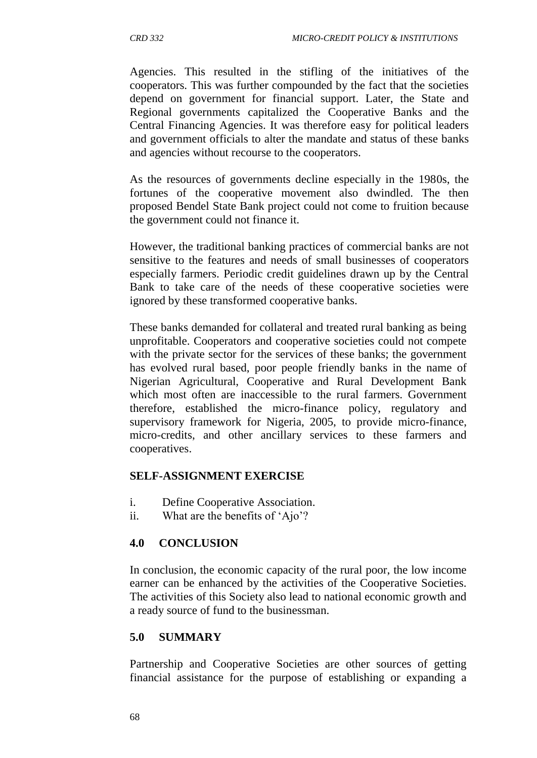Agencies. This resulted in the stifling of the initiatives of the cooperators. This was further compounded by the fact that the societies depend on government for financial support. Later, the State and Regional governments capitalized the Cooperative Banks and the Central Financing Agencies. It was therefore easy for political leaders and government officials to alter the mandate and status of these banks and agencies without recourse to the cooperators.

As the resources of governments decline especially in the 1980s, the fortunes of the cooperative movement also dwindled. The then proposed Bendel State Bank project could not come to fruition because the government could not finance it.

However, the traditional banking practices of commercial banks are not sensitive to the features and needs of small businesses of cooperators especially farmers. Periodic credit guidelines drawn up by the Central Bank to take care of the needs of these cooperative societies were ignored by these transformed cooperative banks.

These banks demanded for collateral and treated rural banking as being unprofitable. Cooperators and cooperative societies could not compete with the private sector for the services of these banks; the government has evolved rural based, poor people friendly banks in the name of Nigerian Agricultural, Cooperative and Rural Development Bank which most often are inaccessible to the rural farmers. Government therefore, established the micro-finance policy, regulatory and supervisory framework for Nigeria, 2005, to provide micro-finance, micro-credits, and other ancillary services to these farmers and cooperatives.

#### **SELF-ASSIGNMENT EXERCISE**

- i. Define Cooperative Association.
- ii. What are the benefits of 'Ajo'?

#### **4.0 CONCLUSION**

In conclusion, the economic capacity of the rural poor, the low income earner can be enhanced by the activities of the Cooperative Societies. The activities of this Society also lead to national economic growth and a ready source of fund to the businessman.

#### **5.0 SUMMARY**

Partnership and Cooperative Societies are other sources of getting financial assistance for the purpose of establishing or expanding a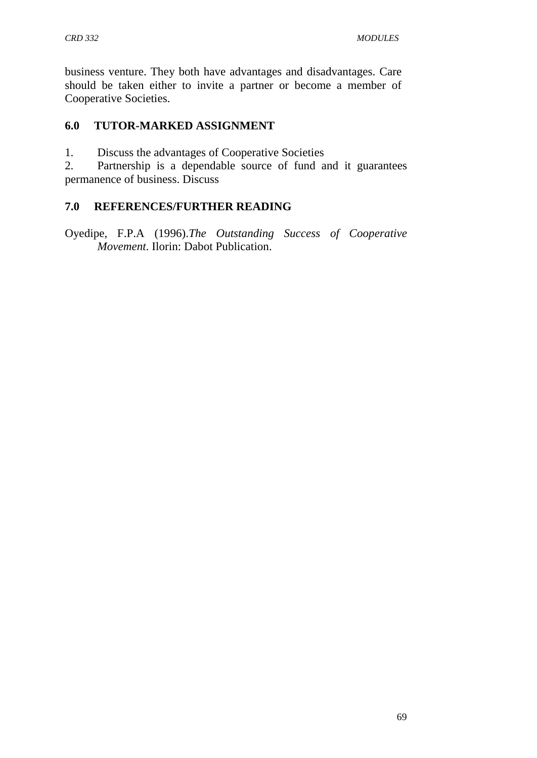business venture. They both have advantages and disadvantages. Care should be taken either to invite a partner or become a member of Cooperative Societies.

### **6.0 TUTOR-MARKED ASSIGNMENT**

1. Discuss the advantages of Cooperative Societies

2. Partnership is a dependable source of fund and it guarantees permanence of business. Discuss

### **7.0 REFERENCES/FURTHER READING**

Oyedipe, F.P.A (1996).*The Outstanding Success of Cooperative Movement*. Ilorin: Dabot Publication.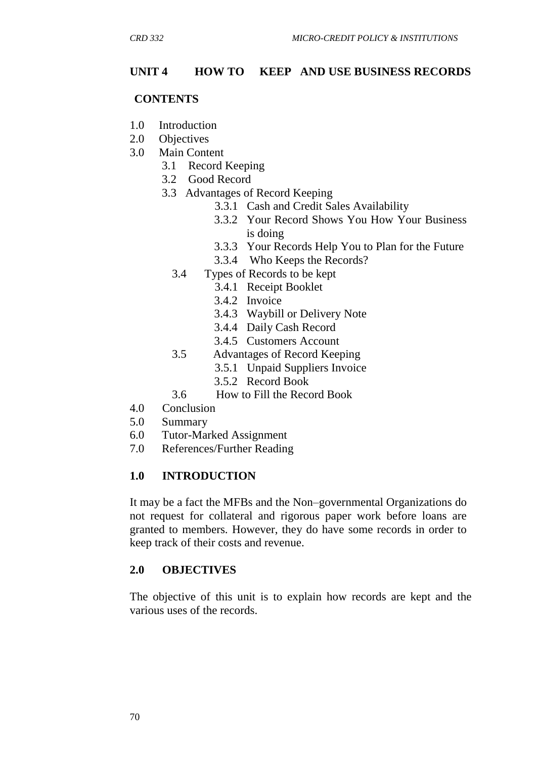### **UNIT 4 HOW TO KEEP AND USE BUSINESS RECORDS**

#### **CONTENTS**

- 1.0 Introduction
- 2.0 Objectives
- 3.0 Main Content
	- 3.1 Record Keeping
	- 3.2 Good Record
	- 3.3 Advantages of Record Keeping
		- 3.3.1 Cash and Credit Sales Availability
		- 3.3.2 Your Record Shows You How Your Business is doing
		- 3.3.3 Your Records Help You to Plan for the Future
		- 3.3.4 Who Keeps the Records?
		- 3.4 Types of Records to be kept
			- 3.4.1 Receipt Booklet
			- 3.4.2 Invoice
			- 3.4.3 Waybill or Delivery Note
			- 3.4.4 Daily Cash Record
			- 3.4.5 Customers Account
		- 3.5 Advantages of Record Keeping
			- 3.5.1 Unpaid Suppliers Invoice
			- 3.5.2 Record Book
		- 3.6 How to Fill the Record Book
- 4.0 Conclusion
- 5.0 Summary
- 6.0 Tutor-Marked Assignment
- 7.0 References/Further Reading

#### **1.0 INTRODUCTION**

It may be a fact the MFBs and the Non–governmental Organizations do not request for collateral and rigorous paper work before loans are granted to members. However, they do have some records in order to keep track of their costs and revenue.

#### **2.0 OBJECTIVES**

The objective of this unit is to explain how records are kept and the various uses of the records.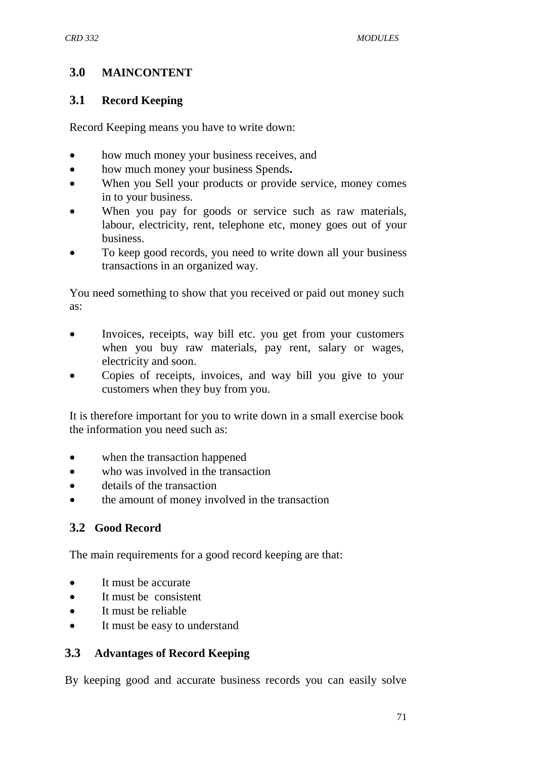# **3.0 MAINCONTENT**

### **3.1 Record Keeping**

Record Keeping means you have to write down:

- how much money your business receives, and
- how much money your business Spends**.**
- When you Sell your products or provide service, money comes in to your business.
- When you pay for goods or service such as raw materials, labour, electricity, rent, telephone etc, money goes out of your business.
- To keep good records, you need to write down all your business transactions in an organized way.

You need something to show that you received or paid out money such as:

- Invoices, receipts, way bill etc. you get from your customers when you buy raw materials, pay rent, salary or wages, electricity and soon.
- Copies of receipts, invoices, and way bill you give to your customers when they buy from you.

It is therefore important for you to write down in a small exercise book the information you need such as:

- when the transaction happened
- who was involved in the transaction
- details of the transaction
- the amount of money involved in the transaction

# **3.2 Good Record**

The main requirements for a good record keeping are that:

- It must be accurate
- It must be consistent
- It must be reliable
- It must be easy to understand

## **3.3 Advantages of Record Keeping**

By keeping good and accurate business records you can easily solve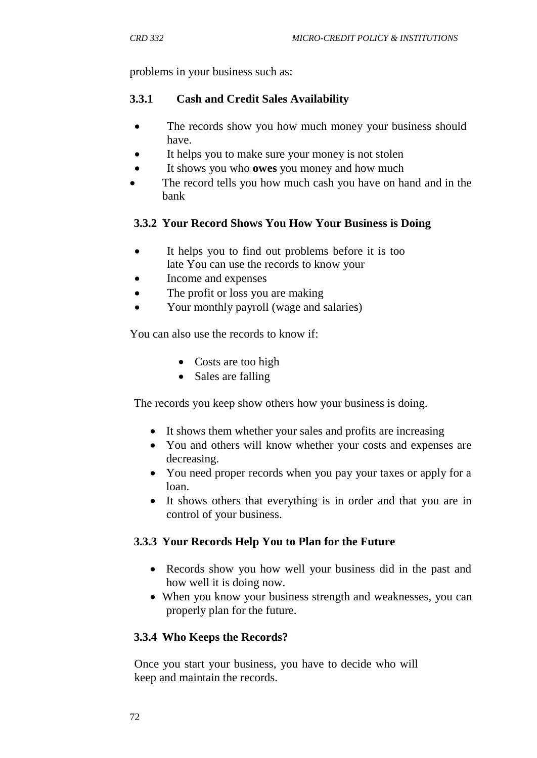problems in your business such as:

### **3.3.1 Cash and Credit Sales Availability**

- The records show you how much money your business should have.
- It helps you to make sure your money is not stolen
- It shows you who **owes** you money and how much
- The record tells you how much cash you have on hand and in the bank

### **3.3.2 Your Record Shows You How Your Business is Doing**

- It helps you to find out problems before it is too late You can use the records to know your
- Income and expenses
- The profit or loss you are making
- Your monthly payroll (wage and salaries)

You can also use the records to know if:

- Costs are too high
- Sales are falling

The records you keep show others how your business is doing.

- It shows them whether your sales and profits are increasing
- You and others will know whether your costs and expenses are decreasing.
- You need proper records when you pay your taxes or apply for a loan.
- It shows others that everything is in order and that you are in control of your business.

## **3.3.3 Your Records Help You to Plan for the Future**

- Records show you how well your business did in the past and how well it is doing now.
- When you know your business strength and weaknesses, you can properly plan for the future.

## **3.3.4 Who Keeps the Records?**

Once you start your business, you have to decide who will keep and maintain the records.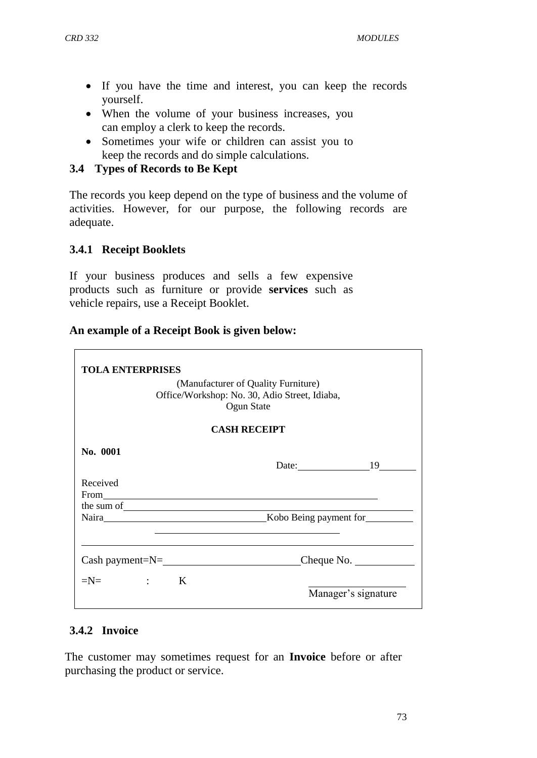- If you have the time and interest, you can keep the records yourself.
- When the volume of your business increases, you can employ a clerk to keep the records.
- Sometimes your wife or children can assist you to keep the records and do simple calculations.

#### **3.4 Types of Records to Be Kept**

The records you keep depend on the type of business and the volume of activities. However, for our purpose, the following records are adequate.

#### **3.4.1 Receipt Booklets**

If your business produces and sells a few expensive products such as furniture or provide **services** such as vehicle repairs, use a Receipt Booklet.

#### **An example of a Receipt Book is given below:**

| <b>TOLA ENTERPRISES</b>                                                                            |                     |
|----------------------------------------------------------------------------------------------------|---------------------|
| (Manufacturer of Quality Furniture)<br>Office/Workshop: No. 30, Adio Street, Idiaba,<br>Ogun State |                     |
| <b>CASH RECEIPT</b>                                                                                |                     |
| No. 0001                                                                                           | Date: 19            |
| Received                                                                                           |                     |
| the sum of we have a set of the sum of                                                             |                     |
| $Cash payment=N=\_$                                                                                | Cheque No.          |
| $=N=$ $:$ $K$                                                                                      | Manager's signature |

#### **3.4.2 Invoice**

The customer may sometimes request for an **Invoice** before or after purchasing the product or service.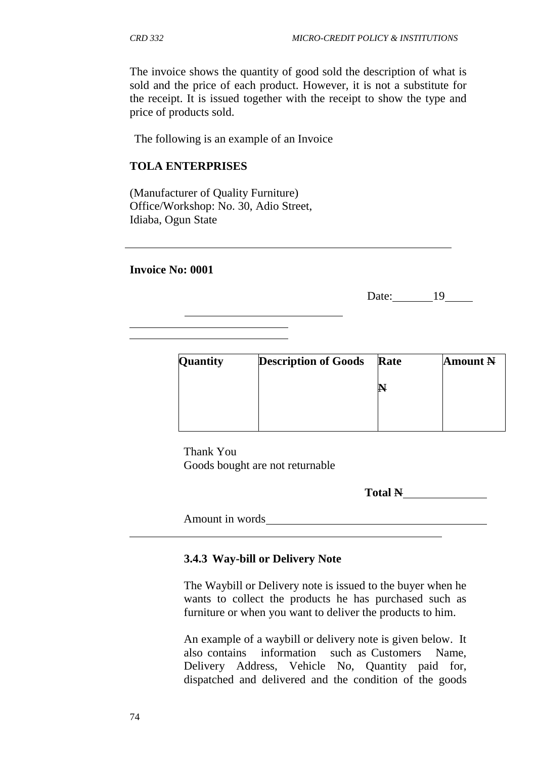The invoice shows the quantity of good sold the description of what is sold and the price of each product. However, it is not a substitute for the receipt. It is issued together with the receipt to show the type and price of products sold.

The following is an example of an Invoice

#### **TOLA ENTERPRISES**

(Manufacturer of Quality Furniture) Office/Workshop: No. 30, Adio Street, Idiaba, Ogun State

#### **Invoice No: 0001**

Date: 19

| Quantity | <b>Description of Goods</b> | Rate | <b>Amount N</b> |
|----------|-----------------------------|------|-----------------|
|          |                             | Р    |                 |
|          |                             |      |                 |
|          |                             |      |                 |

Thank You Goods bought are not returnable

**Total N**

Amount in words

#### **3.4.3 Way-bill or Delivery Note**

The Waybill or Delivery note is issued to the buyer when he wants to collect the products he has purchased such as furniture or when you want to deliver the products to him.

An example of a waybill or delivery note is given below. It also contains information such as Customers Name, Delivery Address, Vehicle No, Quantity paid for, dispatched and delivered and the condition of the goods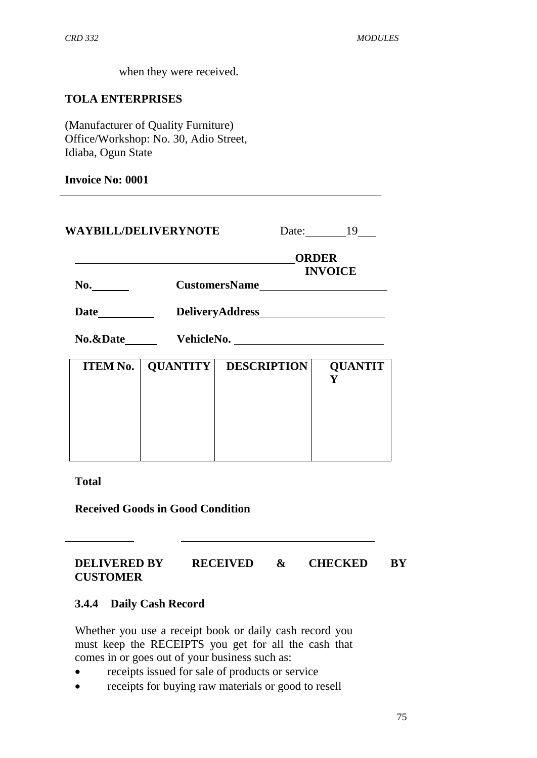when they were received.

#### **TOLA ENTERPRISES**

(Manufacturer of Quality Furniture) Office/Workshop: No. 30, Adio Street, Idiaba, Ogun State

#### **Invoice No: 0001**

| <b>WAYBILL/DELIVERYNOTE</b> |                 |                    | Date: $19$                     |  |  |
|-----------------------------|-----------------|--------------------|--------------------------------|--|--|
| No.                         |                 |                    | <b>ORDER</b><br><b>INVOICE</b> |  |  |
|                             |                 |                    |                                |  |  |
|                             |                 |                    |                                |  |  |
| <b>ITEM No.</b>             | <b>QUANTITY</b> | <b>DESCRIPTION</b> | <b>QUANTIT</b><br>Y            |  |  |
|                             |                 |                    |                                |  |  |
|                             |                 |                    |                                |  |  |

#### **Total**

**Received Goods in Good Condition**

#### **DELIVERED BY RECEIVED & CHECKED BY CUSTOMER**

#### **3.4.4 Daily Cash Record**

Whether you use a receipt book or daily cash record you must keep the RECEIPTS you get for all the cash that comes in or goes out of your business such as:

- receipts issued for sale of products or service
- receipts for buying raw materials or good to resell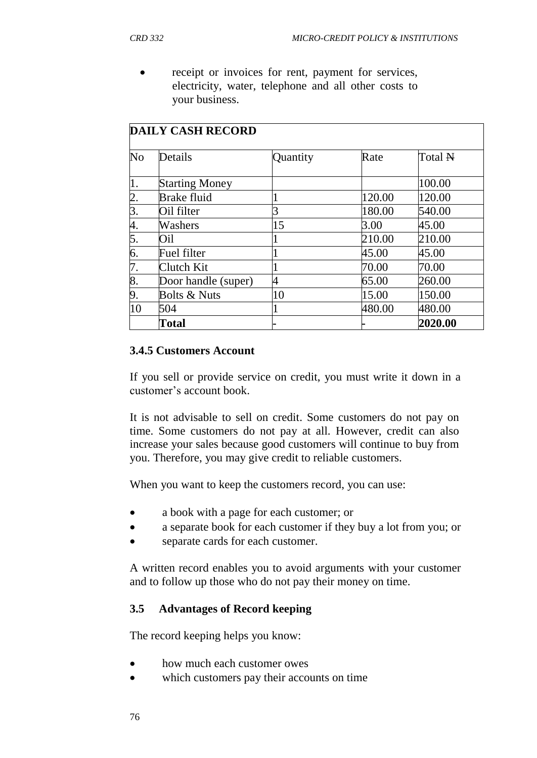receipt or invoices for rent, payment for services, electricity, water, telephone and all other costs to your business.

|    | <b>DAILY CASH RECORD</b> |          |        |         |  |  |  |  |
|----|--------------------------|----------|--------|---------|--|--|--|--|
| No | Details                  | Quantity | Rate   | Total N |  |  |  |  |
| 1. | <b>Starting Money</b>    |          |        | 100.00  |  |  |  |  |
| 2. | <b>Brake fluid</b>       |          | 120.00 | 120.00  |  |  |  |  |
| 3. | Oil filter               |          | 180.00 | 540.00  |  |  |  |  |
| 4. | Washers                  | 15       | 3.00   | 45.00   |  |  |  |  |
| 5. | Oil                      |          | 210.00 | 210.00  |  |  |  |  |
| 6. | Fuel filter              |          | 45.00  | 45.00   |  |  |  |  |
| 7. | Clutch Kit               |          | 70.00  | 70.00   |  |  |  |  |
| 8. | Door handle (super)      | 4        | 65.00  | 260.00  |  |  |  |  |
| 9. | <b>Bolts &amp; Nuts</b>  | 10       | 15.00  | 150.00  |  |  |  |  |
| 10 | 504                      |          | 480.00 | 480.00  |  |  |  |  |
|    | Total                    |          |        | 2020.00 |  |  |  |  |

#### **3.4.5 Customers Account**

If you sell or provide service on credit, you must write it down in a customer"s account book.

It is not advisable to sell on credit. Some customers do not pay on time. Some customers do not pay at all. However, credit can also increase your sales because good customers will continue to buy from you. Therefore, you may give credit to reliable customers.

When you want to keep the customers record, you can use:

- a book with a page for each customer; or
- a separate book for each customer if they buy a lot from you; or
- separate cards for each customer.

A written record enables you to avoid arguments with your customer and to follow up those who do not pay their money on time.

#### **3.5 Advantages of Record keeping**

The record keeping helps you know:

- how much each customer owes
- which customers pay their accounts on time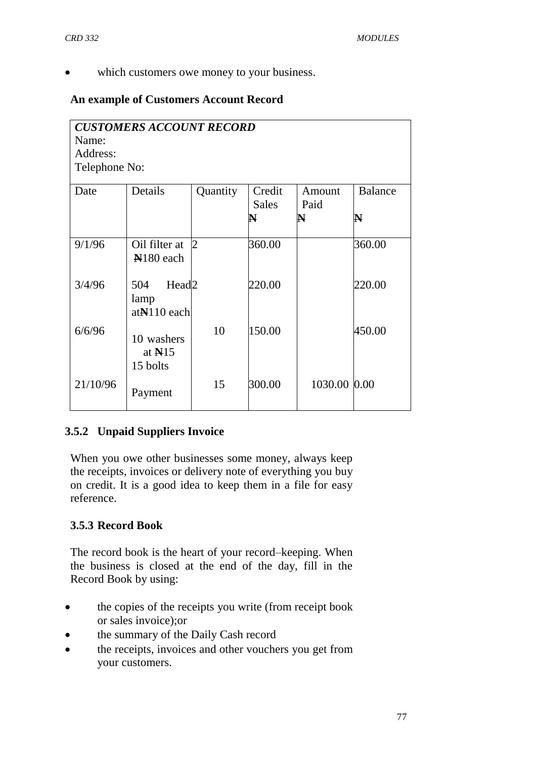which customers owe money to your business.

# **An example of Customers Account Record**

| <b>CUSTOMERS ACCOUNT RECORD</b><br>Name:<br>Address:<br>Telephone No: |                                                   |                |                        |                     |                     |  |  |  |  |
|-----------------------------------------------------------------------|---------------------------------------------------|----------------|------------------------|---------------------|---------------------|--|--|--|--|
| Date                                                                  | Details                                           | Quantity       | Credit<br><b>Sales</b> | Amount<br>Paid<br>N | <b>Balance</b><br>N |  |  |  |  |
| 9/1/96                                                                | Oil filter at<br>N <sub>180</sub> each            | $\overline{2}$ | 360.00                 |                     | 360.00              |  |  |  |  |
| 3/4/96                                                                | 504<br>Head <sub>2</sub><br>lamp<br>$atN110$ each |                | 220.00                 |                     | 220.00              |  |  |  |  |
| 6/6/96                                                                | 10 washers<br>at $N15$<br>15 bolts                | 10             | 150.00                 |                     | 450.00              |  |  |  |  |
| 21/10/96                                                              | Payment                                           | 15             | 300.00                 | 1030.00 0.00        |                     |  |  |  |  |

# **3.5.2 Unpaid Suppliers Invoice**

When you owe other businesses some money, always keep the receipts, invoices or delivery note of everything you buy on credit. It is a good idea to keep them in a file for easy reference.

## **3.5.3 Record Book**

The record book is the heart of your record–keeping. When the business is closed at the end of the day, fill in the Record Book by using:

- the copies of the receipts you write (from receipt book or sales invoice);or
- the summary of the Daily Cash record
- the receipts, invoices and other vouchers you get from your customers.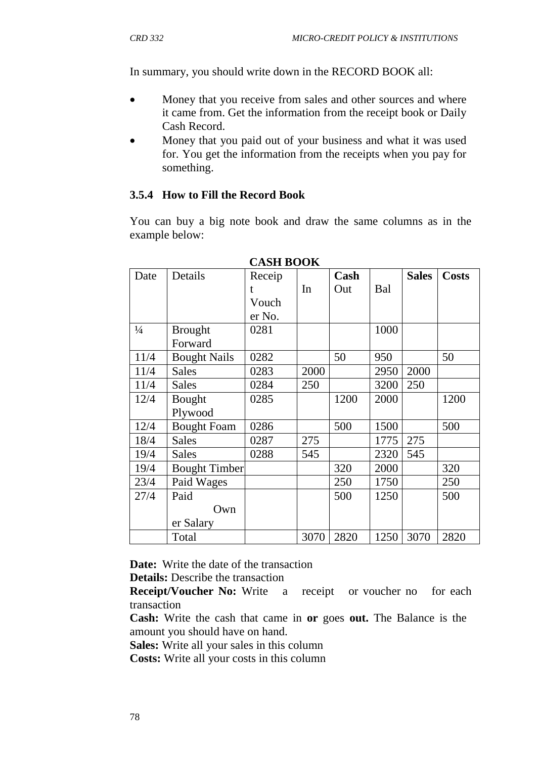In summary, you should write down in the RECORD BOOK all:

- Money that you receive from sales and other sources and where it came from. Get the information from the receipt book or Daily Cash Record.
- Money that you paid out of your business and what it was used for. You get the information from the receipts when you pay for something.

#### **3.5.4 How to Fill the Record Book**

You can buy a big note book and draw the same columns as in the example below:

| Date          | Details              | Receip |      | Cash |      | <b>Sales</b> | <b>Costs</b> |
|---------------|----------------------|--------|------|------|------|--------------|--------------|
|               |                      | t      | In   | Out  | Bal  |              |              |
|               |                      | Vouch  |      |      |      |              |              |
|               |                      | er No. |      |      |      |              |              |
| $\frac{1}{4}$ | <b>Brought</b>       | 0281   |      |      | 1000 |              |              |
|               | Forward              |        |      |      |      |              |              |
| 11/4          | <b>Bought Nails</b>  | 0282   |      | 50   | 950  |              | 50           |
| 11/4          | <b>Sales</b>         | 0283   | 2000 |      | 2950 | 2000         |              |
| 11/4          | <b>Sales</b>         | 0284   | 250  |      | 3200 | 250          |              |
| 12/4          | Bought               | 0285   |      | 1200 | 2000 |              | 1200         |
|               | Plywood              |        |      |      |      |              |              |
| 12/4          | <b>Bought Foam</b>   | 0286   |      | 500  | 1500 |              | 500          |
| 18/4          | <b>Sales</b>         | 0287   | 275  |      | 1775 | 275          |              |
| 19/4          | <b>Sales</b>         | 0288   | 545  |      | 2320 | 545          |              |
| 19/4          | <b>Bought Timber</b> |        |      | 320  | 2000 |              | 320          |
| 23/4          | Paid Wages           |        |      | 250  | 1750 |              | 250          |
| 27/4          | Paid                 |        |      | 500  | 1250 |              | 500          |
|               | Own                  |        |      |      |      |              |              |
|               | er Salary            |        |      |      |      |              |              |
|               | Total                |        | 3070 | 2820 | 1250 | 3070         | 2820         |

**CASH BOOK**

**Date:** Write the date of the transaction

**Details:** Describe the transaction

**Receipt/Voucher No:** Write a receipt or voucher no for each transaction

**Cash:** Write the cash that came in **or** goes **out.** The Balance is the amount you should have on hand.

**Sales:** Write all your sales in this column

**Costs:** Write all your costs in this column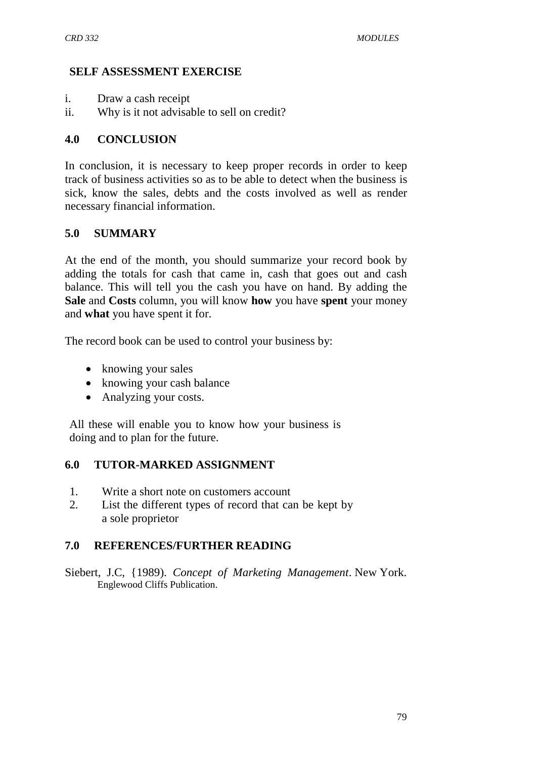### **SELF ASSESSMENT EXERCISE**

- i. Draw a cash receipt
- ii. Why is it not advisable to sell on credit?

### **4.0 CONCLUSION**

In conclusion, it is necessary to keep proper records in order to keep track of business activities so as to be able to detect when the business is sick, know the sales, debts and the costs involved as well as render necessary financial information.

### **5.0 SUMMARY**

At the end of the month, you should summarize your record book by adding the totals for cash that came in, cash that goes out and cash balance. This will tell you the cash you have on hand. By adding the **Sale** and **Costs** column, you will know **how** you have **spent** your money and **what** you have spent it for.

The record book can be used to control your business by:

- knowing your sales
- knowing your cash balance
- Analyzing your costs.

All these will enable you to know how your business is doing and to plan for the future.

#### **6.0 TUTOR-MARKED ASSIGNMENT**

- 1. Write a short note on customers account
- 2. List the different types of record that can be kept by a sole proprietor

## **7.0 REFERENCES/FURTHER READING**

Siebert, J.C, {1989). *Concept of Marketing Management*. New York. Englewood Cliffs Publication.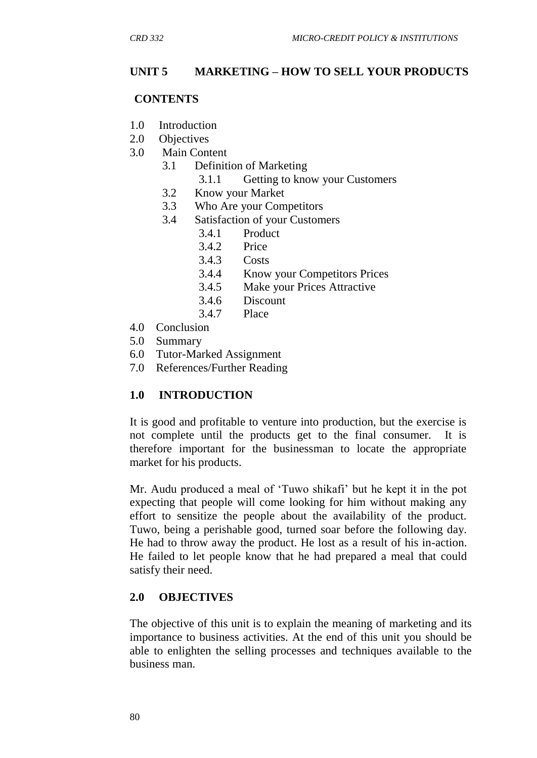### **UNIT 5 MARKETING – HOW TO SELL YOUR PRODUCTS**

#### **CONTENTS**

- 1.0 Introduction
- 2.0 Objectives
- 3.0 Main Content
	- 3.1 Definition of Marketing
		- 3.1.1 Getting to know your Customers
	- 3.2 Know your Market
	- 3.3 Who Are your Competitors
	- 3.4 Satisfaction of your Customers
		- 3.4.1 Product
		- 3.4.2 Price
		- 3.4.3 Costs
		- 3.4.4 Know your Competitors Prices
		- 3.4.5 Make your Prices Attractive
		- 3.4.6 Discount
		- 3.4.7 Place
- 4.0 Conclusion
- 5.0 Summary
- 6.0 Tutor-Marked Assignment
- 7.0 References/Further Reading

#### **1.0 INTRODUCTION**

It is good and profitable to venture into production, but the exercise is not complete until the products get to the final consumer. It is therefore important for the businessman to locate the appropriate market for his products.

Mr. Audu produced a meal of "Tuwo shikafi" but he kept it in the pot expecting that people will come looking for him without making any effort to sensitize the people about the availability of the product. Tuwo, being a perishable good, turned soar before the following day. He had to throw away the product. He lost as a result of his in-action. He failed to let people know that he had prepared a meal that could satisfy their need.

#### **2.0 OBJECTIVES**

The objective of this unit is to explain the meaning of marketing and its importance to business activities. At the end of this unit you should be able to enlighten the selling processes and techniques available to the business man.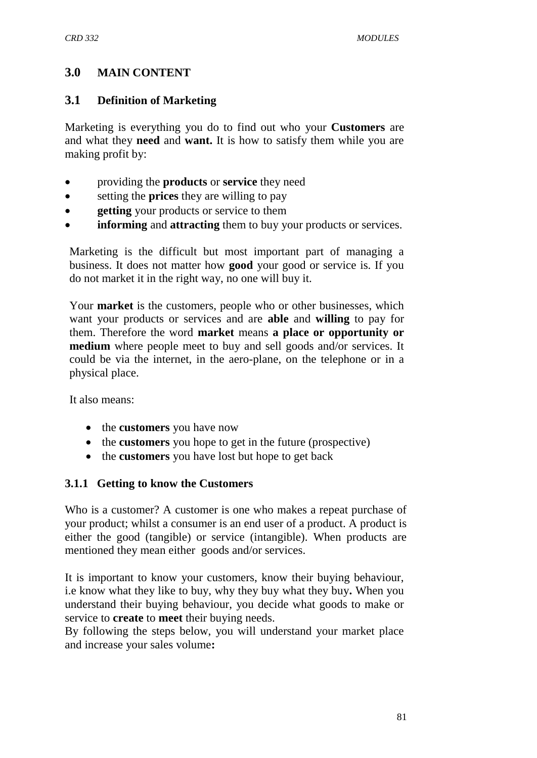# **3.0 MAIN CONTENT**

### **3.1 Definition of Marketing**

Marketing is everything you do to find out who your **Customers** are and what they **need** and **want.** It is how to satisfy them while you are making profit by:

- providing the **products** or **service** they need
- setting the **prices** they are willing to pay
- **e** getting your products or service to them
- **informing** and **attracting** them to buy your products or services.

Marketing is the difficult but most important part of managing a business. It does not matter how **good** your good or service is. If you do not market it in the right way, no one will buy it.

Your **market** is the customers, people who or other businesses, which want your products or services and are **able** and **willing** to pay for them. Therefore the word **market** means **a place or opportunity or medium** where people meet to buy and sell goods and/or services. It could be via the internet, in the aero-plane, on the telephone or in a physical place.

It also means:

- the **customers** you have now
- the **customers** you hope to get in the future (prospective)
- the **customers** you have lost but hope to get back

#### **3.1.1 Getting to know the Customers**

Who is a customer? A customer is one who makes a repeat purchase of your product; whilst a consumer is an end user of a product. A product is either the good (tangible) or service (intangible). When products are mentioned they mean either goods and/or services.

It is important to know your customers, know their buying behaviour, i.e know what they like to buy, why they buy what they buy**.** When you understand their buying behaviour, you decide what goods to make or service to **create** to **meet** their buying needs.

By following the steps below, you will understand your market place and increase your sales volume**:**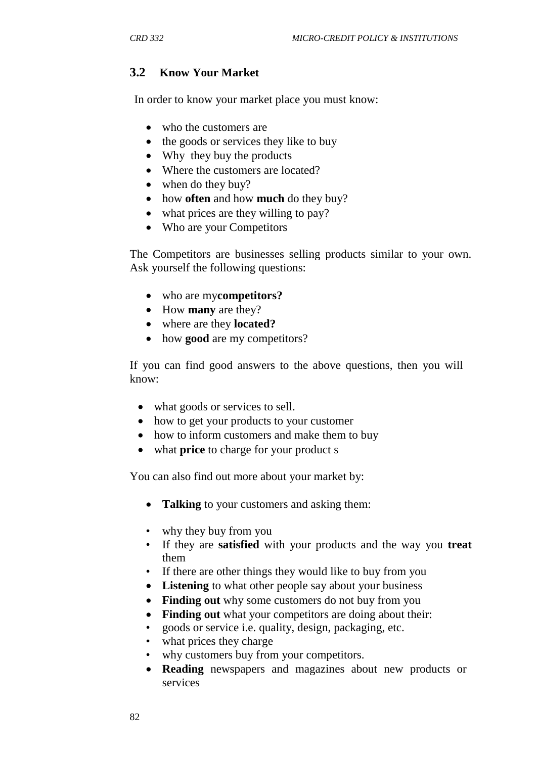# **3.2 Know Your Market**

In order to know your market place you must know:

- who the customers are
- the goods or services they like to buy
- Why they buy the products
- Where the customers are located?
- when do they buy?
- how **often** and how **much** do they buy?
- what prices are they willing to pay?
- Who are your Competitors

The Competitors are businesses selling products similar to your own. Ask yourself the following questions:

- who are my**competitors?**
- How **many** are they?
- where are they **located?**
- how **good** are my competitors?

If you can find good answers to the above questions, then you will know:

- what goods or services to sell.
- how to get your products to your customer
- how to inform customers and make them to buy
- what **price** to charge for your product s

You can also find out more about your market by:

- **Talking** to your customers and asking them:
- why they buy from you
- If they are **satisfied** with your products and the way you **treat**  them
- If there are other things they would like to buy from you
- **Listening** to what other people say about your business
- Finding out why some customers do not buy from you
- **Finding out** what your competitors are doing about their:
- goods or service i.e. quality, design, packaging, etc.
- what prices they charge
- why customers buy from your competitors.
- **Reading** newspapers and magazines about new products or services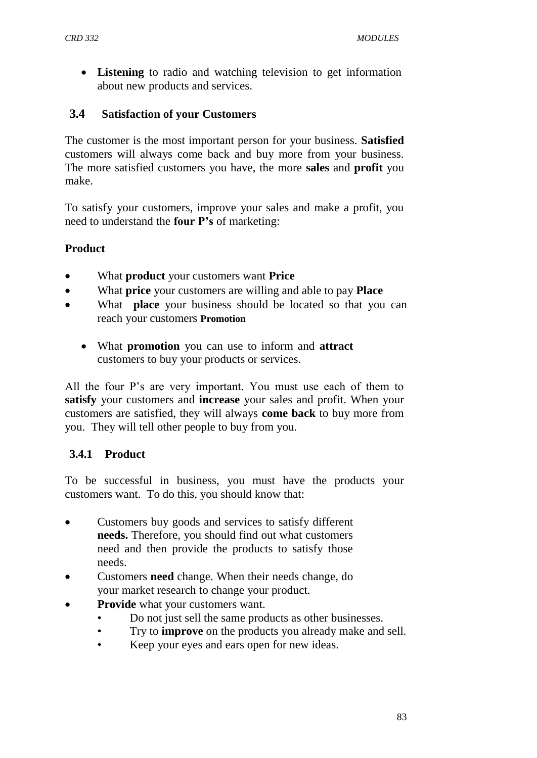**Listening** to radio and watching television to get information about new products and services.

## **3.4 Satisfaction of your Customers**

The customer is the most important person for your business. **Satisfied**  customers will always come back and buy more from your business. The more satisfied customers you have, the more **sales** and **profit** you make.

To satisfy your customers, improve your sales and make a profit, you need to understand the **four P's** of marketing:

## **Product**

- What **product** your customers want **Price**
- What **price** your customers are willing and able to pay **Place**
- What **place** your business should be located so that you can reach your customers **Promotion**
	- What **promotion** you can use to inform and **attract**  customers to buy your products or services.

All the four P's are very important. You must use each of them to **satisfy** your customers and **increase** your sales and profit. When your customers are satisfied, they will always **come back** to buy more from you. They will tell other people to buy from you.

## **3.4.1 Product**

To be successful in business, you must have the products your customers want. To do this, you should know that:

- Customers buy goods and services to satisfy different **needs.** Therefore, you should find out what customers need and then provide the products to satisfy those needs.
- Customers **need** change. When their needs change, do your market research to change your product.
- **Provide** what your customers want.
	- Do not just sell the same products as other businesses.
	- Try to **improve** on the products you already make and sell.
	- Keep your eyes and ears open for new ideas.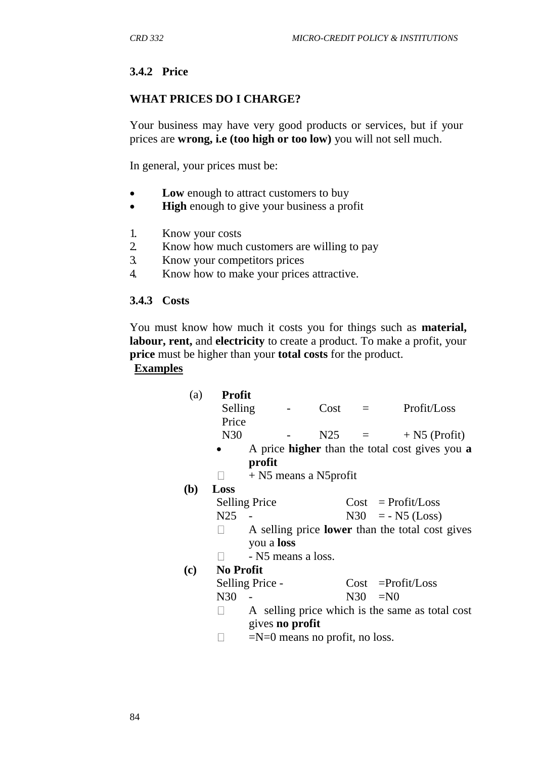## **3.4.2 Price**

#### **WHAT PRICES DO I CHARGE?**

Your business may have very good products or services, but if your prices are **wrong, i.e (too high or too low)** you will not sell much.

In general, your prices must be:

- Low enough to attract customers to buy
- **High** enough to give your business a profit
- 1. Know your costs
- 2. Know how much customers are willing to pay
- 3. Know your competitors prices
- 4. Know how to make your prices attractive.

#### **3.4.3 Costs**

You must know how much it costs you for things such as **material, labour, rent,** and **electricity** to create a product. To make a profit, your **price** must be higher than your **total costs** for the product.

### **Examples**

| (a)          | <b>Profit</b>                                   |                                  |                                                        |      |                     |                                                |  |  |
|--------------|-------------------------------------------------|----------------------------------|--------------------------------------------------------|------|---------------------|------------------------------------------------|--|--|
|              | Selling                                         |                                  |                                                        | Cost | $=$ $-$             | Profit/Loss                                    |  |  |
|              | Price                                           |                                  |                                                        |      |                     |                                                |  |  |
|              | N30                                             |                                  |                                                        | N25  | $\alpha = 1$        | $+$ N5 (Profit)                                |  |  |
|              |                                                 |                                  |                                                        |      |                     | A price higher than the total cost gives you a |  |  |
|              |                                                 | profit                           |                                                        |      |                     |                                                |  |  |
|              |                                                 | $+$ N5 means a N5 profit         |                                                        |      |                     |                                                |  |  |
| ( <b>b</b> ) | Loss                                            |                                  |                                                        |      |                     |                                                |  |  |
|              |                                                 | <b>Selling Price</b>             |                                                        |      |                     | $Cost = Profit / Loss$                         |  |  |
|              | N <sub>25</sub>                                 |                                  |                                                        |      | $N30 = - N5 (Loss)$ |                                                |  |  |
|              |                                                 |                                  | A selling price <b>lower</b> than the total cost gives |      |                     |                                                |  |  |
|              |                                                 | you a <b>loss</b>                |                                                        |      |                     |                                                |  |  |
|              |                                                 | - N5 means a loss.               |                                                        |      |                     |                                                |  |  |
| (c)          | <b>No Profit</b>                                |                                  |                                                        |      |                     |                                                |  |  |
|              |                                                 | Selling Price -                  |                                                        |      |                     | $Cost = Profit / Loss$                         |  |  |
|              | N30                                             |                                  |                                                        |      | $N30 = N0$          |                                                |  |  |
|              | A selling price which is the same as total cost |                                  |                                                        |      |                     |                                                |  |  |
|              |                                                 | gives no profit                  |                                                        |      |                     |                                                |  |  |
|              |                                                 | $=N=0$ means no profit, no loss. |                                                        |      |                     |                                                |  |  |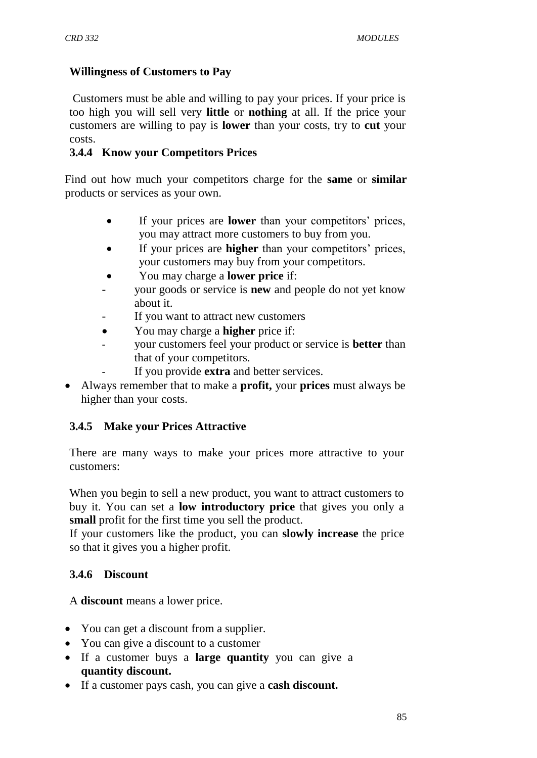### **Willingness of Customers to Pay**

Customers must be able and willing to pay your prices. If your price is too high you will sell very **little** or **nothing** at all. If the price your customers are willing to pay is **lower** than your costs, try to **cut** your costs.

### **3.4.4 Know your Competitors Prices**

Find out how much your competitors charge for the **same** or **similar**  products or services as your own.

- If your prices are **lower** than your competitors" prices, you may attract more customers to buy from you.
- If your prices are **higher** than your competitors' prices, your customers may buy from your competitors.
- You may charge a **lower price** if:
- your goods or service is **new** and people do not yet know about it.
- If you want to attract new customers
- You may charge a **higher** price if:
- your customers feel your product or service is **better** than that of your competitors.
- If you provide **extra** and better services.
- Always remember that to make a **profit,** your **prices** must always be higher than your costs.

## **3.4.5 Make your Prices Attractive**

There are many ways to make your prices more attractive to your customers:

When you begin to sell a new product, you want to attract customers to buy it. You can set a **low introductory price** that gives you only a **small** profit for the first time you sell the product.

If your customers like the product, you can **slowly increase** the price so that it gives you a higher profit.

## **3.4.6 Discount**

A **discount** means a lower price.

- You can get a discount from a supplier.
- You can give a discount to a customer
- If a customer buys a **large quantity** you can give a **quantity discount.**
- If a customer pays cash, you can give a **cash discount.**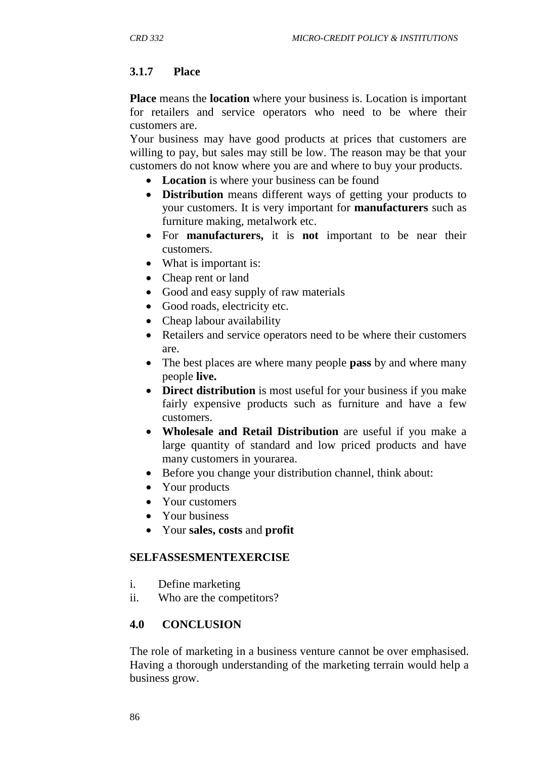## **3.1.7 Place**

**Place** means the **location** where your business is. Location is important for retailers and service operators who need to be where their customers are.

Your business may have good products at prices that customers are willing to pay, but sales may still be low. The reason may be that your customers do not know where you are and where to buy your products.

- **Location** is where your business can be found
- **Distribution** means different ways of getting your products to your customers. It is very important for **manufacturers** such as furniture making, metalwork etc.
- For **manufacturers,** it is **not** important to be near their customers.
- What is important is:
- Cheap rent or land
- Good and easy supply of raw materials
- Good roads, electricity etc.
- Cheap labour availability
- Retailers and service operators need to be where their customers are.
- The best places are where many people **pass** by and where many people **live.**
- **Direct distribution** is most useful for your business if you make fairly expensive products such as furniture and have a few customers.
- **Wholesale and Retail Distribution** are useful if you make a large quantity of standard and low priced products and have many customers in yourarea.
- Before you change your distribution channel, think about:
- Your products
- Your customers
- Your business
- Your **sales, costs** and **profit**

#### **SELFASSESMENTEXERCISE**

- i. Define marketing
- ii. Who are the competitors?

#### **4.0 CONCLUSION**

The role of marketing in a business venture cannot be over emphasised. Having a thorough understanding of the marketing terrain would help a business grow.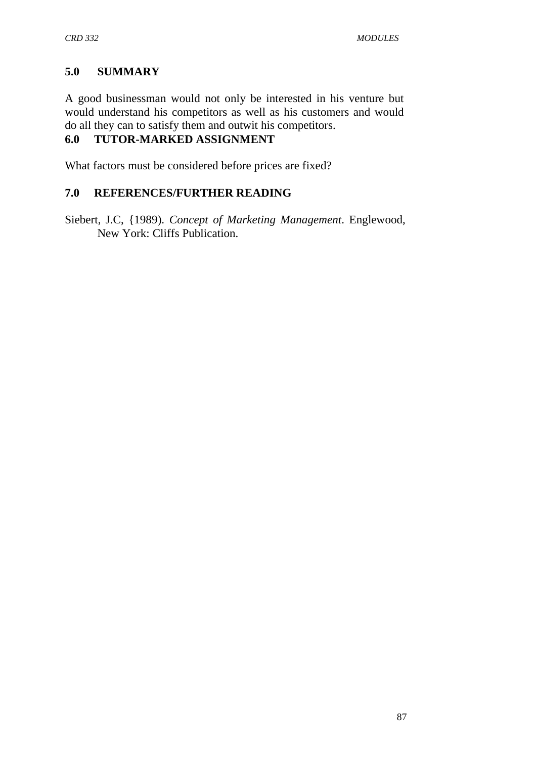# **5.0 SUMMARY**

A good businessman would not only be interested in his venture but would understand his competitors as well as his customers and would do all they can to satisfy them and outwit his competitors.

# **6.0 TUTOR-MARKED ASSIGNMENT**

What factors must be considered before prices are fixed?

## **7.0 REFERENCES/FURTHER READING**

Siebert, J.C, {1989). *Concept of Marketing Management*. Englewood, New York: Cliffs Publication.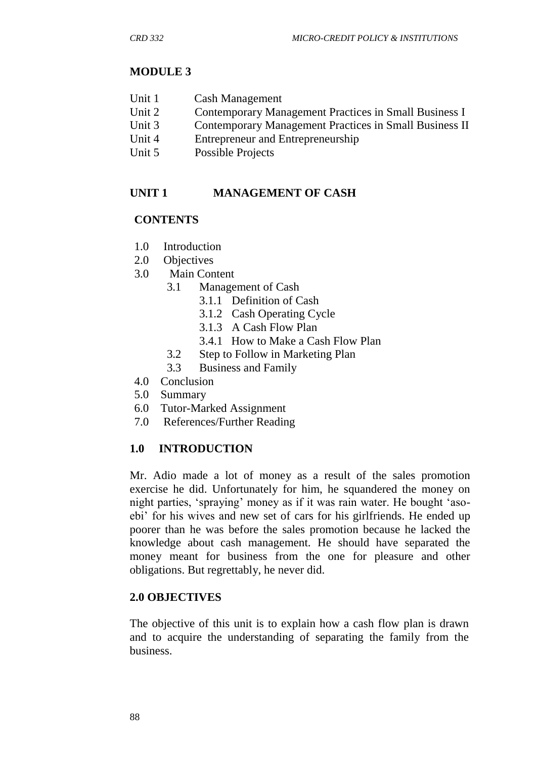# **MODULE 3**

- Unit 1 Cash Management
- Unit 2 Contemporary Management Practices in Small Business I
- Unit 3 Contemporary Management Practices in Small Business II
- Unit 4 Entrepreneur and Entrepreneurship
- Unit 5 Possible Projects

# **UNIT 1 MANAGEMENT OF CASH**

## **CONTENTS**

- 1.0 Introduction
- 2.0 Objectives
- 3.0 Main Content
	- 3.1 Management of Cash
		- 3.1.1 Definition of Cash
			- 3.1.2 Cash Operating Cycle
			- 3.1.3 A Cash Flow Plan
			- 3.4.1 How to Make a Cash Flow Plan
	- 3.2 Step to Follow in Marketing Plan
	- 3.3 Business and Family
- 4.0 Conclusion
- 5.0 Summary
- 6.0 Tutor-Marked Assignment
- 7.0 References/Further Reading

## **1.0 INTRODUCTION**

Mr. Adio made a lot of money as a result of the sales promotion exercise he did. Unfortunately for him, he squandered the money on night parties, "spraying" money as if it was rain water. He bought "asoebi" for his wives and new set of cars for his girlfriends. He ended up poorer than he was before the sales promotion because he lacked the knowledge about cash management. He should have separated the money meant for business from the one for pleasure and other obligations. But regrettably, he never did.

#### **2.0 OBJECTIVES**

The objective of this unit is to explain how a cash flow plan is drawn and to acquire the understanding of separating the family from the business.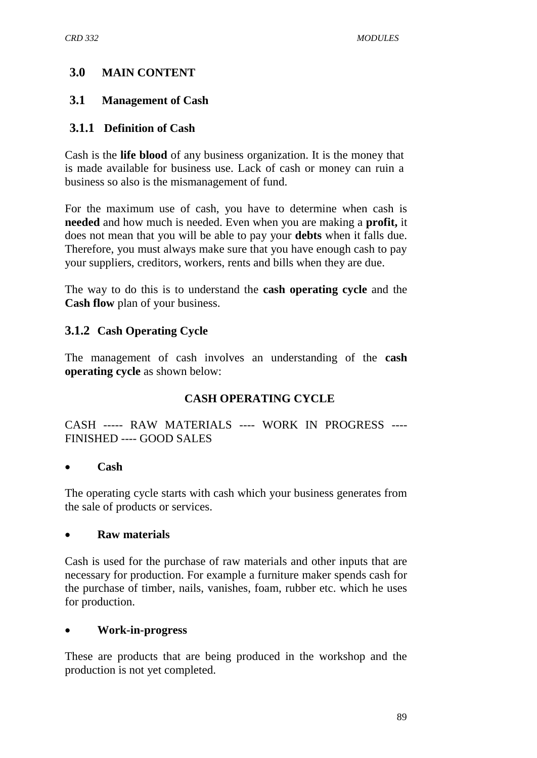# **3.0 MAIN CONTENT**

# **3.1 Management of Cash**

# **3.1.1 Definition of Cash**

Cash is the **life blood** of any business organization. It is the money that is made available for business use. Lack of cash or money can ruin a business so also is the mismanagement of fund.

For the maximum use of cash, you have to determine when cash is **needed** and how much is needed. Even when you are making a **profit,** it does not mean that you will be able to pay your **debts** when it falls due. Therefore, you must always make sure that you have enough cash to pay your suppliers, creditors, workers, rents and bills when they are due.

The way to do this is to understand the **cash operating cycle** and the **Cash flow** plan of your business.

# **3.1.2 Cash Operating Cycle**

The management of cash involves an understanding of the **cash operating cycle** as shown below:

# **CASH OPERATING CYCLE**

CASH ----- RAW MATERIALS ---- WORK IN PROGRESS ---- FINISHED ---- GOOD SALES

#### **Cash**

The operating cycle starts with cash which your business generates from the sale of products or services.

## **Raw materials**

Cash is used for the purchase of raw materials and other inputs that are necessary for production. For example a furniture maker spends cash for the purchase of timber, nails, vanishes, foam, rubber etc. which he uses for production.

## **Work-in-progress**

These are products that are being produced in the workshop and the production is not yet completed.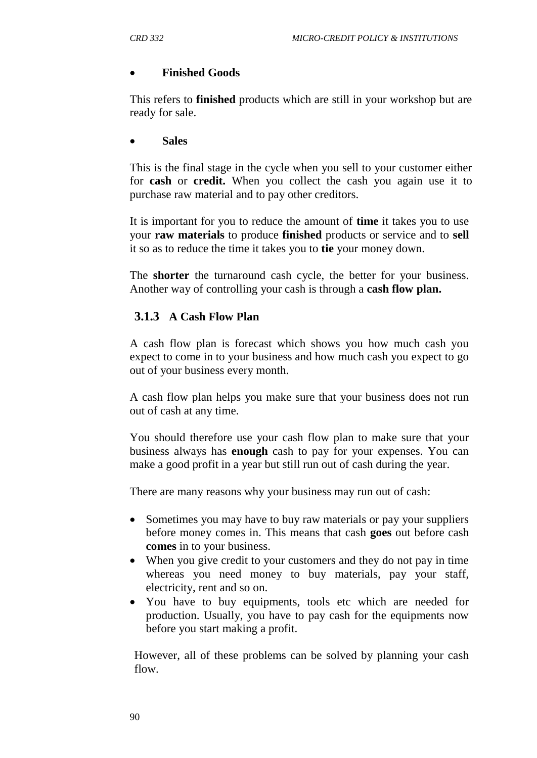### **Finished Goods**

This refers to **finished** products which are still in your workshop but are ready for sale.

#### **Sales**

This is the final stage in the cycle when you sell to your customer either for **cash** or **credit.** When you collect the cash you again use it to purchase raw material and to pay other creditors.

It is important for you to reduce the amount of **time** it takes you to use your **raw materials** to produce **finished** products or service and to **sell**  it so as to reduce the time it takes you to **tie** your money down.

The **shorter** the turnaround cash cycle, the better for your business. Another way of controlling your cash is through a **cash flow plan.**

## **3.1.3 A Cash Flow Plan**

A cash flow plan is forecast which shows you how much cash you expect to come in to your business and how much cash you expect to go out of your business every month.

A cash flow plan helps you make sure that your business does not run out of cash at any time.

You should therefore use your cash flow plan to make sure that your business always has **enough** cash to pay for your expenses. You can make a good profit in a year but still run out of cash during the year.

There are many reasons why your business may run out of cash:

- Sometimes you may have to buy raw materials or pay your suppliers before money comes in. This means that cash **goes** out before cash **comes** in to your business.
- When you give credit to your customers and they do not pay in time whereas you need money to buy materials, pay your staff, electricity, rent and so on.
- You have to buy equipments, tools etc which are needed for production. Usually, you have to pay cash for the equipments now before you start making a profit.

However, all of these problems can be solved by planning your cash flow.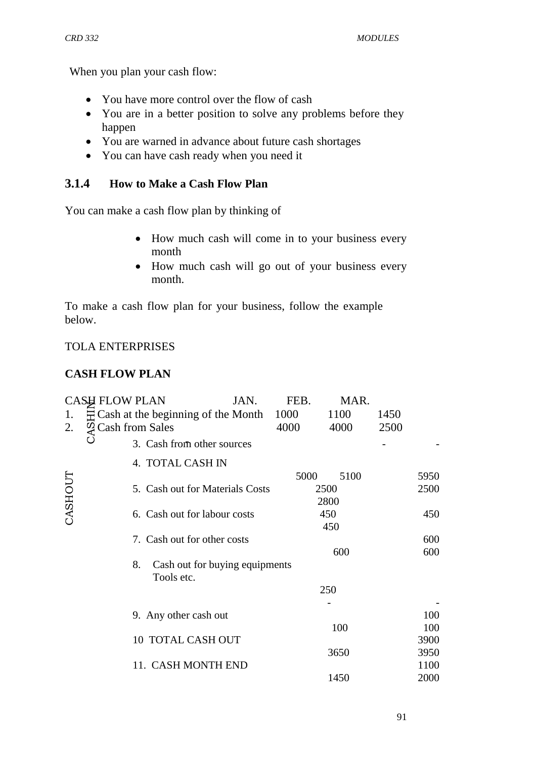When you plan your cash flow:

- You have more control over the flow of cash
- You are in a better position to solve any problems before they happen
- You are warned in advance about future cash shortages
- You can have cash ready when you need it

### **3.1.4 How to Make a Cash Flow Plan**

You can make a cash flow plan by thinking of

- How much cash will come in to your business every month
- How much cash will go out of your business every month.

To make a cash flow plan for your business, follow the example below.

#### TOLA ENTERPRISES

### **CASH FLOW PLAN**

|         | <b>CASH FLOW PLAN</b>                    | JAN. | FEB. | MAR. |      |      |
|---------|------------------------------------------|------|------|------|------|------|
| 1.      | $\Xi$ Cash at the beginning of the Month |      | 1000 | 1100 | 1450 |      |
| 2.      | $\mathcal{Q}$ Cash from Sales            |      | 4000 | 4000 | 2500 |      |
| O       | 3. Cash from other sources               |      |      |      |      |      |
|         | 4. TOTAL CASH IN                         |      |      |      |      |      |
| CASHOUT |                                          |      | 5000 | 5100 |      | 5950 |
|         | 5. Cash out for Materials Costs          |      |      | 2500 |      | 2500 |
|         |                                          |      |      | 2800 |      |      |
|         | 6. Cash out for labour costs             |      |      | 450  |      | 450  |
|         |                                          |      |      | 450  |      |      |
|         | 7. Cash out for other costs              |      |      |      |      | 600  |
|         |                                          |      |      | 600  |      | 600  |
|         | Cash out for buying equipments<br>8.     |      |      |      |      |      |
|         | Tools etc.                               |      |      |      |      |      |
|         |                                          |      |      | 250  |      |      |
|         |                                          |      |      |      |      |      |
|         | 9. Any other cash out                    |      |      |      |      | 100  |
|         |                                          |      |      | 100  |      | 100  |
|         | 10 TOTAL CASH OUT                        |      |      |      |      | 3900 |
|         |                                          |      |      | 3650 |      | 3950 |
|         | 11. CASH MONTH END                       |      |      |      |      | 1100 |
|         |                                          |      |      | 1450 |      | 2000 |
|         |                                          |      |      |      |      |      |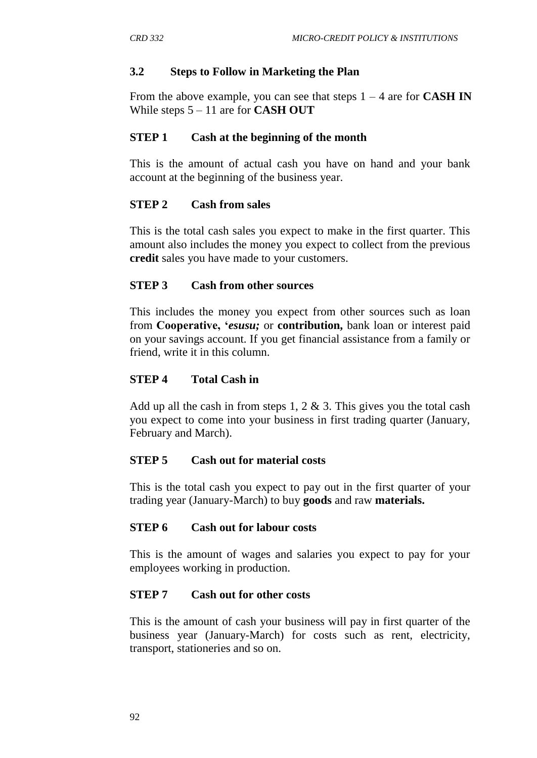### **3.2 Steps to Follow in Marketing the Plan**

From the above example, you can see that steps  $1 - 4$  are for **CASH IN** While steps 5 – 11 are for **CASH OUT**

### **STEP 1 Cash at the beginning of the month**

This is the amount of actual cash you have on hand and your bank account at the beginning of the business year.

### **STEP 2 Cash from sales**

This is the total cash sales you expect to make in the first quarter. This amount also includes the money you expect to collect from the previous **credit** sales you have made to your customers.

#### **STEP 3 Cash from other sources**

This includes the money you expect from other sources such as loan from **Cooperative, '***esusu;* or **contribution,** bank loan or interest paid on your savings account. If you get financial assistance from a family or friend, write it in this column.

### **STEP 4 Total Cash in**

Add up all the cash in from steps 1, 2  $\&$  3. This gives you the total cash you expect to come into your business in first trading quarter (January, February and March).

#### **STEP 5 Cash out for material costs**

This is the total cash you expect to pay out in the first quarter of your trading year (January-March) to buy **goods** and raw **materials.**

#### **STEP 6 Cash out for labour costs**

This is the amount of wages and salaries you expect to pay for your employees working in production.

#### **STEP 7 Cash out for other costs**

This is the amount of cash your business will pay in first quarter of the business year (January-March) for costs such as rent, electricity, transport, stationeries and so on.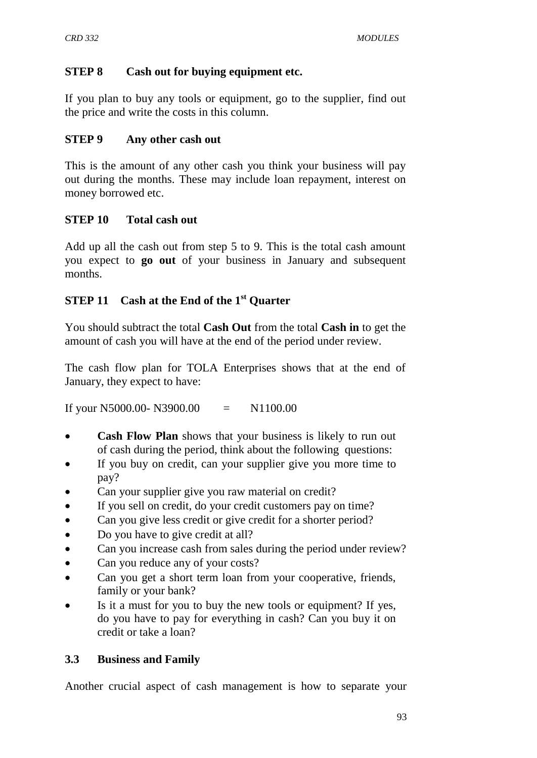### **STEP 8 Cash out for buying equipment etc.**

If you plan to buy any tools or equipment, go to the supplier, find out the price and write the costs in this column.

### **STEP 9 Any other cash out**

This is the amount of any other cash you think your business will pay out during the months. These may include loan repayment, interest on money borrowed etc.

#### **STEP 10 Total cash out**

Add up all the cash out from step 5 to 9. This is the total cash amount you expect to **go out** of your business in January and subsequent months.

## **STEP 11 Cash at the End of the 1st Quarter**

You should subtract the total **Cash Out** from the total **Cash in** to get the amount of cash you will have at the end of the period under review.

The cash flow plan for TOLA Enterprises shows that at the end of January, they expect to have:

If your N5000.00- N3900.00  $=$  N1100.00

- **Cash Flow Plan** shows that your business is likely to run out of cash during the period, think about the following questions:
- If you buy on credit, can your supplier give you more time to pay?
- Can your supplier give you raw material on credit?
- If you sell on credit, do your credit customers pay on time?
- Can you give less credit or give credit for a shorter period?
- Do you have to give credit at all?
- Can you increase cash from sales during the period under review?
- Can you reduce any of your costs?
- Can you get a short term loan from your cooperative, friends, family or your bank?
- Is it a must for you to buy the new tools or equipment? If yes, do you have to pay for everything in cash? Can you buy it on credit or take a loan?

## **3.3 Business and Family**

Another crucial aspect of cash management is how to separate your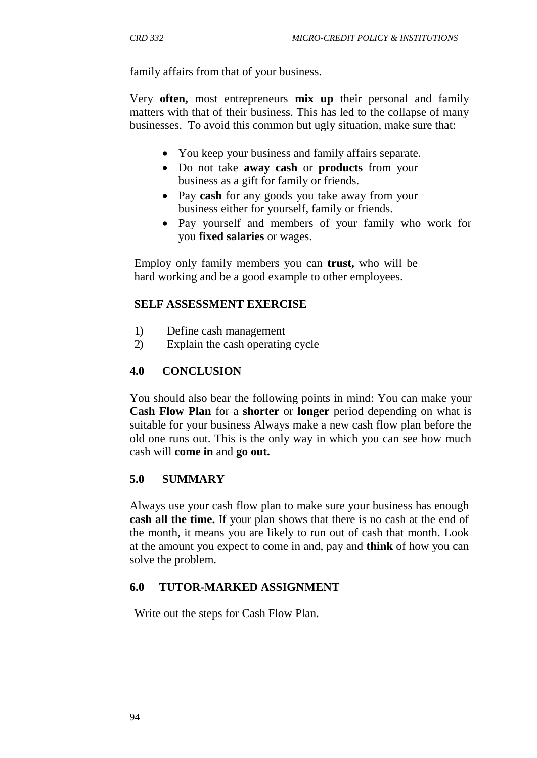family affairs from that of your business.

Very **often,** most entrepreneurs **mix up** their personal and family matters with that of their business. This has led to the collapse of many businesses. To avoid this common but ugly situation, make sure that:

- You keep your business and family affairs separate.
- Do not take **away cash** or **products** from your business as a gift for family or friends.
- Pay **cash** for any goods you take away from your business either for yourself, family or friends.
- Pay yourself and members of your family who work for you **fixed salaries** or wages.

Employ only family members you can **trust,** who will be hard working and be a good example to other employees.

### **SELF ASSESSMENT EXERCISE**

- 1) Define cash management
- 2) Explain the cash operating cycle

### **4.0 CONCLUSION**

You should also bear the following points in mind: You can make your **Cash Flow Plan** for a **shorter** or **longer** period depending on what is suitable for your business Always make a new cash flow plan before the old one runs out. This is the only way in which you can see how much cash will **come in** and **go out.**

#### **5.0 SUMMARY**

Always use your cash flow plan to make sure your business has enough **cash all the time.** If your plan shows that there is no cash at the end of the month, it means you are likely to run out of cash that month. Look at the amount you expect to come in and, pay and **think** of how you can solve the problem.

#### **6.0 TUTOR-MARKED ASSIGNMENT**

Write out the steps for Cash Flow Plan.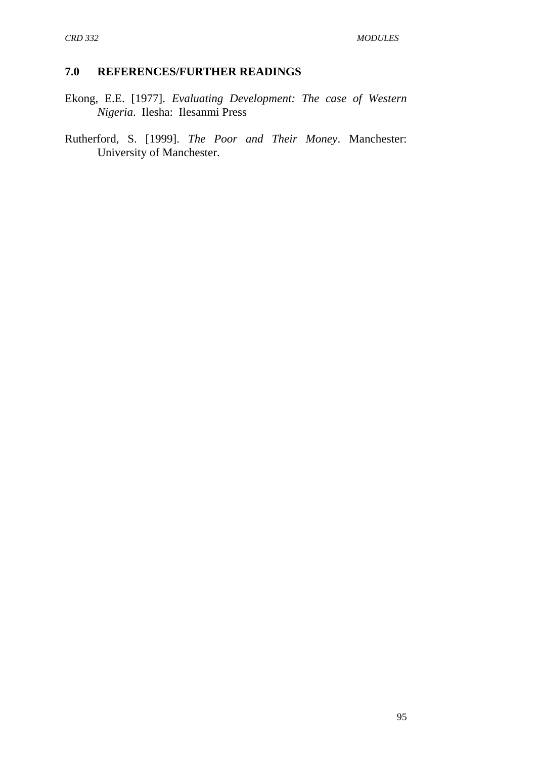#### **7.0 REFERENCES/FURTHER READINGS**

Ekong, E.E. [1977]. *Evaluating Development: The case of Western Nigeria*. Ilesha: Ilesanmi Press

Rutherford, S. [1999]. *The Poor and Their Money*. Manchester: University of Manchester.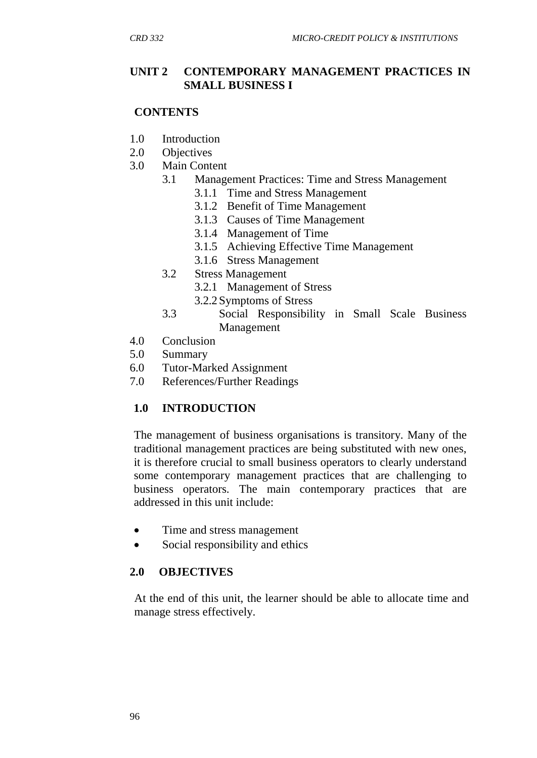### **UNIT 2 CONTEMPORARY MANAGEMENT PRACTICES IN SMALL BUSINESS I**

### **CONTENTS**

- 1.0 Introduction
- 2.0 Objectives
- 3.0 Main Content
	- 3.1 Management Practices: Time and Stress Management
		- 3.1.1 Time and Stress Management
		- 3.1.2 Benefit of Time Management
		- 3.1.3 Causes of Time Management
		- 3.1.4 Management of Time
		- 3.1.5 Achieving Effective Time Management
		- 3.1.6 Stress Management
	- 3.2 Stress Management
		- 3.2.1 Management of Stress
		- 3.2.2Symptoms of Stress
	- 3.3 Social Responsibility in Small Scale Business Management
- 4.0 Conclusion
- 5.0 Summary
- 6.0 Tutor-Marked Assignment
- 7.0 References/Further Readings

## **1.0 INTRODUCTION**

The management of business organisations is transitory. Many of the traditional management practices are being substituted with new ones, it is therefore crucial to small business operators to clearly understand some contemporary management practices that are challenging to business operators. The main contemporary practices that are addressed in this unit include:

- Time and stress management
- Social responsibility and ethics

## **2.0 OBJECTIVES**

At the end of this unit, the learner should be able to allocate time and manage stress effectively.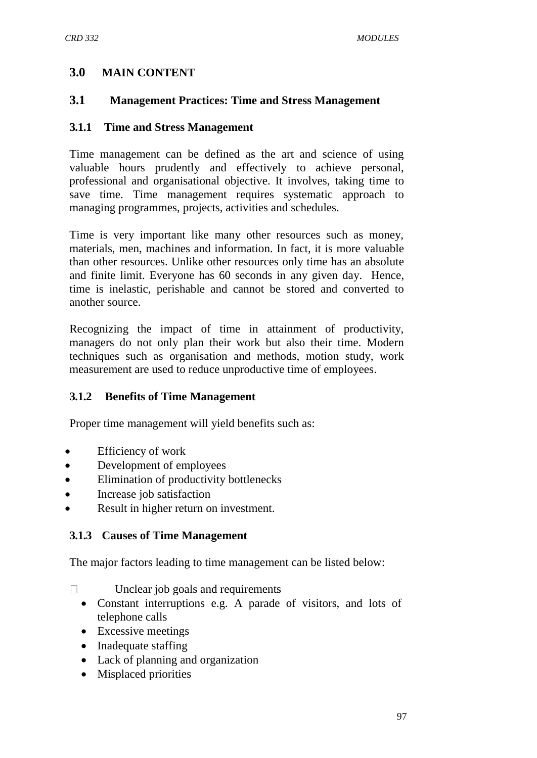### **3.0 MAIN CONTENT**

#### **3.1 Management Practices: Time and Stress Management**

#### **3.1.1 Time and Stress Management**

Time management can be defined as the art and science of using valuable hours prudently and effectively to achieve personal, professional and organisational objective. It involves, taking time to save time. Time management requires systematic approach to managing programmes, projects, activities and schedules.

Time is very important like many other resources such as money, materials, men, machines and information. In fact, it is more valuable than other resources. Unlike other resources only time has an absolute and finite limit. Everyone has 60 seconds in any given day. Hence, time is inelastic, perishable and cannot be stored and converted to another source.

Recognizing the impact of time in attainment of productivity, managers do not only plan their work but also their time. Modern techniques such as organisation and methods, motion study, work measurement are used to reduce unproductive time of employees.

#### **3.1.2 Benefits of Time Management**

Proper time management will yield benefits such as:

- Efficiency of work
- Development of employees
- Elimination of productivity bottlenecks
- Increase job satisfaction
- Result in higher return on investment.

#### **3.1.3 Causes of Time Management**

The major factors leading to time management can be listed below:

 $\Box$ Unclear job goals and requirements

- Constant interruptions e.g. A parade of visitors, and lots of telephone calls
- Excessive meetings
- Inadequate staffing
- Lack of planning and organization
- Misplaced priorities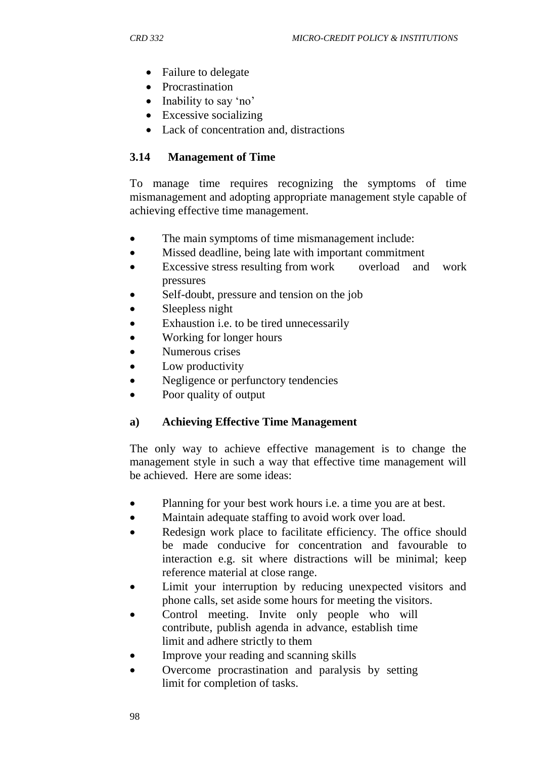- Failure to delegate
- Procrastination
- Inability to say 'no'
- Excessive socializing
- Lack of concentration and, distractions

### **3.14 Management of Time**

To manage time requires recognizing the symptoms of time mismanagement and adopting appropriate management style capable of achieving effective time management.

- The main symptoms of time mismanagement include:
- Missed deadline, being late with important commitment
- Excessive stress resulting from work overload and work pressures
- Self-doubt, pressure and tension on the job
- Sleepless night
- Exhaustion i.e. to be tired unnecessarily
- Working for longer hours
- Numerous crises
- Low productivity
- Negligence or perfunctory tendencies
- Poor quality of output

#### **a) Achieving Effective Time Management**

The only way to achieve effective management is to change the management style in such a way that effective time management will be achieved. Here are some ideas:

- Planning for your best work hours i.e. a time you are at best.
- Maintain adequate staffing to avoid work over load.
- Redesign work place to facilitate efficiency. The office should be made conducive for concentration and favourable to interaction e.g. sit where distractions will be minimal; keep reference material at close range.
- Limit your interruption by reducing unexpected visitors and phone calls, set aside some hours for meeting the visitors.
- Control meeting. Invite only people who will contribute, publish agenda in advance, establish time limit and adhere strictly to them
- Improve your reading and scanning skills
- Overcome procrastination and paralysis by setting limit for completion of tasks.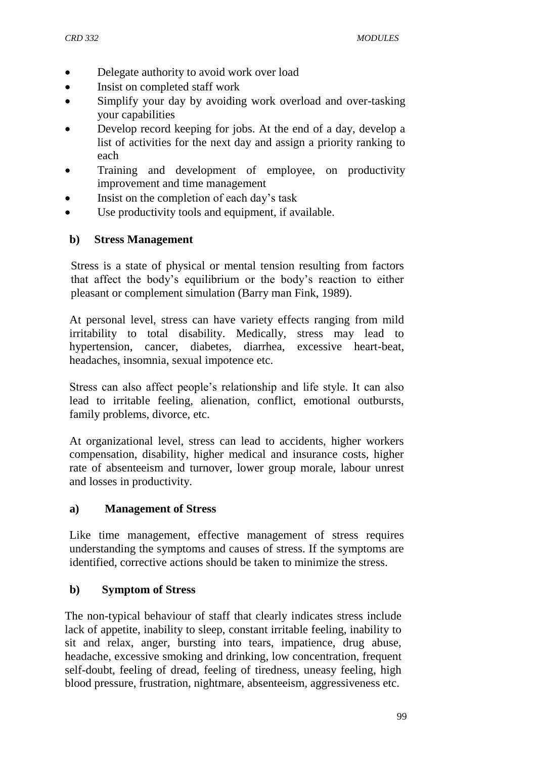- Delegate authority to avoid work over load
- Insist on completed staff work
- Simplify your day by avoiding work overload and over-tasking your capabilities
- Develop record keeping for jobs. At the end of a day, develop a list of activities for the next day and assign a priority ranking to each
- Training and development of employee, on productivity improvement and time management
- Insist on the completion of each day"s task
- Use productivity tools and equipment, if available.

#### **b) Stress Management**

Stress is a state of physical or mental tension resulting from factors that affect the body"s equilibrium or the body"s reaction to either pleasant or complement simulation (Barry man Fink, 1989).

At personal level, stress can have variety effects ranging from mild irritability to total disability. Medically, stress may lead to hypertension, cancer, diabetes, diarrhea, excessive heart-beat, headaches, insomnia, sexual impotence etc.

Stress can also affect people"s relationship and life style. It can also lead to irritable feeling, alienation, conflict, emotional outbursts, family problems, divorce, etc.

At organizational level, stress can lead to accidents, higher workers compensation, disability, higher medical and insurance costs, higher rate of absenteeism and turnover, lower group morale, labour unrest and losses in productivity.

#### **a) Management of Stress**

Like time management, effective management of stress requires understanding the symptoms and causes of stress. If the symptoms are identified, corrective actions should be taken to minimize the stress.

#### **b) Symptom of Stress**

The non-typical behaviour of staff that clearly indicates stress include lack of appetite, inability to sleep, constant irritable feeling, inability to sit and relax, anger, bursting into tears, impatience, drug abuse, headache, excessive smoking and drinking, low concentration, frequent self-doubt, feeling of dread, feeling of tiredness, uneasy feeling, high blood pressure, frustration, nightmare, absenteeism, aggressiveness etc.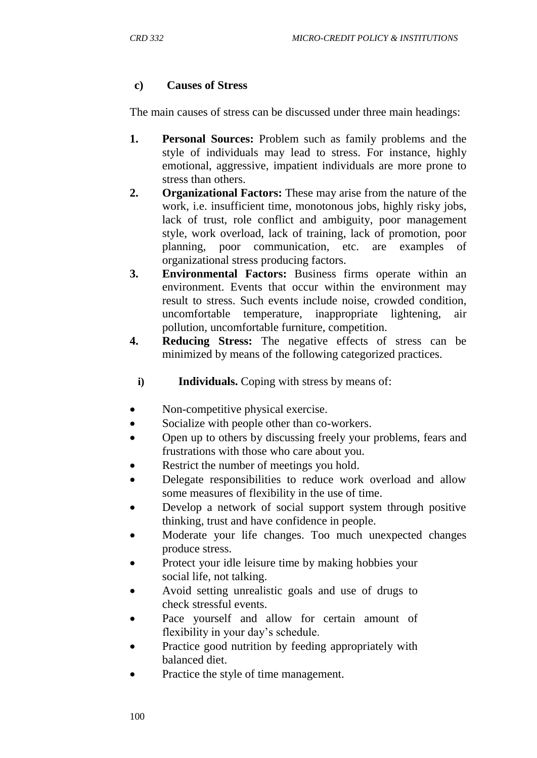#### **c) Causes of Stress**

The main causes of stress can be discussed under three main headings:

- **1. Personal Sources:** Problem such as family problems and the style of individuals may lead to stress. For instance, highly emotional, aggressive, impatient individuals are more prone to stress than others.
- **2. Organizational Factors:** These may arise from the nature of the work, i.e. insufficient time, monotonous jobs, highly risky jobs, lack of trust, role conflict and ambiguity, poor management style, work overload, lack of training, lack of promotion, poor planning, poor communication, etc. are examples of organizational stress producing factors.
- **3. Environmental Factors:** Business firms operate within an environment. Events that occur within the environment may result to stress. Such events include noise, crowded condition, uncomfortable temperature, inappropriate lightening, air pollution, uncomfortable furniture, competition.
- **4. Reducing Stress:** The negative effects of stress can be minimized by means of the following categorized practices.
	- i) **Individuals.** Coping with stress by means of:
- Non-competitive physical exercise.
- Socialize with people other than co-workers.
- Open up to others by discussing freely your problems, fears and frustrations with those who care about you.
- Restrict the number of meetings you hold.
- Delegate responsibilities to reduce work overload and allow some measures of flexibility in the use of time.
- Develop a network of social support system through positive thinking, trust and have confidence in people.
- Moderate your life changes. Too much unexpected changes produce stress.
- Protect your idle leisure time by making hobbies your social life, not talking.
- Avoid setting unrealistic goals and use of drugs to check stressful events.
- Pace yourself and allow for certain amount of flexibility in your day's schedule.
- Practice good nutrition by feeding appropriately with balanced diet.
- Practice the style of time management.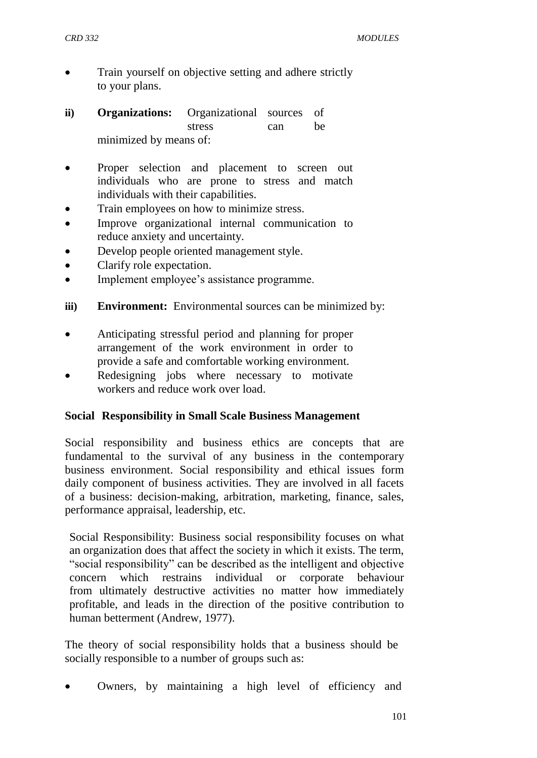- Train yourself on objective setting and adhere strictly to your plans.
- **ii) Organizations:** Organizational sources of stress can be minimized by means of:
- Proper selection and placement to screen out individuals who are prone to stress and match individuals with their capabilities.
- Train employees on how to minimize stress.
- Improve organizational internal communication to reduce anxiety and uncertainty.
- Develop people oriented management style.
- Clarify role expectation.
- Implement employee's assistance programme.
- **iii) Environment:** Environmental sources can be minimized by:
- Anticipating stressful period and planning for proper arrangement of the work environment in order to provide a safe and comfortable working environment.
- Redesigning jobs where necessary to motivate workers and reduce work over load.

#### **Social Responsibility in Small Scale Business Management**

Social responsibility and business ethics are concepts that are fundamental to the survival of any business in the contemporary business environment. Social responsibility and ethical issues form daily component of business activities. They are involved in all facets of a business: decision-making, arbitration, marketing, finance, sales, performance appraisal, leadership, etc.

Social Responsibility: Business social responsibility focuses on what an organization does that affect the society in which it exists. The term, "social responsibility" can be described as the intelligent and objective concern which restrains individual or corporate behaviour from ultimately destructive activities no matter how immediately profitable, and leads in the direction of the positive contribution to human betterment (Andrew, 1977).

The theory of social responsibility holds that a business should be socially responsible to a number of groups such as:

Owners, by maintaining a high level of efficiency and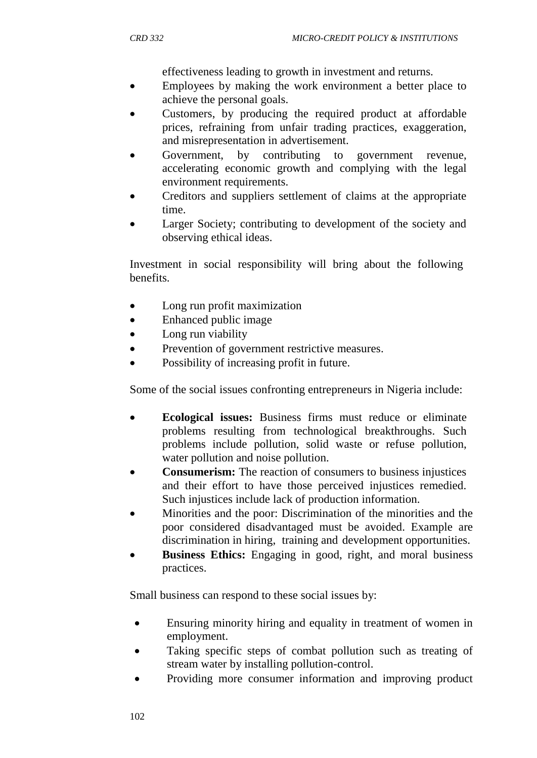effectiveness leading to growth in investment and returns.

- Employees by making the work environment a better place to achieve the personal goals.
- Customers, by producing the required product at affordable prices, refraining from unfair trading practices, exaggeration, and misrepresentation in advertisement.
- Government, by contributing to government revenue, accelerating economic growth and complying with the legal environment requirements.
- Creditors and suppliers settlement of claims at the appropriate time.
- Larger Society; contributing to development of the society and observing ethical ideas.

Investment in social responsibility will bring about the following benefits.

- Long run profit maximization
- Enhanced public image
- Long run viability
- Prevention of government restrictive measures.
- Possibility of increasing profit in future.

Some of the social issues confronting entrepreneurs in Nigeria include:

- **Ecological issues:** Business firms must reduce or eliminate problems resulting from technological breakthroughs. Such problems include pollution, solid waste or refuse pollution, water pollution and noise pollution.
- **Consumerism:** The reaction of consumers to business injustices and their effort to have those perceived injustices remedied. Such injustices include lack of production information.
- Minorities and the poor: Discrimination of the minorities and the poor considered disadvantaged must be avoided. Example are discrimination in hiring, training and development opportunities.
- **Business Ethics:** Engaging in good, right, and moral business practices.

Small business can respond to these social issues by:

- Ensuring minority hiring and equality in treatment of women in employment.
- Taking specific steps of combat pollution such as treating of stream water by installing pollution-control.
- Providing more consumer information and improving product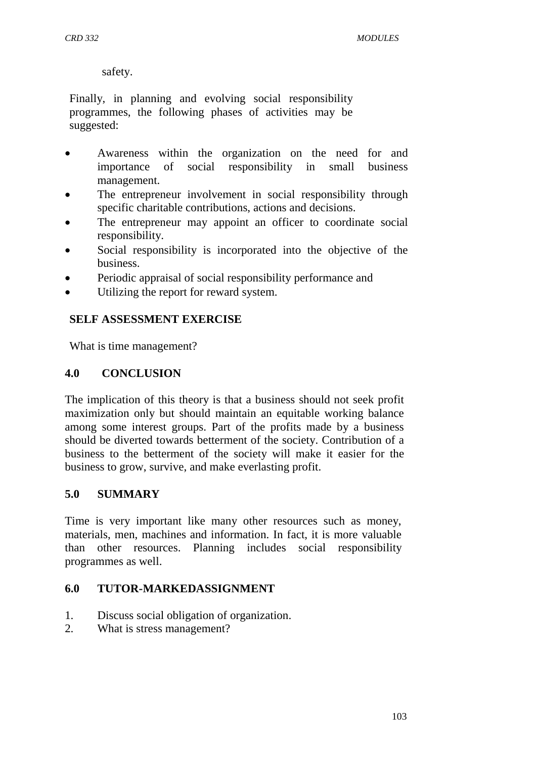*CRD 332 MODULES*

safety.

Finally, in planning and evolving social responsibility programmes, the following phases of activities may be suggested:

- Awareness within the organization on the need for and importance of social responsibility in small business management.
- The entrepreneur involvement in social responsibility through specific charitable contributions, actions and decisions.
- The entrepreneur may appoint an officer to coordinate social responsibility.
- Social responsibility is incorporated into the objective of the business.
- Periodic appraisal of social responsibility performance and
- Utilizing the report for reward system.

#### **SELF ASSESSMENT EXERCISE**

What is time management?

#### **4.0 CONCLUSION**

The implication of this theory is that a business should not seek profit maximization only but should maintain an equitable working balance among some interest groups. Part of the profits made by a business should be diverted towards betterment of the society. Contribution of a business to the betterment of the society will make it easier for the business to grow, survive, and make everlasting profit.

#### **5.0 SUMMARY**

Time is very important like many other resources such as money, materials, men, machines and information. In fact, it is more valuable than other resources. Planning includes social responsibility programmes as well.

#### **6.0 TUTOR-MARKEDASSIGNMENT**

- 1. Discuss social obligation of organization.
- 2. What is stress management?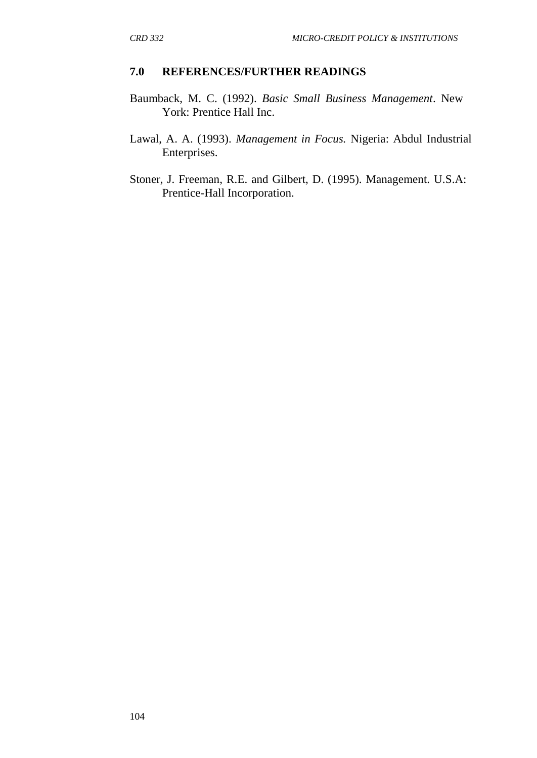#### **7.0 REFERENCES/FURTHER READINGS**

- Baumback, M. C. (1992). *Basic Small Business Management*. New York: Prentice Hall Inc.
- Lawal, A. A. (1993). *Management in Focus.* Nigeria: Abdul Industrial Enterprises.
- Stoner, J. Freeman, R.E. and Gilbert, D. (1995). Management. U.S.A: Prentice-Hall Incorporation.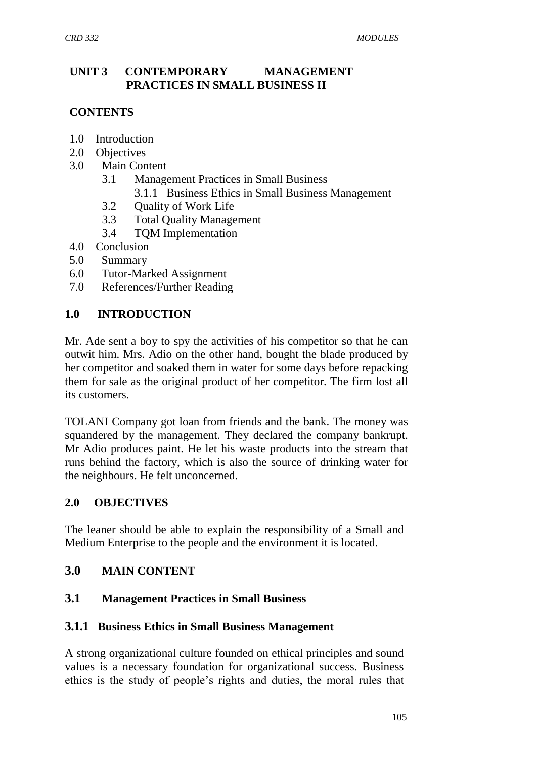## **UNIT 3 CONTEMPORARY MANAGEMENT PRACTICES IN SMALL BUSINESS II**

# **CONTENTS**

- 1.0 Introduction
- 2.0 Objectives
- 3.0 Main Content
	- 3.1 Management Practices in Small Business
		- 3.1.1 Business Ethics in Small Business Management
	- 3.2 Quality of Work Life
	- 3.3 Total Quality Management
	- 3.4 TQM Implementation
- 4.0 Conclusion
- 5.0 Summary
- 6.0 Tutor-Marked Assignment
- 7.0 References/Further Reading

#### **1.0 INTRODUCTION**

Mr. Ade sent a boy to spy the activities of his competitor so that he can outwit him. Mrs. Adio on the other hand, bought the blade produced by her competitor and soaked them in water for some days before repacking them for sale as the original product of her competitor. The firm lost all its customers.

TOLANI Company got loan from friends and the bank. The money was squandered by the management. They declared the company bankrupt. Mr Adio produces paint. He let his waste products into the stream that runs behind the factory, which is also the source of drinking water for the neighbours. He felt unconcerned.

#### **2.0 OBJECTIVES**

The leaner should be able to explain the responsibility of a Small and Medium Enterprise to the people and the environment it is located.

### **3.0 MAIN CONTENT**

#### **3.1 Management Practices in Small Business**

#### **3.1.1 Business Ethics in Small Business Management**

A strong organizational culture founded on ethical principles and sound values is a necessary foundation for organizational success. Business ethics is the study of people"s rights and duties, the moral rules that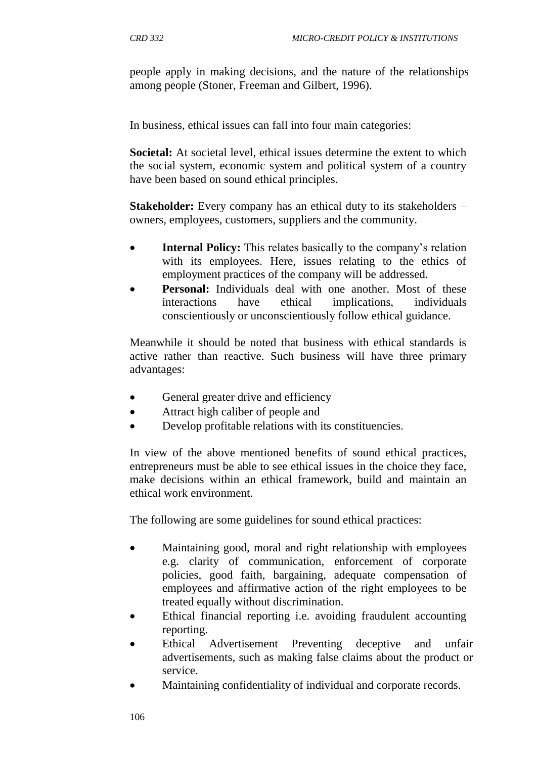people apply in making decisions, and the nature of the relationships among people (Stoner, Freeman and Gilbert, 1996).

In business, ethical issues can fall into four main categories:

**Societal:** At societal level, ethical issues determine the extent to which the social system, economic system and political system of a country have been based on sound ethical principles.

**Stakeholder:** Every company has an ethical duty to its stakeholders – owners, employees, customers, suppliers and the community.

- **Internal Policy:** This relates basically to the company's relation with its employees. Here, issues relating to the ethics of employment practices of the company will be addressed.
- **Personal:** Individuals deal with one another. Most of these interactions have ethical implications, individuals conscientiously or unconscientiously follow ethical guidance.

Meanwhile it should be noted that business with ethical standards is active rather than reactive. Such business will have three primary advantages:

- General greater drive and efficiency
- Attract high caliber of people and
- Develop profitable relations with its constituencies.

In view of the above mentioned benefits of sound ethical practices, entrepreneurs must be able to see ethical issues in the choice they face, make decisions within an ethical framework, build and maintain an ethical work environment.

The following are some guidelines for sound ethical practices:

- Maintaining good, moral and right relationship with employees e.g. clarity of communication, enforcement of corporate policies, good faith, bargaining, adequate compensation of employees and affirmative action of the right employees to be treated equally without discrimination.
- Ethical financial reporting i.e. avoiding fraudulent accounting reporting.
- Ethical Advertisement Preventing deceptive and unfair advertisements, such as making false claims about the product or service.
- Maintaining confidentiality of individual and corporate records.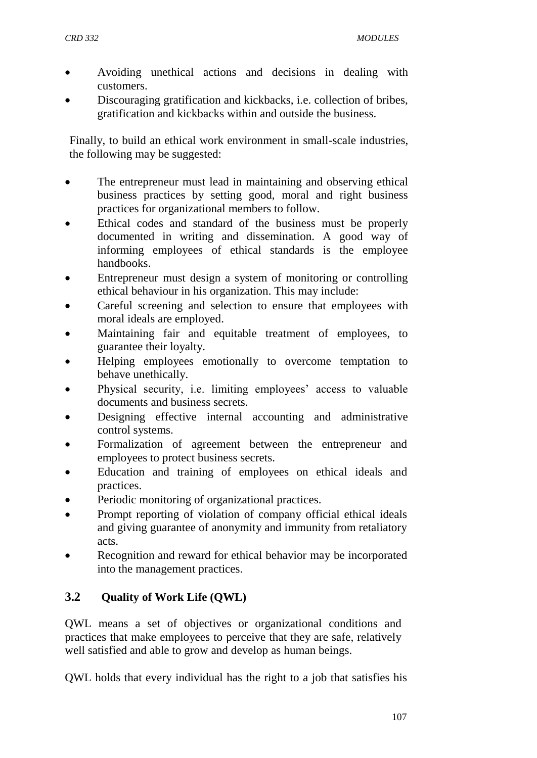- Avoiding unethical actions and decisions in dealing with customers.
- Discouraging gratification and kickbacks, i.e. collection of bribes, gratification and kickbacks within and outside the business.

Finally, to build an ethical work environment in small-scale industries, the following may be suggested:

- The entrepreneur must lead in maintaining and observing ethical business practices by setting good, moral and right business practices for organizational members to follow.
- Ethical codes and standard of the business must be properly documented in writing and dissemination. A good way of informing employees of ethical standards is the employee handbooks.
- Entrepreneur must design a system of monitoring or controlling ethical behaviour in his organization. This may include:
- Careful screening and selection to ensure that employees with moral ideals are employed.
- Maintaining fair and equitable treatment of employees, to guarantee their loyalty.
- Helping employees emotionally to overcome temptation to behave unethically.
- Physical security, i.e. limiting employees' access to valuable documents and business secrets.
- Designing effective internal accounting and administrative control systems.
- Formalization of agreement between the entrepreneur and employees to protect business secrets.
- Education and training of employees on ethical ideals and practices.
- Periodic monitoring of organizational practices.
- Prompt reporting of violation of company official ethical ideals and giving guarantee of anonymity and immunity from retaliatory acts.
- Recognition and reward for ethical behavior may be incorporated into the management practices.

# **3.2 Quality of Work Life (QWL)**

QWL means a set of objectives or organizational conditions and practices that make employees to perceive that they are safe, relatively well satisfied and able to grow and develop as human beings.

QWL holds that every individual has the right to a job that satisfies his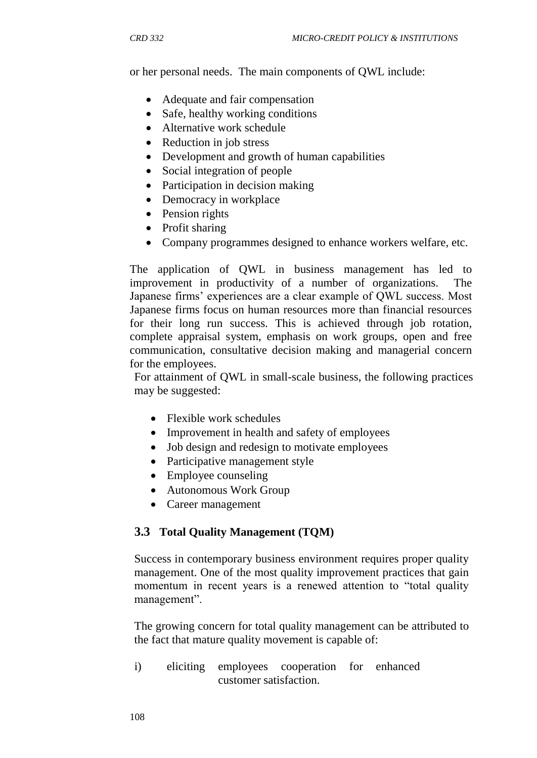or her personal needs. The main components of QWL include:

- Adequate and fair compensation
- Safe, healthy working conditions
- Alternative work schedule
- Reduction in job stress
- Development and growth of human capabilities
- Social integration of people
- Participation in decision making
- Democracy in workplace
- Pension rights
- Profit sharing
- Company programmes designed to enhance workers welfare, etc.

The application of QWL in business management has led to improvement in productivity of a number of organizations. The Japanese firms' experiences are a clear example of QWL success. Most Japanese firms focus on human resources more than financial resources for their long run success. This is achieved through job rotation, complete appraisal system, emphasis on work groups, open and free communication, consultative decision making and managerial concern for the employees.

For attainment of QWL in small-scale business, the following practices may be suggested:

- Flexible work schedules
- Improvement in health and safety of employees
- Job design and redesign to motivate employees
- Participative management style
- Employee counseling
- Autonomous Work Group
- Career management

#### **3.3 Total Quality Management (TQM)**

Success in contemporary business environment requires proper quality management. One of the most quality improvement practices that gain momentum in recent years is a renewed attention to "total quality management".

The growing concern for total quality management can be attributed to the fact that mature quality movement is capable of:

i) eliciting employees cooperation for enhanced customer satisfaction.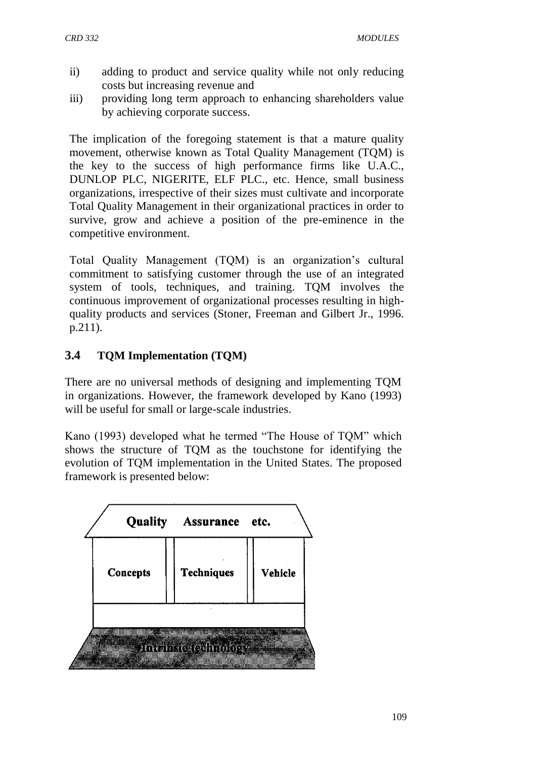- ii) adding to product and service quality while not only reducing costs but increasing revenue and
- iii) providing long term approach to enhancing shareholders value by achieving corporate success.

The implication of the foregoing statement is that a mature quality movement, otherwise known as Total Quality Management (TQM) is the key to the success of high performance firms like U.A.C., DUNLOP PLC, NIGERITE, ELF PLC., etc. Hence, small business organizations, irrespective of their sizes must cultivate and incorporate Total Quality Management in their organizational practices in order to survive, grow and achieve a position of the pre-eminence in the competitive environment.

Total Quality Management (TQM) is an organization's cultural commitment to satisfying customer through the use of an integrated system of tools, techniques, and training. TQM involves the continuous improvement of organizational processes resulting in highquality products and services (Stoner, Freeman and Gilbert Jr., 1996. p.211).

# **3.4 TQM Implementation (TQM)**

There are no universal methods of designing and implementing TQM in organizations. However, the framework developed by Kano (1993) will be useful for small or large-scale industries.

Kano (1993) developed what he termed "The House of TQM" which shows the structure of TQM as the touchstone for identifying the evolution of TQM implementation in the United States. The proposed framework is presented below:

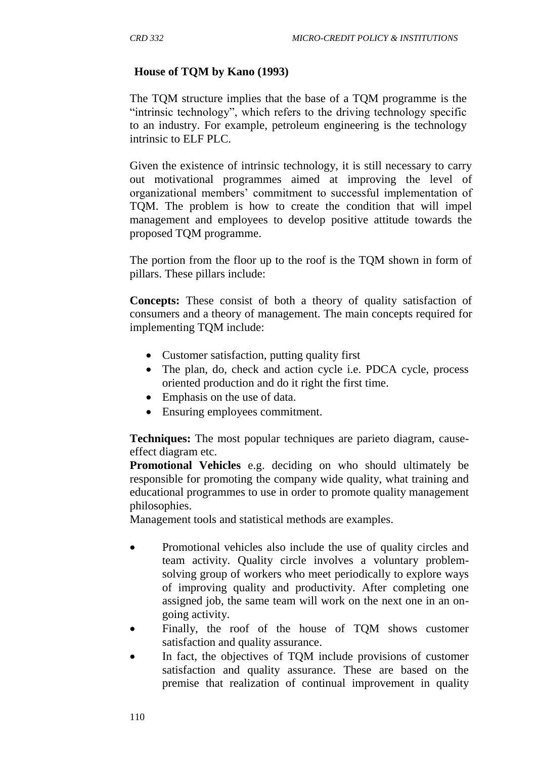# **House of TQM by Kano (1993)**

The TQM structure implies that the base of a TQM programme is the "intrinsic technology", which refers to the driving technology specific to an industry. For example, petroleum engineering is the technology intrinsic to ELF PLC.

Given the existence of intrinsic technology, it is still necessary to carry out motivational programmes aimed at improving the level of organizational members" commitment to successful implementation of TQM. The problem is how to create the condition that will impel management and employees to develop positive attitude towards the proposed TQM programme.

The portion from the floor up to the roof is the TQM shown in form of pillars. These pillars include:

**Concepts:** These consist of both a theory of quality satisfaction of consumers and a theory of management. The main concepts required for implementing TQM include:

- Customer satisfaction, putting quality first
- The plan, do, check and action cycle i.e. PDCA cycle, process oriented production and do it right the first time.
- Emphasis on the use of data.
- Ensuring employees commitment.

**Techniques:** The most popular techniques are parieto diagram, causeeffect diagram etc.

**Promotional Vehicles** e.g. deciding on who should ultimately be responsible for promoting the company wide quality, what training and educational programmes to use in order to promote quality management philosophies.

Management tools and statistical methods are examples.

- Promotional vehicles also include the use of quality circles and team activity. Quality circle involves a voluntary problemsolving group of workers who meet periodically to explore ways of improving quality and productivity. After completing one assigned job, the same team will work on the next one in an ongoing activity.
- Finally, the roof of the house of TQM shows customer satisfaction and quality assurance.
- In fact, the objectives of TOM include provisions of customer satisfaction and quality assurance. These are based on the premise that realization of continual improvement in quality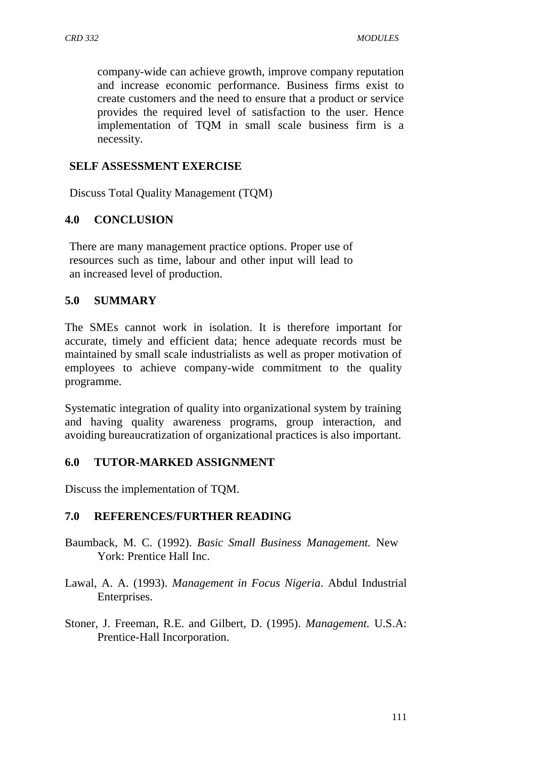company-wide can achieve growth, improve company reputation and increase economic performance. Business firms exist to create customers and the need to ensure that a product or service provides the required level of satisfaction to the user. Hence implementation of TQM in small scale business firm is a necessity.

### **SELF ASSESSMENT EXERCISE**

Discuss Total Quality Management (TQM)

## **4.0 CONCLUSION**

There are many management practice options. Proper use of resources such as time, labour and other input will lead to an increased level of production.

## **5.0 SUMMARY**

The SMEs cannot work in isolation. It is therefore important for accurate, timely and efficient data; hence adequate records must be maintained by small scale industrialists as well as proper motivation of employees to achieve company-wide commitment to the quality programme.

Systematic integration of quality into organizational system by training and having quality awareness programs, group interaction, and avoiding bureaucratization of organizational practices is also important.

#### **6.0 TUTOR-MARKED ASSIGNMENT**

Discuss the implementation of TQM.

#### **7.0 REFERENCES/FURTHER READING**

- Baumback, M. C. (1992). *Basic Small Business Management.* New York: Prentice Hall Inc.
- Lawal, A. A. (1993). *Management in Focus Nigeria*. Abdul Industrial Enterprises.
- Stoner, J. Freeman, R.E. and Gilbert, D. (1995). *Management.* U.S.A: Prentice-Hall Incorporation.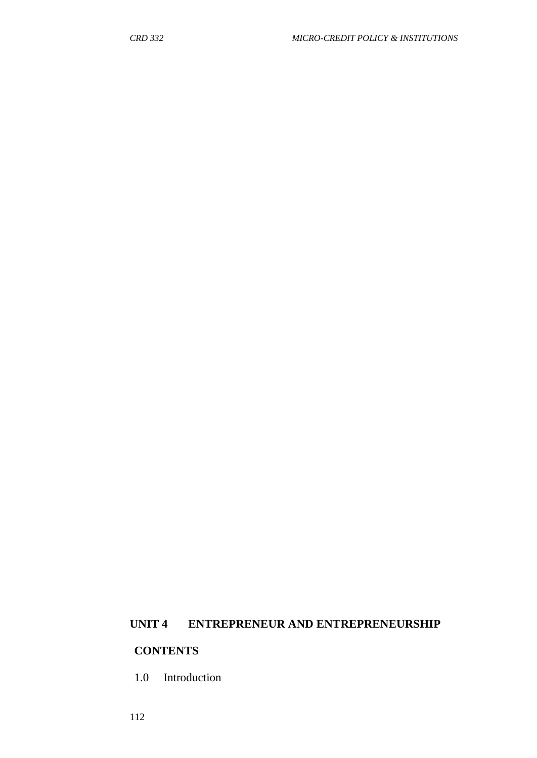## **UNIT 4 ENTREPRENEUR AND ENTREPRENEURSHIP**

# **CONTENTS**

1.0 Introduction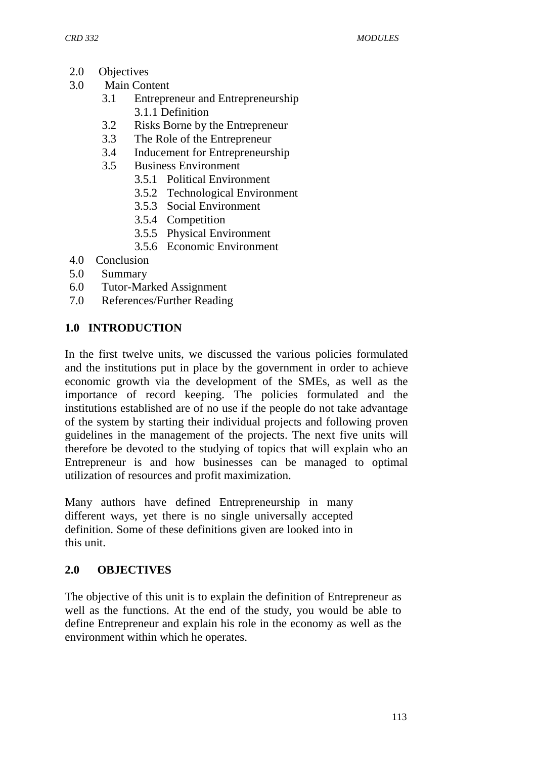- 2.0 Objectives
- 3.0 Main Content
	- 3.1 Entrepreneur and Entrepreneurship 3.1.1 Definition
	- 3.2 Risks Borne by the Entrepreneur
	- 3.3 The Role of the Entrepreneur
	- 3.4 Inducement for Entrepreneurship
	- 3.5 Business Environment
		- 3.5.1 Political Environment
		- 3.5.2 Technological Environment
		- 3.5.3 Social Environment
		- 3.5.4 Competition
		- 3.5.5 Physical Environment
		- 3.5.6 Economic Environment
- 4.0 Conclusion
- 5.0 Summary
- 6.0 Tutor-Marked Assignment
- 7.0 References/Further Reading

## **1.0 INTRODUCTION**

In the first twelve units, we discussed the various policies formulated and the institutions put in place by the government in order to achieve economic growth via the development of the SMEs, as well as the importance of record keeping. The policies formulated and the institutions established are of no use if the people do not take advantage of the system by starting their individual projects and following proven guidelines in the management of the projects. The next five units will therefore be devoted to the studying of topics that will explain who an Entrepreneur is and how businesses can be managed to optimal utilization of resources and profit maximization.

Many authors have defined Entrepreneurship in many different ways, yet there is no single universally accepted definition. Some of these definitions given are looked into in this unit.

#### **2.0 OBJECTIVES**

The objective of this unit is to explain the definition of Entrepreneur as well as the functions. At the end of the study, you would be able to define Entrepreneur and explain his role in the economy as well as the environment within which he operates.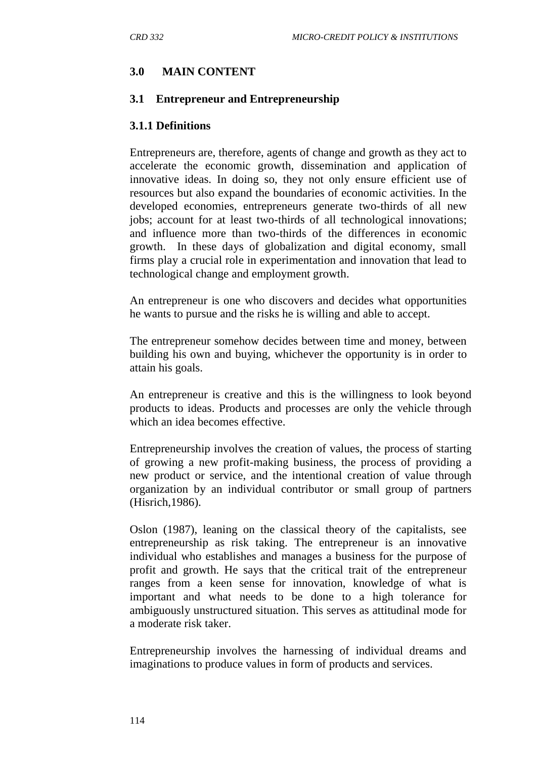# **3.0 MAIN CONTENT**

#### **3.1 Entrepreneur and Entrepreneurship**

#### **3.1.1 Definitions**

Entrepreneurs are, therefore, agents of change and growth as they act to accelerate the economic growth, dissemination and application of innovative ideas. In doing so, they not only ensure efficient use of resources but also expand the boundaries of economic activities. In the developed economies, entrepreneurs generate two-thirds of all new jobs; account for at least two-thirds of all technological innovations; and influence more than two-thirds of the differences in economic growth. In these days of globalization and digital economy, small firms play a crucial role in experimentation and innovation that lead to technological change and employment growth.

An entrepreneur is one who discovers and decides what opportunities he wants to pursue and the risks he is willing and able to accept.

The entrepreneur somehow decides between time and money, between building his own and buying, whichever the opportunity is in order to attain his goals.

An entrepreneur is creative and this is the willingness to look beyond products to ideas. Products and processes are only the vehicle through which an idea becomes effective.

Entrepreneurship involves the creation of values, the process of starting of growing a new profit-making business, the process of providing a new product or service, and the intentional creation of value through organization by an individual contributor or small group of partners (Hisrich,1986).

Oslon (1987), leaning on the classical theory of the capitalists, see entrepreneurship as risk taking. The entrepreneur is an innovative individual who establishes and manages a business for the purpose of profit and growth. He says that the critical trait of the entrepreneur ranges from a keen sense for innovation, knowledge of what is important and what needs to be done to a high tolerance for ambiguously unstructured situation. This serves as attitudinal mode for a moderate risk taker.

Entrepreneurship involves the harnessing of individual dreams and imaginations to produce values in form of products and services.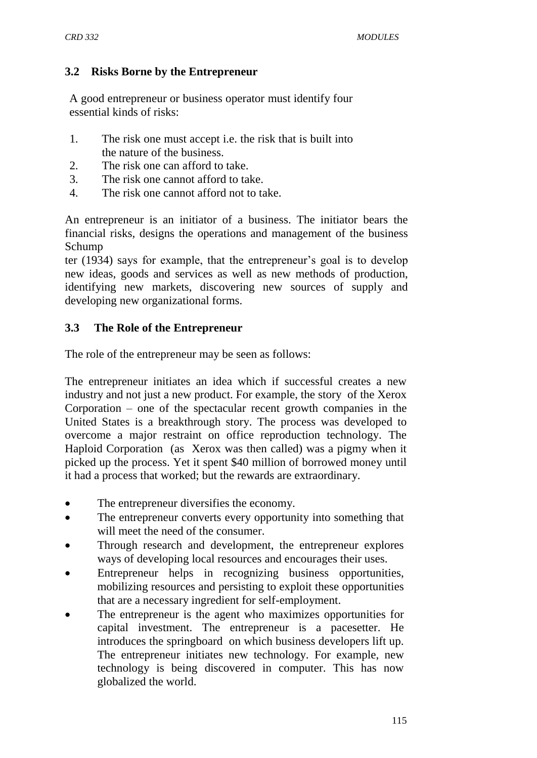#### **3.2 Risks Borne by the Entrepreneur**

A good entrepreneur or business operator must identify four essential kinds of risks:

- 1. The risk one must accept i.e. the risk that is built into the nature of the business.
- 2. The risk one can afford to take.
- 3. The risk one cannot afford to take.
- 4. The risk one cannot afford not to take.

An entrepreneur is an initiator of a business. The initiator bears the financial risks, designs the operations and management of the business Schump

ter (1934) says for example, that the entrepreneur"s goal is to develop new ideas, goods and services as well as new methods of production, identifying new markets, discovering new sources of supply and developing new organizational forms.

## **3.3 The Role of the Entrepreneur**

The role of the entrepreneur may be seen as follows:

The entrepreneur initiates an idea which if successful creates a new industry and not just a new product. For example, the story of the Xerox Corporation – one of the spectacular recent growth companies in the United States is a breakthrough story. The process was developed to overcome a major restraint on office reproduction technology. The Haploid Corporation (as Xerox was then called) was a pigmy when it picked up the process. Yet it spent \$40 million of borrowed money until it had a process that worked; but the rewards are extraordinary.

- The entrepreneur diversifies the economy.
- The entrepreneur converts every opportunity into something that will meet the need of the consumer.
- Through research and development, the entrepreneur explores ways of developing local resources and encourages their uses.
- Entrepreneur helps in recognizing business opportunities, mobilizing resources and persisting to exploit these opportunities that are a necessary ingredient for self-employment.
- The entrepreneur is the agent who maximizes opportunities for capital investment. The entrepreneur is a pacesetter. He introduces the springboard on which business developers lift up. The entrepreneur initiates new technology. For example, new technology is being discovered in computer. This has now globalized the world.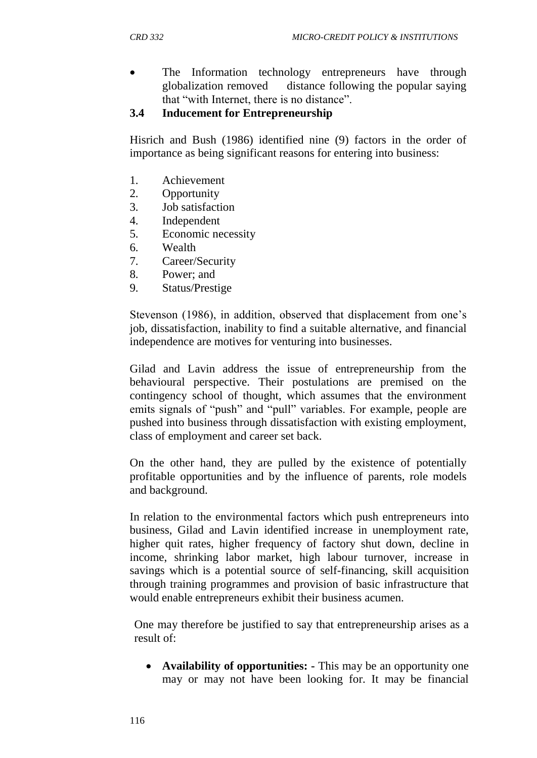• The Information technology entrepreneurs have through globalization removed distance following the popular saying that "with Internet, there is no distance".

### **3.4 Inducement for Entrepreneurship**

Hisrich and Bush (1986) identified nine (9) factors in the order of importance as being significant reasons for entering into business:

- 1. Achievement
- 2. Opportunity
- 3. Job satisfaction
- 4. Independent
- 5. Economic necessity
- 6. Wealth
- 7. Career/Security
- 8. Power; and
- 9. Status/Prestige

Stevenson (1986), in addition, observed that displacement from one"s job, dissatisfaction, inability to find a suitable alternative, and financial independence are motives for venturing into businesses.

Gilad and Lavin address the issue of entrepreneurship from the behavioural perspective. Their postulations are premised on the contingency school of thought, which assumes that the environment emits signals of "push" and "pull" variables. For example, people are pushed into business through dissatisfaction with existing employment, class of employment and career set back.

On the other hand, they are pulled by the existence of potentially profitable opportunities and by the influence of parents, role models and background.

In relation to the environmental factors which push entrepreneurs into business, Gilad and Lavin identified increase in unemployment rate, higher quit rates, higher frequency of factory shut down, decline in income, shrinking labor market, high labour turnover, increase in savings which is a potential source of self-financing, skill acquisition through training programmes and provision of basic infrastructure that would enable entrepreneurs exhibit their business acumen.

One may therefore be justified to say that entrepreneurship arises as a result of:

 **Availability of opportunities: -** This may be an opportunity one may or may not have been looking for. It may be financial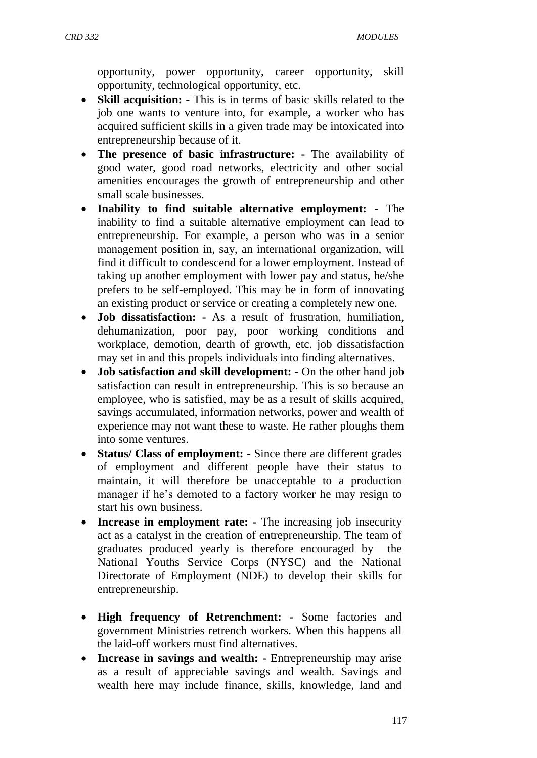opportunity, power opportunity, career opportunity, skill opportunity, technological opportunity, etc.

- **Skill acquisition: -** This is in terms of basic skills related to the job one wants to venture into, for example, a worker who has acquired sufficient skills in a given trade may be intoxicated into entrepreneurship because of it.
- **The presence of basic infrastructure: -** The availability of good water, good road networks, electricity and other social amenities encourages the growth of entrepreneurship and other small scale businesses.
- **Inability to find suitable alternative employment: -** The inability to find a suitable alternative employment can lead to entrepreneurship. For example, a person who was in a senior management position in, say, an international organization, will find it difficult to condescend for a lower employment. Instead of taking up another employment with lower pay and status, he/she prefers to be self-employed. This may be in form of innovating an existing product or service or creating a completely new one.
- **Job dissatisfaction: -** As a result of frustration, humiliation, dehumanization, poor pay, poor working conditions and workplace, demotion, dearth of growth, etc. job dissatisfaction may set in and this propels individuals into finding alternatives.
- **Job satisfaction and skill development: -** On the other hand job satisfaction can result in entrepreneurship. This is so because an employee, who is satisfied, may be as a result of skills acquired, savings accumulated, information networks, power and wealth of experience may not want these to waste. He rather ploughs them into some ventures.
- **Status/ Class of employment:** Since there are different grades of employment and different people have their status to maintain, it will therefore be unacceptable to a production manager if he's demoted to a factory worker he may resign to start his own business.
- **Increase in employment rate:** The increasing job insecurity act as a catalyst in the creation of entrepreneurship. The team of graduates produced yearly is therefore encouraged by the National Youths Service Corps (NYSC) and the National Directorate of Employment (NDE) to develop their skills for entrepreneurship.
- **High frequency of Retrenchment: -** Some factories and government Ministries retrench workers. When this happens all the laid-off workers must find alternatives.
- **Increase in savings and wealth: -** Entrepreneurship may arise as a result of appreciable savings and wealth. Savings and wealth here may include finance, skills, knowledge, land and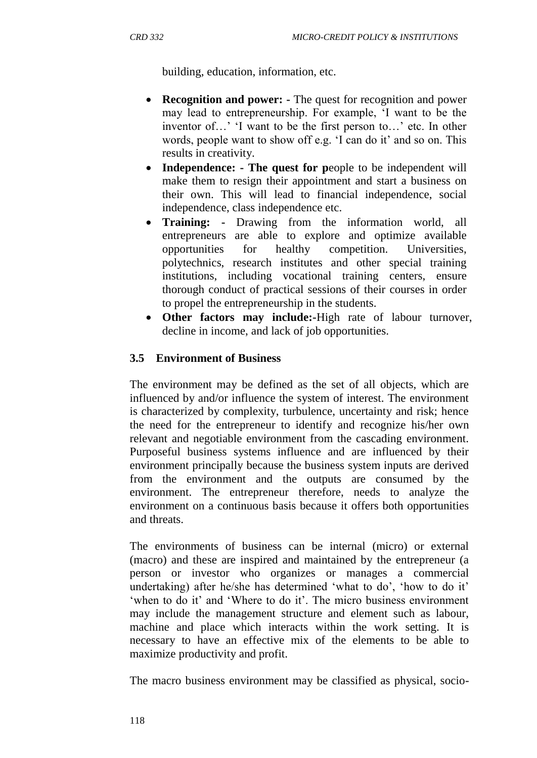building, education, information, etc.

- **Recognition and power:** The quest for recognition and power may lead to entrepreneurship. For example, "I want to be the inventor of...' 'I want to be the first person to...' etc. In other words, people want to show off e.g. 'I can do it' and so on. This results in creativity.
- **Independence:** The quest for people to be independent will make them to resign their appointment and start a business on their own. This will lead to financial independence, social independence, class independence etc.
- **Training: -** Drawing from the information world, all entrepreneurs are able to explore and optimize available opportunities for healthy competition. Universities, polytechnics, research institutes and other special training institutions, including vocational training centers, ensure thorough conduct of practical sessions of their courses in order to propel the entrepreneurship in the students.
- **Other factors may include:-**High rate of labour turnover, decline in income, and lack of job opportunities.

# **3.5 Environment of Business**

The environment may be defined as the set of all objects, which are influenced by and/or influence the system of interest. The environment is characterized by complexity, turbulence, uncertainty and risk; hence the need for the entrepreneur to identify and recognize his/her own relevant and negotiable environment from the cascading environment. Purposeful business systems influence and are influenced by their environment principally because the business system inputs are derived from the environment and the outputs are consumed by the environment. The entrepreneur therefore, needs to analyze the environment on a continuous basis because it offers both opportunities and threats.

The environments of business can be internal (micro) or external (macro) and these are inspired and maintained by the entrepreneur (a person or investor who organizes or manages a commercial undertaking) after he/she has determined 'what to do', 'how to do it' 'when to do it' and 'Where to do it'. The micro business environment may include the management structure and element such as labour, machine and place which interacts within the work setting. It is necessary to have an effective mix of the elements to be able to maximize productivity and profit.

The macro business environment may be classified as physical, socio-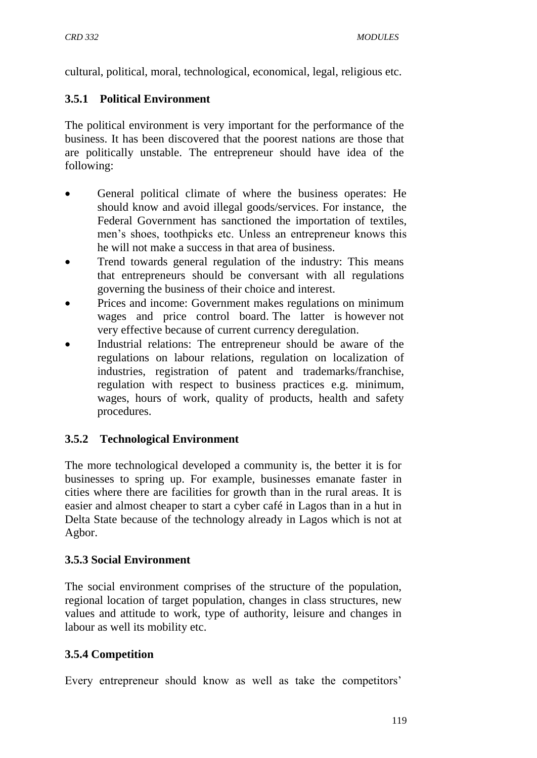cultural, political, moral, technological, economical, legal, religious etc.

#### **3.5.1 Political Environment**

The political environment is very important for the performance of the business. It has been discovered that the poorest nations are those that are politically unstable. The entrepreneur should have idea of the following:

- General political climate of where the business operates: He should know and avoid illegal goods/services. For instance, the Federal Government has sanctioned the importation of textiles, men"s shoes, toothpicks etc. Unless an entrepreneur knows this he will not make a success in that area of business.
- Trend towards general regulation of the industry: This means that entrepreneurs should be conversant with all regulations governing the business of their choice and interest.
- Prices and income: Government makes regulations on minimum wages and price control board. The latter is however not very effective because of current currency deregulation.
- Industrial relations: The entrepreneur should be aware of the regulations on labour relations, regulation on localization of industries, registration of patent and trademarks/franchise, regulation with respect to business practices e.g. minimum, wages, hours of work, quality of products, health and safety procedures.

#### **3.5.2 Technological Environment**

The more technological developed a community is, the better it is for businesses to spring up. For example, businesses emanate faster in cities where there are facilities for growth than in the rural areas. It is easier and almost cheaper to start a cyber café in Lagos than in a hut in Delta State because of the technology already in Lagos which is not at Agbor.

#### **3.5.3 Social Environment**

The social environment comprises of the structure of the population, regional location of target population, changes in class structures, new values and attitude to work, type of authority, leisure and changes in labour as well its mobility etc.

#### **3.5.4 Competition**

Every entrepreneur should know as well as take the competitors'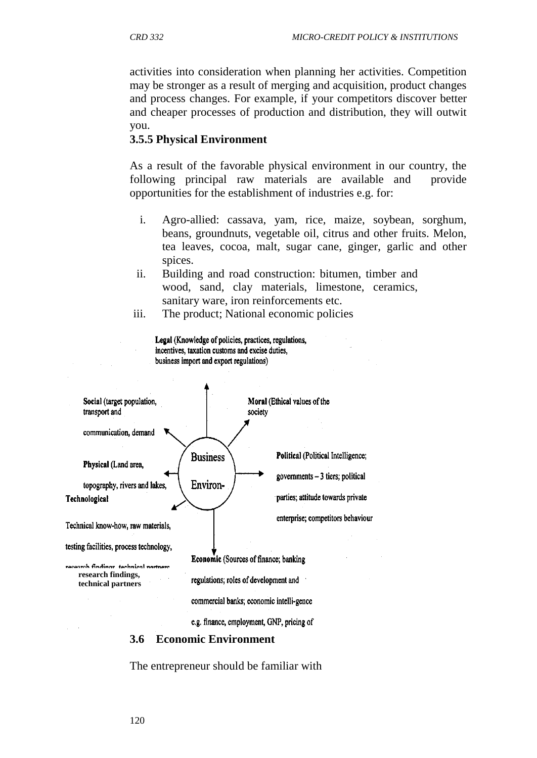activities into consideration when planning her activities. Competition may be stronger as a result of merging and acquisition, product changes and process changes. For example, if your competitors discover better and cheaper processes of production and distribution, they will outwit you.

#### **3.5.5 Physical Environment**

As a result of the favorable physical environment in our country, the following principal raw materials are available and provide opportunities for the establishment of industries e.g. for:

- i. Agro-allied: cassava, yam, rice, maize, soybean, sorghum, beans, groundnuts, vegetable oil, citrus and other fruits. Melon, tea leaves, cocoa, malt, sugar cane, ginger, garlic and other spices.
- ii. Building and road construction: bitumen, timber and wood, sand, clay materials, limestone, ceramics, sanitary ware, iron reinforcements etc.
- iii. The product; National economic policies



e.g. finance, employment, GNP, pricing of

#### **3.6 Economic Environment**

The entrepreneur should be familiar with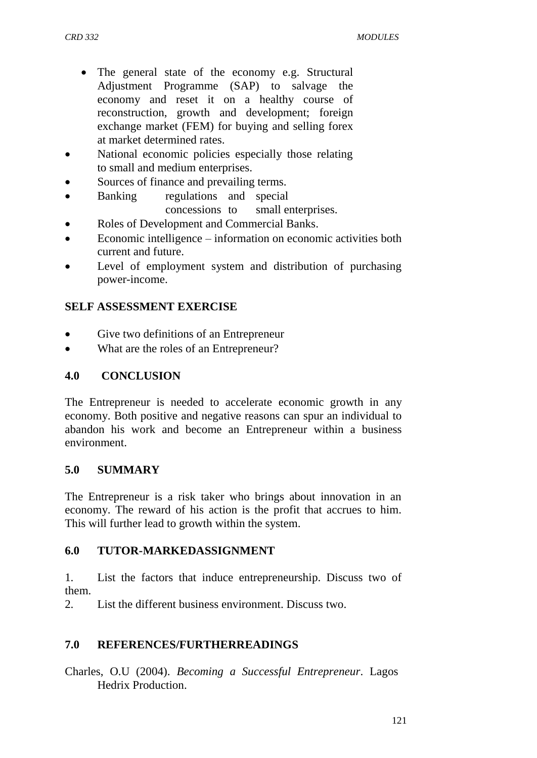- The general state of the economy e.g. Structural Adjustment Programme (SAP) to salvage the economy and reset it on a healthy course of reconstruction, growth and development; foreign exchange market (FEM) for buying and selling forex at market determined rates.
- National economic policies especially those relating to small and medium enterprises.
- Sources of finance and prevailing terms.
- Banking regulations and special concessions to small enterprises.
- Roles of Development and Commercial Banks.
- Economic intelligence information on economic activities both current and future.
- Level of employment system and distribution of purchasing power-income.

# **SELF ASSESSMENT EXERCISE**

- Give two definitions of an Entrepreneur
- What are the roles of an Entrepreneur?

# **4.0 CONCLUSION**

The Entrepreneur is needed to accelerate economic growth in any economy. Both positive and negative reasons can spur an individual to abandon his work and become an Entrepreneur within a business environment.

#### **5.0 SUMMARY**

The Entrepreneur is a risk taker who brings about innovation in an economy. The reward of his action is the profit that accrues to him. This will further lead to growth within the system.

#### **6.0 TUTOR-MARKEDASSIGNMENT**

1. List the factors that induce entrepreneurship. Discuss two of them.

2. List the different business environment. Discuss two.

#### **7.0 REFERENCES/FURTHERREADINGS**

Charles, O.U (2004). *Becoming a Successful Entrepreneur*. Lagos Hedrix Production.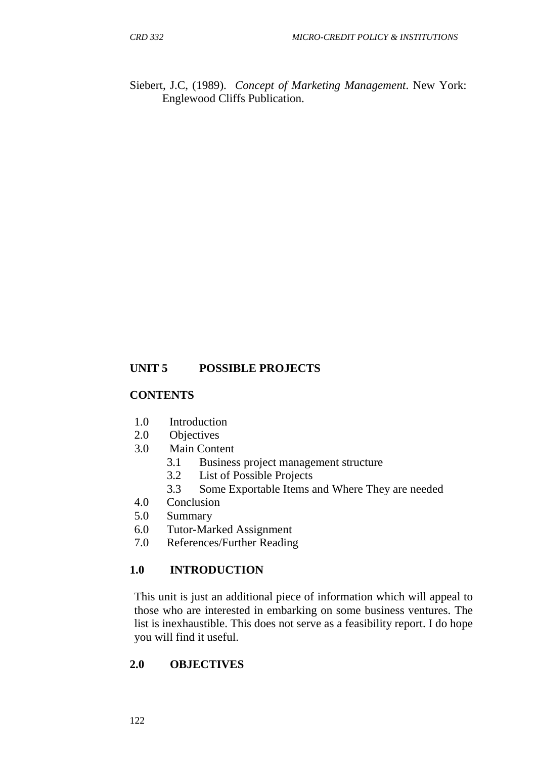Siebert, J.C, (1989). *Concept of Marketing Management*. New York: Englewood Cliffs Publication.

## **UNIT 5 POSSIBLE PROJECTS**

#### **CONTENTS**

- 1.0 Introduction
- 2.0 Objectives
- 3.0 Main Content
	- 3.1 Business project management structure
	- 3.2 List of Possible Projects
	- 3.3 Some Exportable Items and Where They are needed
- 4.0 Conclusion
- 5.0 Summary
- 6.0 Tutor-Marked Assignment
- 7.0 References/Further Reading

#### **1.0 INTRODUCTION**

This unit is just an additional piece of information which will appeal to those who are interested in embarking on some business ventures. The list is inexhaustible. This does not serve as a feasibility report. I do hope you will find it useful.

#### **2.0 OBJECTIVES**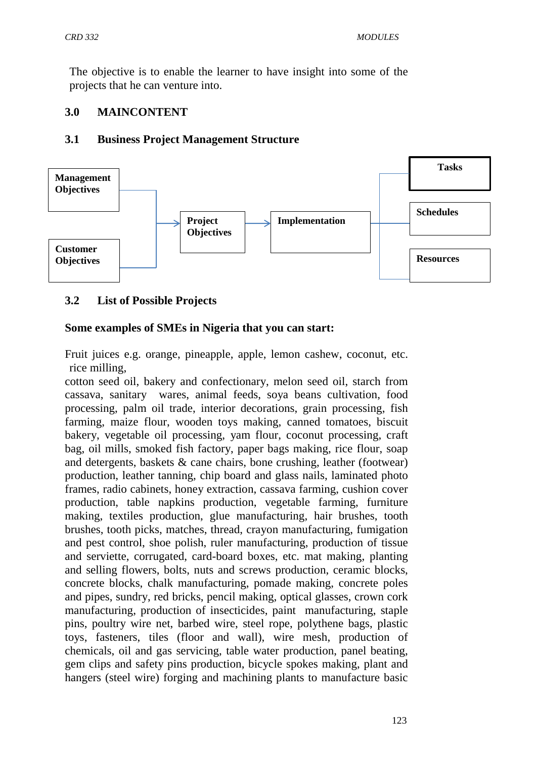The objective is to enable the learner to have insight into some of the projects that he can venture into.

### **3.0 MAINCONTENT**

#### **3.1 Business Project Management Structure**



## **3.2 List of Possible Projects**

#### **Some examples of SMEs in Nigeria that you can start:**

Fruit juices e.g. orange, pineapple, apple, lemon cashew, coconut, etc. rice milling,

cotton seed oil, bakery and confectionary, melon seed oil, starch from cassava, sanitary wares, animal feeds, soya beans cultivation, food processing, palm oil trade, interior decorations, grain processing, fish farming, maize flour, wooden toys making, canned tomatoes, biscuit bakery, vegetable oil processing, yam flour, coconut processing, craft bag, oil mills, smoked fish factory, paper bags making, rice flour, soap and detergents, baskets & cane chairs, bone crushing, leather (footwear) production, leather tanning, chip board and glass nails, laminated photo frames, radio cabinets, honey extraction, cassava farming, cushion cover production, table napkins production, vegetable farming, furniture making, textiles production, glue manufacturing, hair brushes, tooth brushes, tooth picks, matches, thread, crayon manufacturing, fumigation and pest control, shoe polish, ruler manufacturing, production of tissue and serviette, corrugated, card-board boxes, etc. mat making, planting and selling flowers, bolts, nuts and screws production, ceramic blocks, concrete blocks, chalk manufacturing, pomade making, concrete poles and pipes, sundry, red bricks, pencil making, optical glasses, crown cork manufacturing, production of insecticides, paint manufacturing, staple pins, poultry wire net, barbed wire, steel rope, polythene bags, plastic toys, fasteners, tiles (floor and wall), wire mesh, production of chemicals, oil and gas servicing, table water production, panel beating, gem clips and safety pins production, bicycle spokes making, plant and hangers (steel wire) forging and machining plants to manufacture basic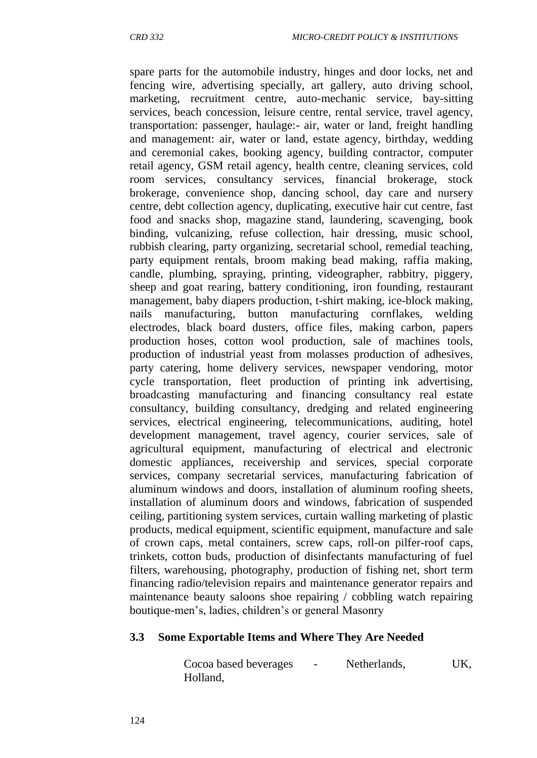spare parts for the automobile industry, hinges and door locks, net and fencing wire, advertising specially, art gallery, auto driving school, marketing, recruitment centre, auto-mechanic service, bay-sitting services, beach concession, leisure centre, rental service, travel agency, transportation: passenger, haulage:- air, water or land, freight handling and management: air, water or land, estate agency, birthday, wedding and ceremonial cakes, booking agency, building contractor, computer retail agency, GSM retail agency, health centre, cleaning services, cold room services, consultancy services, financial brokerage, stock brokerage, convenience shop, dancing school, day care and nursery centre, debt collection agency, duplicating, executive hair cut centre, fast food and snacks shop, magazine stand, laundering, scavenging, book binding, vulcanizing, refuse collection, hair dressing, music school, rubbish clearing, party organizing, secretarial school, remedial teaching, party equipment rentals, broom making bead making, raffia making, candle, plumbing, spraying, printing, videographer, rabbitry, piggery, sheep and goat rearing, battery conditioning, iron founding, restaurant management, baby diapers production, t-shirt making, ice-block making, nails manufacturing, button manufacturing cornflakes, welding electrodes, black board dusters, office files, making carbon, papers production hoses, cotton wool production, sale of machines tools, production of industrial yeast from molasses production of adhesives, party catering, home delivery services, newspaper vendoring, motor cycle transportation, fleet production of printing ink advertising, broadcasting manufacturing and financing consultancy real estate consultancy, building consultancy, dredging and related engineering services, electrical engineering, telecommunications, auditing, hotel development management, travel agency, courier services, sale of agricultural equipment, manufacturing of electrical and electronic domestic appliances, receivership and services, special corporate services, company secretarial services, manufacturing fabrication of aluminum windows and doors, installation of aluminum roofing sheets, installation of aluminum doors and windows, fabrication of suspended ceiling, partitioning system services, curtain walling marketing of plastic products, medical equipment, scientific equipment, manufacture and sale of crown caps, metal containers, screw caps, roll-on pilfer-roof caps, trinkets, cotton buds, production of disinfectants manufacturing of fuel filters, warehousing, photography, production of fishing net, short term financing radio/television repairs and maintenance generator repairs and maintenance beauty saloons shoe repairing / cobbling watch repairing boutique-men"s, ladies, children"s or general Masonry

#### **3.3 Some Exportable Items and Where They Are Needed**

Cocoa based beverages - Netherlands, UK, Holland,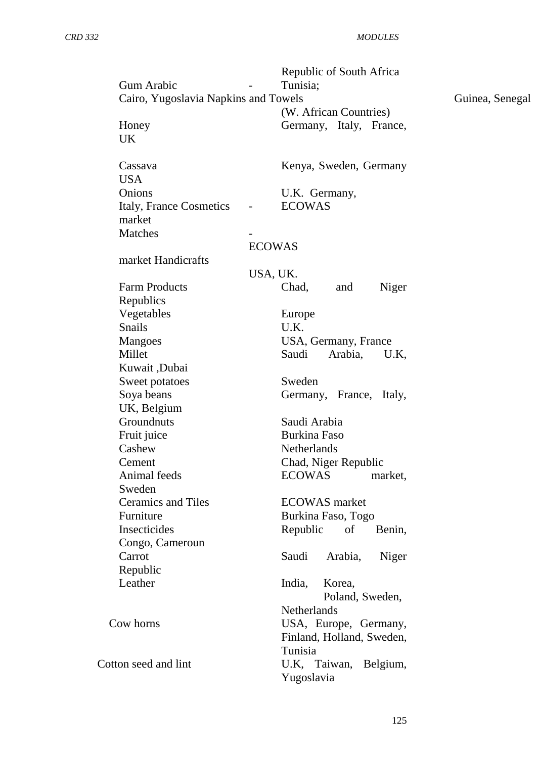|                                      | Republic of South Africa                  |                 |
|--------------------------------------|-------------------------------------------|-----------------|
| <b>Gum Arabic</b>                    | Tunisia;                                  |                 |
| Cairo, Yugoslavia Napkins and Towels |                                           | Guinea, Senegal |
|                                      | (W. African Countries)                    |                 |
| Honey                                | Germany, Italy, France,                   |                 |
| UK                                   |                                           |                 |
| Cassava                              | Kenya, Sweden, Germany                    |                 |
| <b>USA</b>                           |                                           |                 |
| Onions                               | U.K. Germany,                             |                 |
| Italy, France Cosmetics<br>market    | <b>ECOWAS</b><br>$\overline{\phantom{a}}$ |                 |
| Matches                              |                                           |                 |
|                                      | <b>ECOWAS</b>                             |                 |
| market Handicrafts                   |                                           |                 |
|                                      | USA, UK.                                  |                 |
| <b>Farm Products</b>                 | Chad,<br>Niger<br>and                     |                 |
| Republics                            |                                           |                 |
| Vegetables                           | Europe                                    |                 |
| Snails                               | U.K.                                      |                 |
| <b>Mangoes</b>                       | USA, Germany, France                      |                 |
| Millet                               | Saudi<br>Arabia,<br>U.K,                  |                 |
| Kuwait, Dubai                        |                                           |                 |
| Sweet potatoes                       | Sweden                                    |                 |
| Soya beans                           | Germany, France, Italy,                   |                 |
| UK, Belgium                          |                                           |                 |
| Groundnuts                           | Saudi Arabia                              |                 |
| Fruit juice                          | <b>Burkina Faso</b>                       |                 |
| Cashew                               | Netherlands                               |                 |
| Cement                               | Chad, Niger Republic                      |                 |
| Animal feeds                         | <b>ECOWAS</b><br>market,                  |                 |
| Sweden                               |                                           |                 |
| <b>Ceramics and Tiles</b>            | <b>ECOWAS</b> market                      |                 |
| Furniture                            | Burkina Faso, Togo                        |                 |
| Insecticides                         | Republic<br>of<br>Benin,                  |                 |
|                                      |                                           |                 |
| Congo, Cameroun<br>Carrot            | Saudi                                     |                 |
|                                      | Arabia,<br>Niger                          |                 |
| Republic                             |                                           |                 |
| Leather                              | India,<br>Korea,                          |                 |
|                                      | Poland, Sweden,                           |                 |
|                                      | <b>Netherlands</b>                        |                 |
| Cow horns                            | USA, Europe, Germany,                     |                 |
|                                      | Finland, Holland, Sweden,                 |                 |
|                                      | Tunisia                                   |                 |
| Cotton seed and lint                 | U.K, Taiwan, Belgium,                     |                 |
|                                      | Yugoslavia                                |                 |